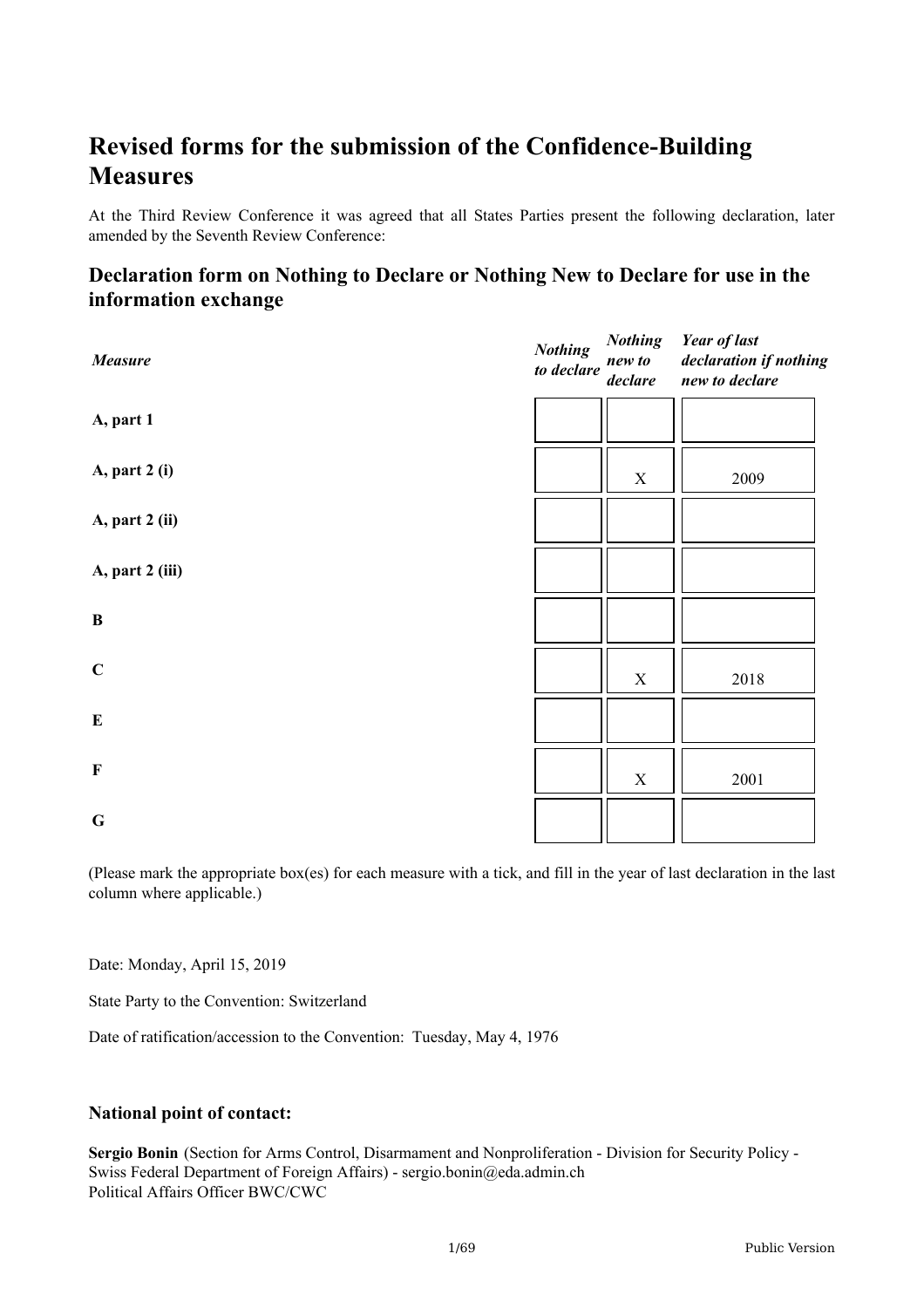# **Revised forms for the submission of the Confidence-Building Measures**

At the Third Review Conference it was agreed that all States Parties present the following declaration, later amended by the Seventh Review Conference:

# **Declaration form on Nothing to Declare or Nothing New to Declare for use in the information exchange**

| Measure         | <b>Nothing</b><br>to declare | <b>Nothing</b><br>new to<br>$\emph{declare}$ | <b>Year of last</b><br>declaration if nothing<br>new to declare |
|-----------------|------------------------------|----------------------------------------------|-----------------------------------------------------------------|
| A, part 1       |                              |                                              |                                                                 |
| A, part 2 (i)   |                              | $\mathbf X$                                  | 2009                                                            |
| A, part 2 (ii)  |                              |                                              |                                                                 |
| A, part 2 (iii) |                              |                                              |                                                                 |
| $\, {\bf B}$    |                              |                                              |                                                                 |
| $\mathbf C$     |                              | $\mathbf X$                                  | 2018                                                            |
| ${\bf E}$       |                              |                                              |                                                                 |
| $\mathbf F$     |                              | $\mathbf X$                                  | 2001                                                            |
| $\bf G$         |                              |                                              |                                                                 |

(Please mark the appropriate box(es) for each measure with a tick, and fill in the year of last declaration in the last column where applicable.)

Date: Monday, April 15, 2019

State Party to the Convention: Switzerland

Date of ratification/accession to the Convention: Tuesday, May 4, 1976

#### **National point of contact:**

**Sergio Bonin** (Section for Arms Control, Disarmament and Nonproliferation - Division for Security Policy - Swiss Federal Department of Foreign Affairs) - sergio.bonin@eda.admin.ch Political Affairs Officer BWC/CWC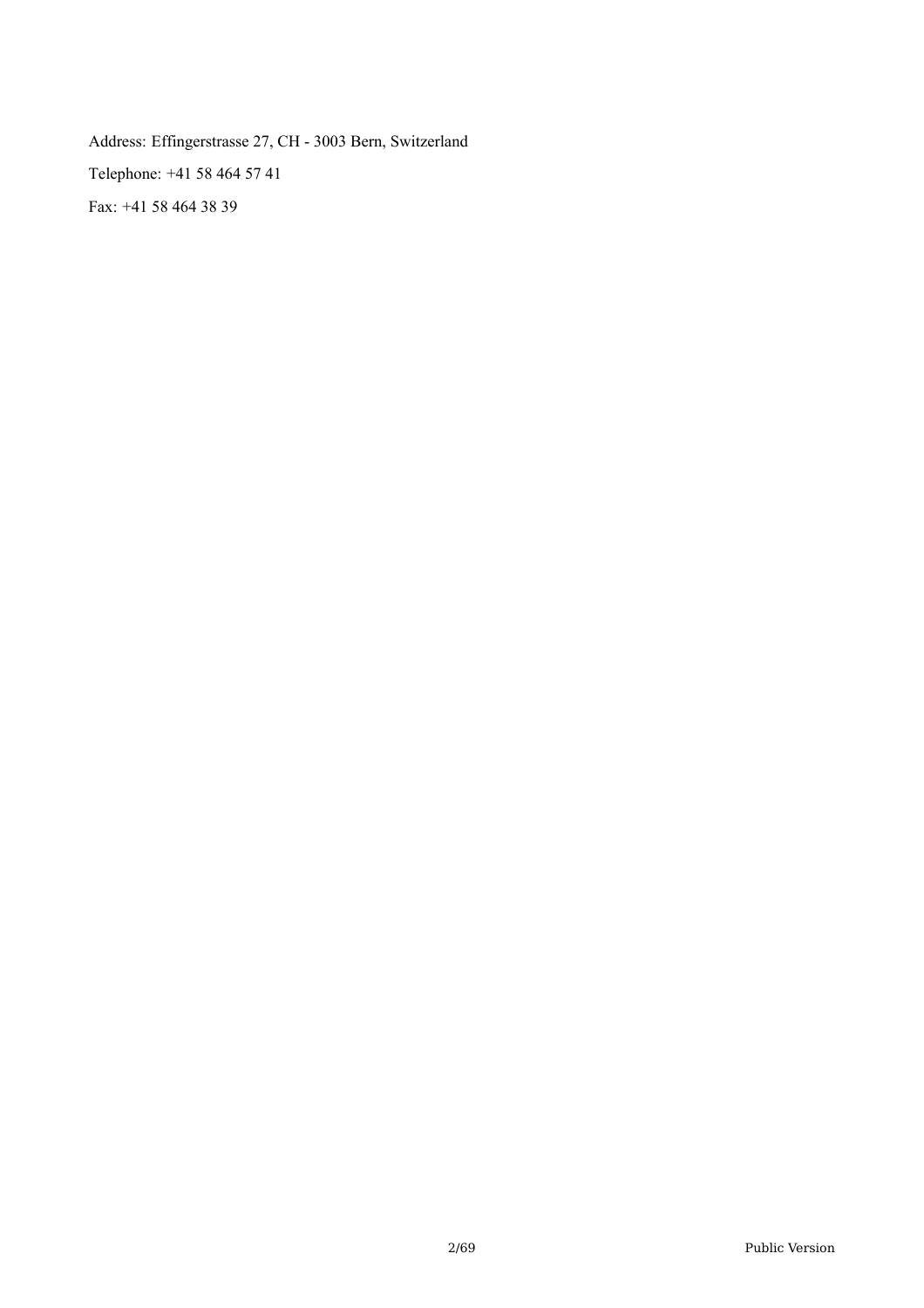Address: Effingerstrasse 27, CH - 3003 Bern, Switzerland Telephone: +41 58 464 57 41 Fax: +41 58 464 38 39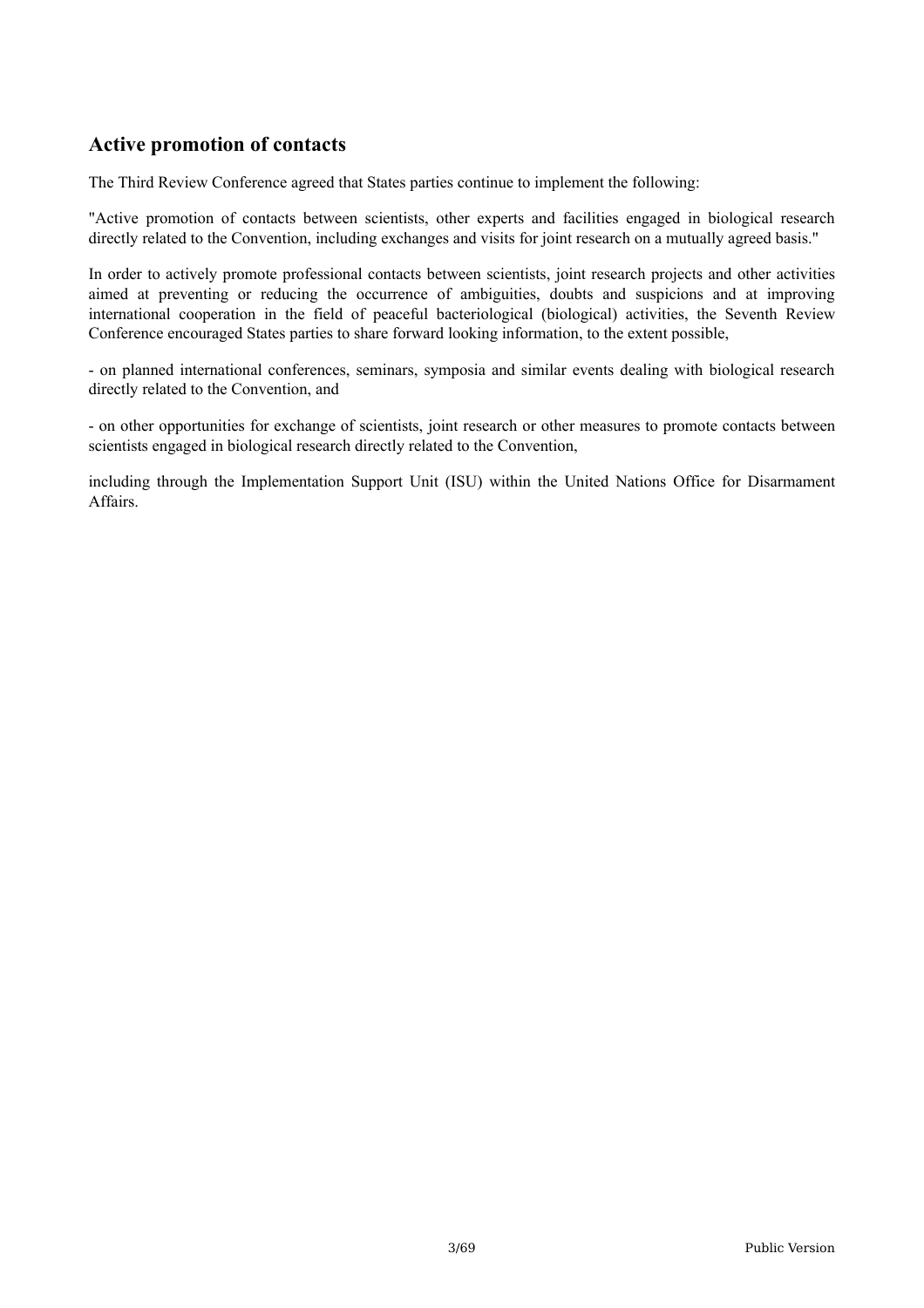# **Active promotion of contacts**

The Third Review Conference agreed that States parties continue to implement the following:

"Active promotion of contacts between scientists, other experts and facilities engaged in biological research directly related to the Convention, including exchanges and visits for joint research on a mutually agreed basis."

In order to actively promote professional contacts between scientists, joint research projects and other activities aimed at preventing or reducing the occurrence of ambiguities, doubts and suspicions and at improving international cooperation in the field of peaceful bacteriological (biological) activities, the Seventh Review Conference encouraged States parties to share forward looking information, to the extent possible,

- on planned international conferences, seminars, symposia and similar events dealing with biological research directly related to the Convention, and

- on other opportunities for exchange of scientists, joint research or other measures to promote contacts between scientists engaged in biological research directly related to the Convention,

including through the Implementation Support Unit (ISU) within the United Nations Office for Disarmament Affairs.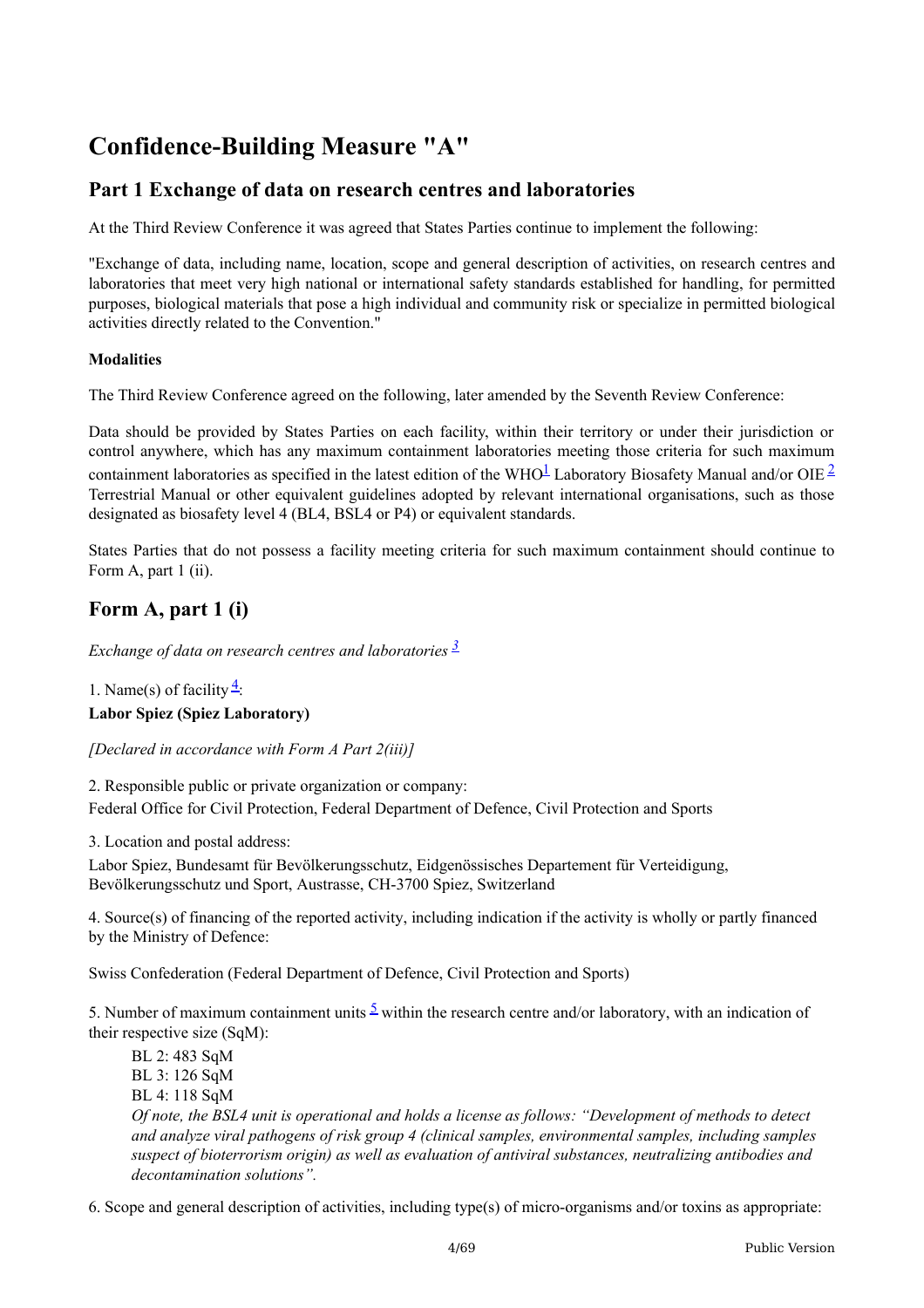# **Confidence-Building Measure "A"**

# **Part 1 Exchange of data on research centres and laboratories**

At the Third Review Conference it was agreed that States Parties continue to implement the following:

"Exchange of data, including name, location, scope and general description of activities, on research centres and laboratories that meet very high national or international safety standards established for handling, for permitted purposes, biological materials that pose a high individual and community risk or specialize in permitted biological activities directly related to the Convention."

#### **Modalities**

The Third Review Conference agreed on the following, later amended by the Seventh Review Conference:

Data should be provided by States Parties on each facility, within their territory or under their jurisdiction or control anywhere, which has any maximum containment laboratories meeting those criteria for such maximum containment laboratories as specified in the latest edition of the WHO<sup>[1](#page-68-0)</sup> Laboratory Biosafety Manual and/or OIE<sup>[2](#page-68-1)</sup> Terrestrial Manual or other equivalent guidelines adopted by relevant international organisations, such as those designated as biosafety level 4 (BL4, BSL4 or P4) or equivalent standards.

States Parties that do not possess a facility meeting criteria for such maximum containment should continue to Form A, part 1 (ii).

# **Form A, part 1 (i)**

*Exchange of data on research centres and laboratories [3](#page-68-2)*

1. Name(s) of facility  $\frac{4}{5}$  $\frac{4}{5}$  $\frac{4}{5}$ : **Labor Spiez (Spiez Laboratory)**

*[Declared in accordance with Form A Part 2(iii)]*

2. Responsible public or private organization or company: Federal Office for Civil Protection, Federal Department of Defence, Civil Protection and Sports

3. Location and postal address:

Labor Spiez, Bundesamt für Bevölkerungsschutz, Eidgenössisches Departement für Verteidigung, Bevölkerungsschutz und Sport, Austrasse, CH-3700 Spiez, Switzerland

4. Source(s) of financing of the reported activity, including indication if the activity is wholly or partly financed by the Ministry of Defence:

Swiss Confederation (Federal Department of Defence, Civil Protection and Sports)

[5](#page-68-4). Number of maximum containment units  $\frac{5}{2}$  within the research centre and/or laboratory, with an indication of their respective size (SqM):

BL 2: 483 SqM BL 3: 126 SqM BL 4: 118 SqM Of note, the BSL4 unit is operational and holds a license as follows: "Development of methods to detect *and analyze viral pathogens of risk group 4 (clinical samples, environmental samples, including samples suspect of bioterrorism origin) as well as evaluation of antiviral substances, neutralizing antibodies and decontamination solutions".*

6. Scope and general description of activities, including type(s) of micro-organisms and/or toxins as appropriate: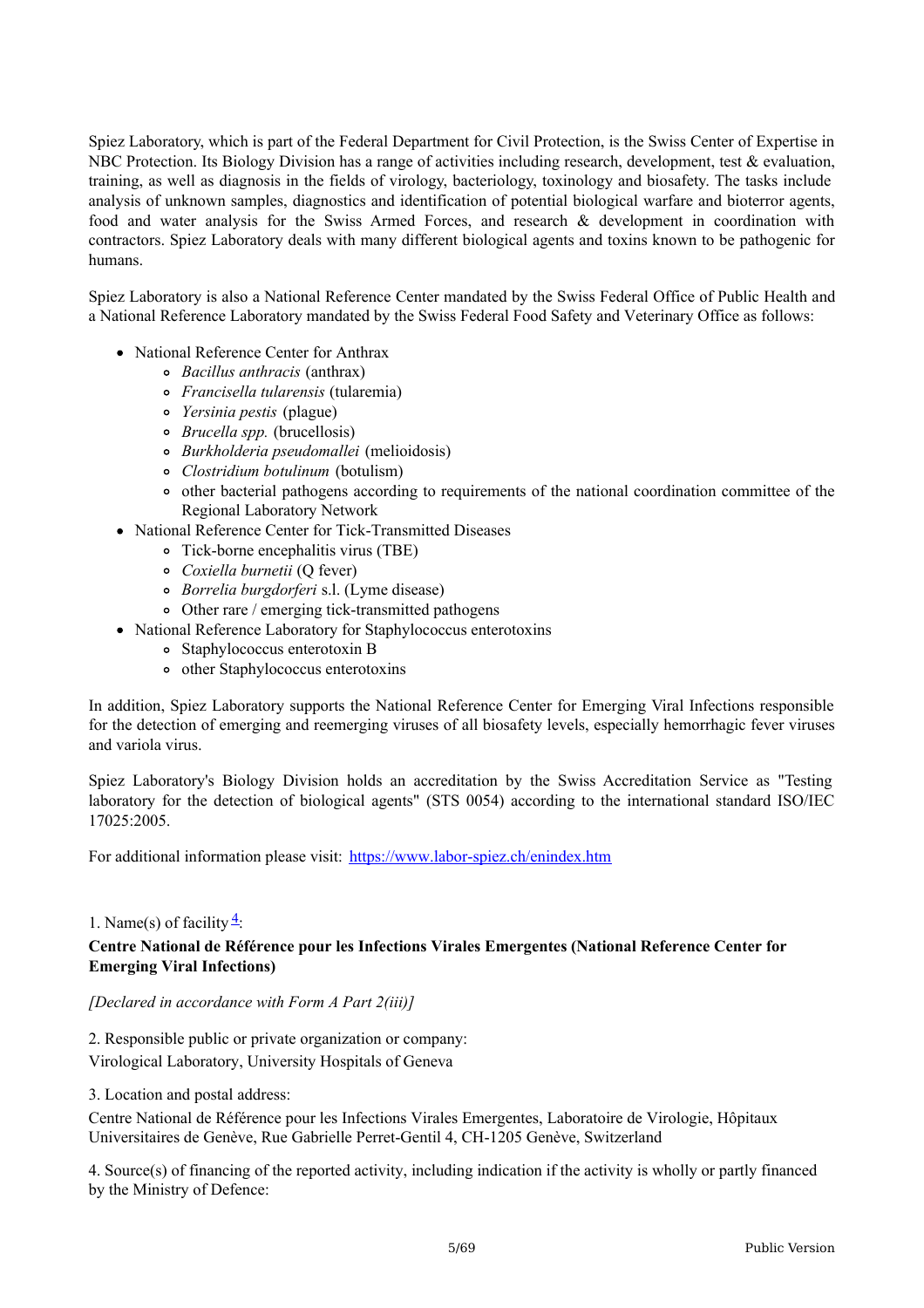Spiez Laboratory, which is part of the Federal Department for Civil Protection, is the Swiss Center of Expertise in NBC Protection. Its Biology Division has a range of activities including research, development, test & evaluation, training, as well as diagnosis in the fields of virology, bacteriology, toxinology and biosafety. The tasks include analysis of unknown samples, diagnostics and identification of potential biological warfare and bioterror agents, food and water analysis for the Swiss Armed Forces, and research & development in coordination with contractors. Spiez Laboratory deals with many different biological agents and toxins known to be pathogenic for humans.

Spiez Laboratory is also a National Reference Center mandated by the Swiss Federal Office of Public Health and a National Reference Laboratory mandated by the Swiss Federal Food Safety and Veterinary Office as follows:

- National Reference Center for Anthrax
	- *Bacillus anthracis* (anthrax)
	- *Francisella tularensis* (tularemia)
	- *Yersinia pestis* (plague)
	- *Brucella spp.* (brucellosis)
	- *Burkholderia pseudomallei* (melioidosis)
	- *Clostridium botulinum* (botulism)
	- other bacterial pathogens according to requirements of the national coordination committee of the Regional Laboratory Network
- National Reference Center for Tick-Transmitted Diseases
	- Tick-borne encephalitis virus (TBE)
	- *Coxiella burnetii* (Q fever)
	- *Borrelia burgdorferi* s.l. (Lyme disease)
	- Other rare / emerging tick-transmitted pathogens
- National Reference Laboratory for Staphylococcus enterotoxins
	- Staphylococcus enterotoxin B
	- other Staphylococcus enterotoxins

In addition, Spiez Laboratory supports the National Reference Center for Emerging Viral Infections responsible for the detection of emerging and reemerging viruses of all biosafety levels, especially hemorrhagic fever viruses and variola virus.

Spiez Laboratory's Biology Division holds an accreditation by the Swiss Accreditation Service as "Testing laboratory for the detection of biological agents" (STS 0054) according to the international standard ISO/IEC 17025:2005.

For additional information please visit: <https://www.labor-spiez.ch/enindex.htm>

#### 1. Name(s) of facility  $\frac{4}{5}$  $\frac{4}{5}$  $\frac{4}{5}$ :

#### **Centre National de Référence pour les Infections Virales Emergentes (National Reference Center for Emerging Viral Infections)**

*[Declared in accordance with Form A Part 2(iii)]*

2. Responsible public or private organization or company:

Virological Laboratory, University Hospitals of Geneva

3. Location and postal address:

Centre National de Référence pour les Infections Virales Emergentes, Laboratoire de Virologie, Hôpitaux Universitaires de Genève, Rue Gabrielle Perret-Gentil 4, CH-1205 Genève, Switzerland

4. Source(s) of financing of the reported activity, including indication if the activity is wholly or partly financed by the Ministry of Defence: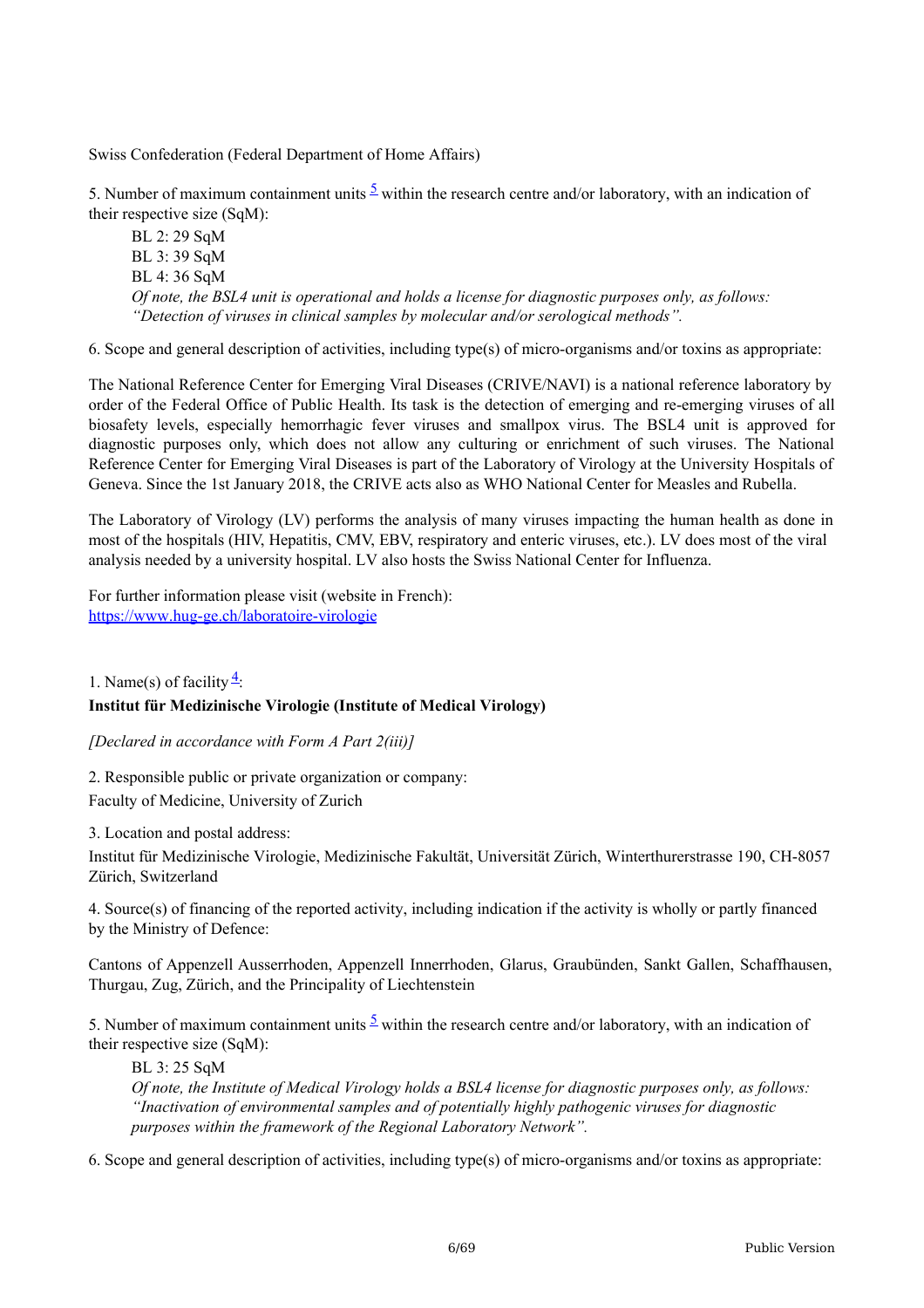Swiss Confederation (Federal Department of Home Affairs)

[5](#page-68-4). Number of maximum containment units  $\frac{5}{2}$  within the research centre and/or laboratory, with an indication of their respective size (SqM):

BL 2: 29 SqM BL 3: 39 SqM BL 4: 36 SqM *Of note, the BSL4 unit is operational and holds a license for diagnostic purposes only, as follows: "Detection of viruses in clinical samples by molecular and/or serological methods".*

6. Scope and general description of activities, including type(s) of micro-organisms and/or toxins as appropriate:

The National Reference Center for Emerging Viral Diseases (CRIVE/NAVI) is a national reference laboratory by order of the Federal Office of Public Health. Its task is the detection of emerging and re-emerging viruses of all biosafety levels, especially hemorrhagic fever viruses and smallpox virus. The BSL4 unit is approved for diagnostic purposes only, which does not allow any culturing or enrichment of such viruses. The National Reference Center for Emerging Viral Diseases is part of the Laboratory of Virology at the University Hospitals of Geneva. Since the 1st January 2018, the CRIVE acts also as WHO National Center for Measles and Rubella.

The Laboratory of Virology (LV) performs the analysis of many viruses impacting the human health as done in most of the hospitals (HIV, Hepatitis, CMV, EBV, respiratory and enteric viruses, etc.). LV does most of the viral analysis needed by a university hospital. LV also hosts the Swiss National Center for Influenza.

For further information please visit (website in French): <https://www.hug-ge.ch/laboratoire-virologie>

1. Name(s) of facility  $\frac{4}{5}$  $\frac{4}{5}$  $\frac{4}{5}$ :

#### **Institut für Medizinische Virologie (Institute of Medical Virology)**

*[Declared in accordance with Form A Part 2(iii)]*

2. Responsible public or private organization or company: Faculty of Medicine, University of Zurich

3. Location and postal address:

Institut für Medizinische Virologie, Medizinische Fakultät, Universität Zürich, Winterthurerstrasse 190, CH-8057 Zürich, Switzerland

4. Source(s) of financing of the reported activity, including indication if the activity is wholly or partly financed by the Ministry of Defence:

Cantons of Appenzell Ausserrhoden, Appenzell Innerrhoden, Glarus, Graubünden, Sankt Gallen, Schaffhausen, Thurgau, Zug, Zürich, and the Principality of Liechtenstein

[5](#page-68-4). Number of maximum containment units  $\frac{5}{2}$  within the research centre and/or laboratory, with an indication of their respective size (SqM):

BL 3: 25 SqM

*Of note, the Institute of Medical Virology holds a BSL4 license for diagnostic purposes only, as follows: "Inactivation of environmental samples and of potentially highly pathogenic viruses for diagnostic purposes within the framework of the Regional Laboratory Network".*

6. Scope and general description of activities, including type(s) of micro-organisms and/or toxins as appropriate: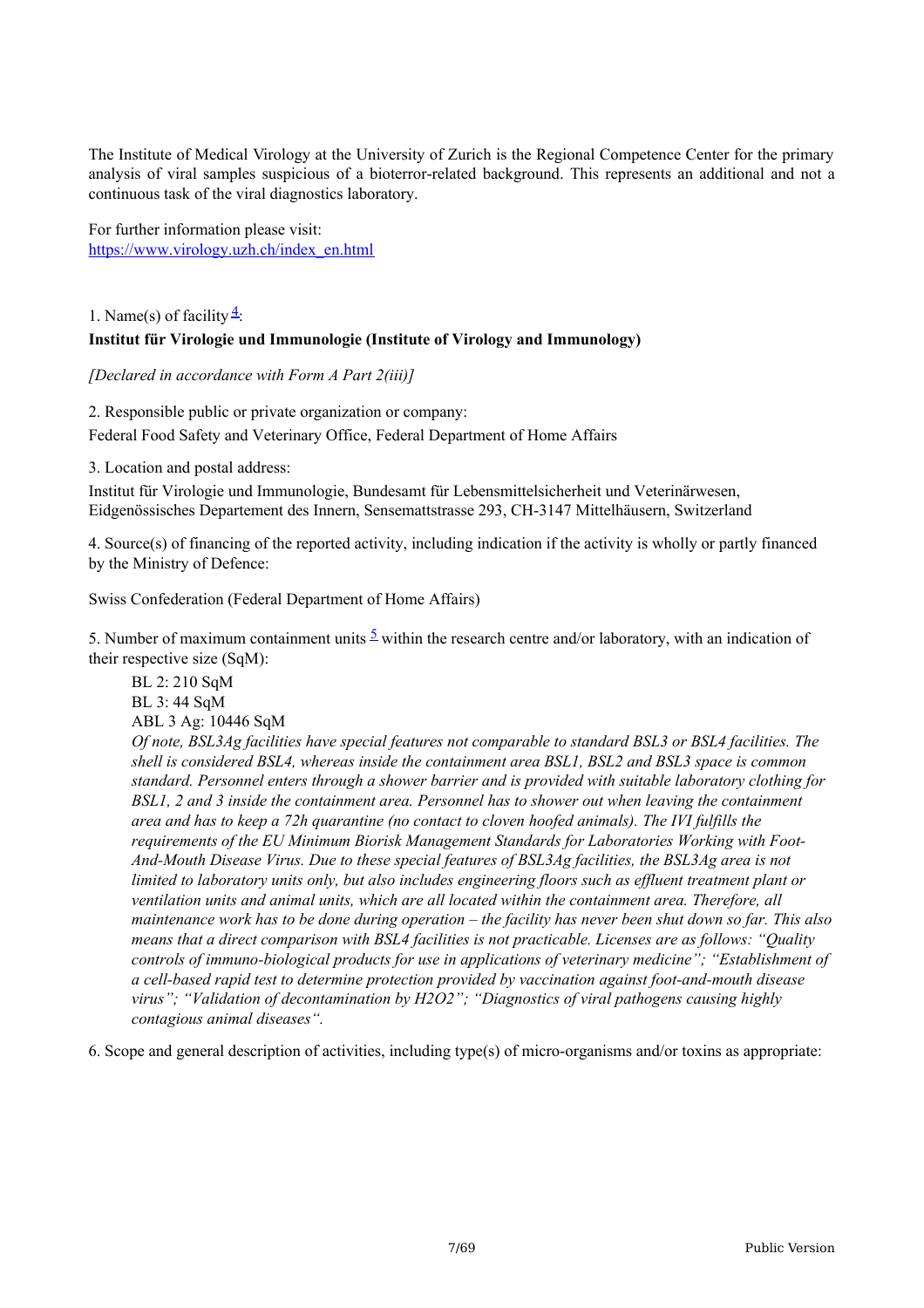The Institute of Medical Virology at the University of Zurich is the Regional Competence Center for the primary analysis of viral samples suspicious of a bioterror-related background. This represents an additional and not a continuous task of the viral diagnostics laboratory.

For further information please visit: [https://www.virology.uzh.ch/index\\_en.html](https://www.virology.uzh.ch/index_en.html)

# 1. Name(s) of facility  $\frac{4}{5}$  $\frac{4}{5}$  $\frac{4}{5}$ : **Institut für Virologie und Immunologie (Institute of Virology and Immunology)**

*[Declared in accordance with Form A Part 2(iii)]*

2. Responsible public or private organization or company: Federal Food Safety and Veterinary Office, Federal Department of Home Affairs

3. Location and postal address:

Institut für Virologie und Immunologie, Bundesamt für Lebensmittelsicherheit und Veterinärwesen, Eidgenössisches Departement des Innern, Sensemattstrasse 293, CH-3147 Mittelhäusern, Switzerland

4. Source(s) of financing of the reported activity, including indication if the activity is wholly or partly financed by the Ministry of Defence:

Swiss Confederation (Federal Department of Home Affairs)

[5](#page-68-4). Number of maximum containment units  $\frac{5}{2}$  within the research centre and/or laboratory, with an indication of their respective size (SqM):

BL 2: 210 SqM BL 3: 44 SqM ABL 3 Ag: 10446 SqM *Of note, BSL3Ag facilities have special features not comparable to standard BSL3 or BSL4 facilities. The shell is considered BSL4, whereas inside the containment area BSL1, BSL2 and BSL3 space is common standard. Personnel enters through a shower barrier and is provided with suitable laboratory clothing for BSL1, 2 and 3 inside the containment area. Personnel has to shower out when leaving the containment area and has to keep a 72h quarantine (no contact to cloven hoofed animals). The IVI fulfills the requirements of the EU Minimum Biorisk Management Standards for Laboratories Working with Foot-And-Mouth Disease Virus. Due to these special features of BSL3Ag facilities, the BSL3Ag area is not* limited to laboratory units only, but also includes engineering floors such as effluent treatment plant or *ventilation units and animal units, which are all located within the containment area. Therefore, all* maintenance work has to be done during operation – the facility has never been shut down so far. This also *means that a direct comparison with BSL4 facilities is not practicable. Licenses are as follows: "Quality controls of immuno-biological products for use in applications of veterinary medicine"; "Establishment of a cell-based rapid test to determine protection provided by vaccination against foot-and-mouth disease virus"; "Validation of decontamination by H2O2"; "Diagnostics of viral pathogens causing highly contagious animal diseases".*

6. Scope and general description of activities, including type(s) of micro-organisms and/or toxins as appropriate: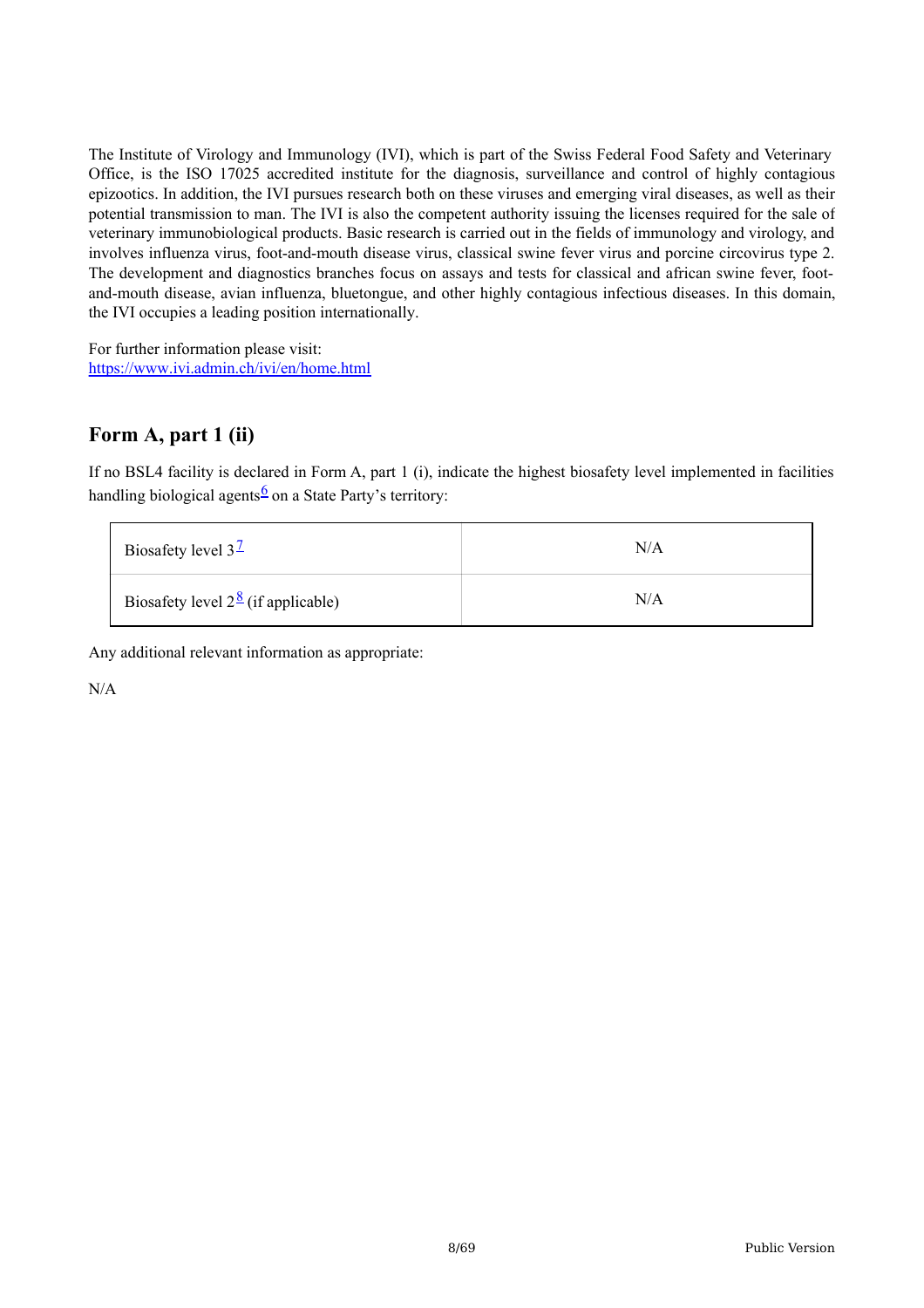The Institute of Virology and Immunology (IVI), which is part of the Swiss Federal Food Safety and Veterinary Office, is the ISO 17025 accredited institute for the diagnosis, surveillance and control of highly contagious epizootics. In addition, the IVI pursues research both on these viruses and emerging viral diseases, as well as their potential transmission to man. The IVI is also the competent authority issuing the licenses required for the sale of veterinary immunobiological products. Basic research is carried out in the fields of immunology and virology, and involves influenza virus, foot-and-mouth disease virus, classical swine fever virus and porcine circovirus type 2. The development and diagnostics branches focus on assays and tests for classical and african swine fever, footand-mouth disease, avian influenza, bluetongue, and other highly contagious infectious diseases. In this domain, the IVI occupies a leading position internationally.

For further information please visit: <https://www.ivi.admin.ch/ivi/en/home.html>

# **Form A, part 1 (ii)**

If no BSL4 facility is declared in Form A, part 1 (i), indicate the highest biosafety level implemented in facilities handling biological agents<sup>[6](#page-68-5)</sup> on a State Party's territory:

| Biosafety level $3^{\frac{1}{2}}$                 | N/A |
|---------------------------------------------------|-----|
| Biosafety level $2^{\frac{8}{2}}$ (if applicable) | N/A |

Any additional relevant information as appropriate:

N/A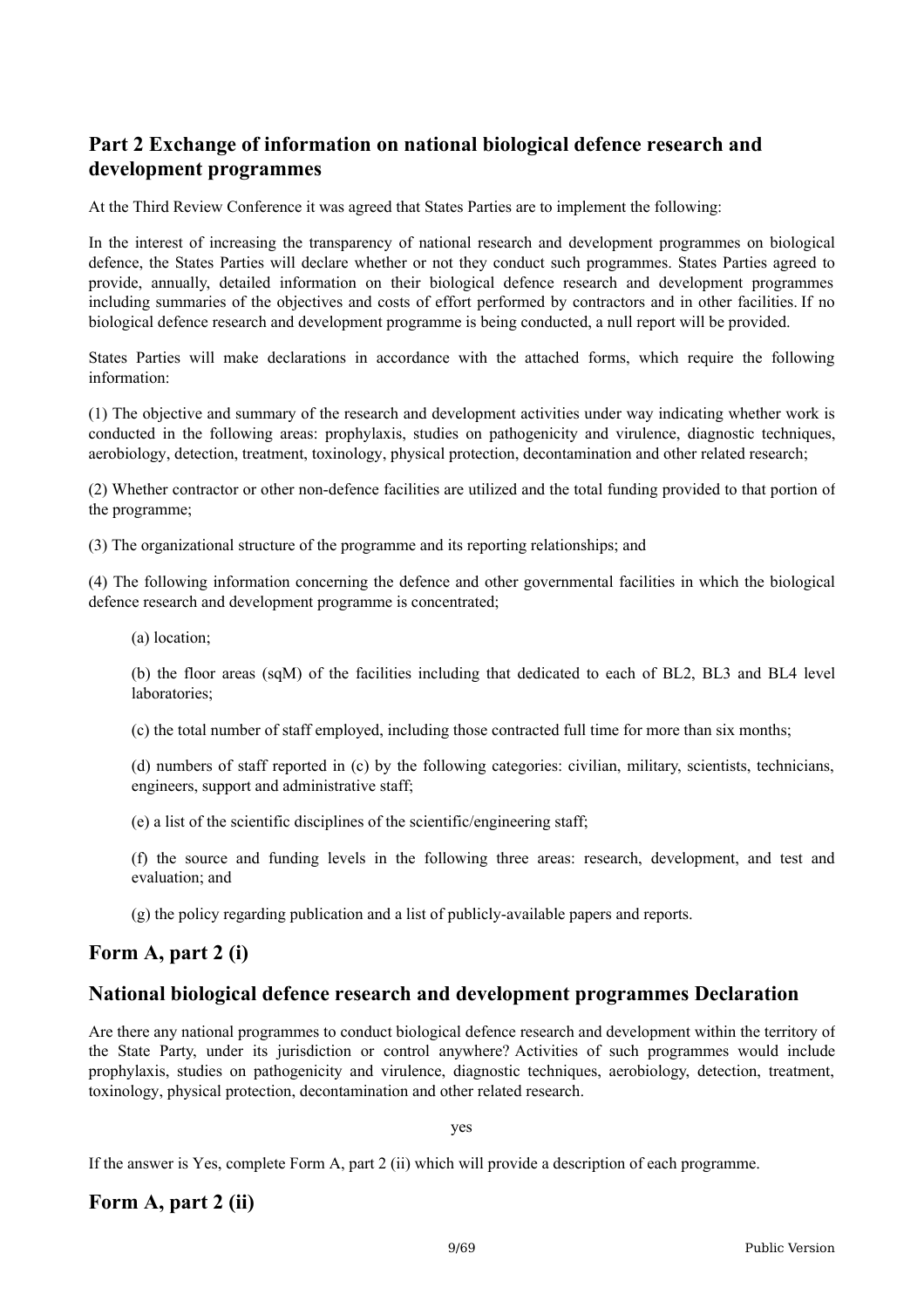# **Part 2 Exchange of information on national biological defence research and development programmes**

At the Third Review Conference it was agreed that States Parties are to implement the following:

In the interest of increasing the transparency of national research and development programmes on biological defence, the States Parties will declare whether or not they conduct such programmes. States Parties agreed to provide, annually, detailed information on their biological defence research and development programmes including summaries of the objectives and costs of effort performed by contractors and in other facilities. If no biological defence research and development programme is being conducted, a null report will be provided.

States Parties will make declarations in accordance with the attached forms, which require the following information:

(1) The objective and summary of the research and development activities under way indicating whether work is conducted in the following areas: prophylaxis, studies on pathogenicity and virulence, diagnostic techniques, aerobiology, detection, treatment, toxinology, physical protection, decontamination and other related research;

(2) Whether contractor or other non-defence facilities are utilized and the total funding provided to that portion of the programme;

(3) The organizational structure of the programme and its reporting relationships; and

(4) The following information concerning the defence and other governmental facilities in which the biological defence research and development programme is concentrated;

(a) location;

(b) the floor areas (sqM) of the facilities including that dedicated to each of BL2, BL3 and BL4 level laboratories;

(c) the total number of staff employed, including those contracted full time for more than six months;

(d) numbers of staff reported in (c) by the following categories: civilian, military, scientists, technicians, engineers, support and administrative staff;

(e) a list of the scientific disciplines of the scientific/engineering staff;

(f) the source and funding levels in the following three areas: research, development, and test and evaluation; and

(g) the policy regarding publication and a list of publicly-available papers and reports.

## **Form A, part 2 (i)**

## **National biological defence research and development programmes Declaration**

Are there any national programmes to conduct biological defence research and development within the territory of the State Party, under its jurisdiction or control anywhere? Activities of such programmes would include prophylaxis, studies on pathogenicity and virulence, diagnostic techniques, aerobiology, detection, treatment, toxinology, physical protection, decontamination and other related research.

yes

If the answer is Yes, complete Form A, part 2 (ii) which will provide a description of each programme.

## **Form A, part 2 (ii)**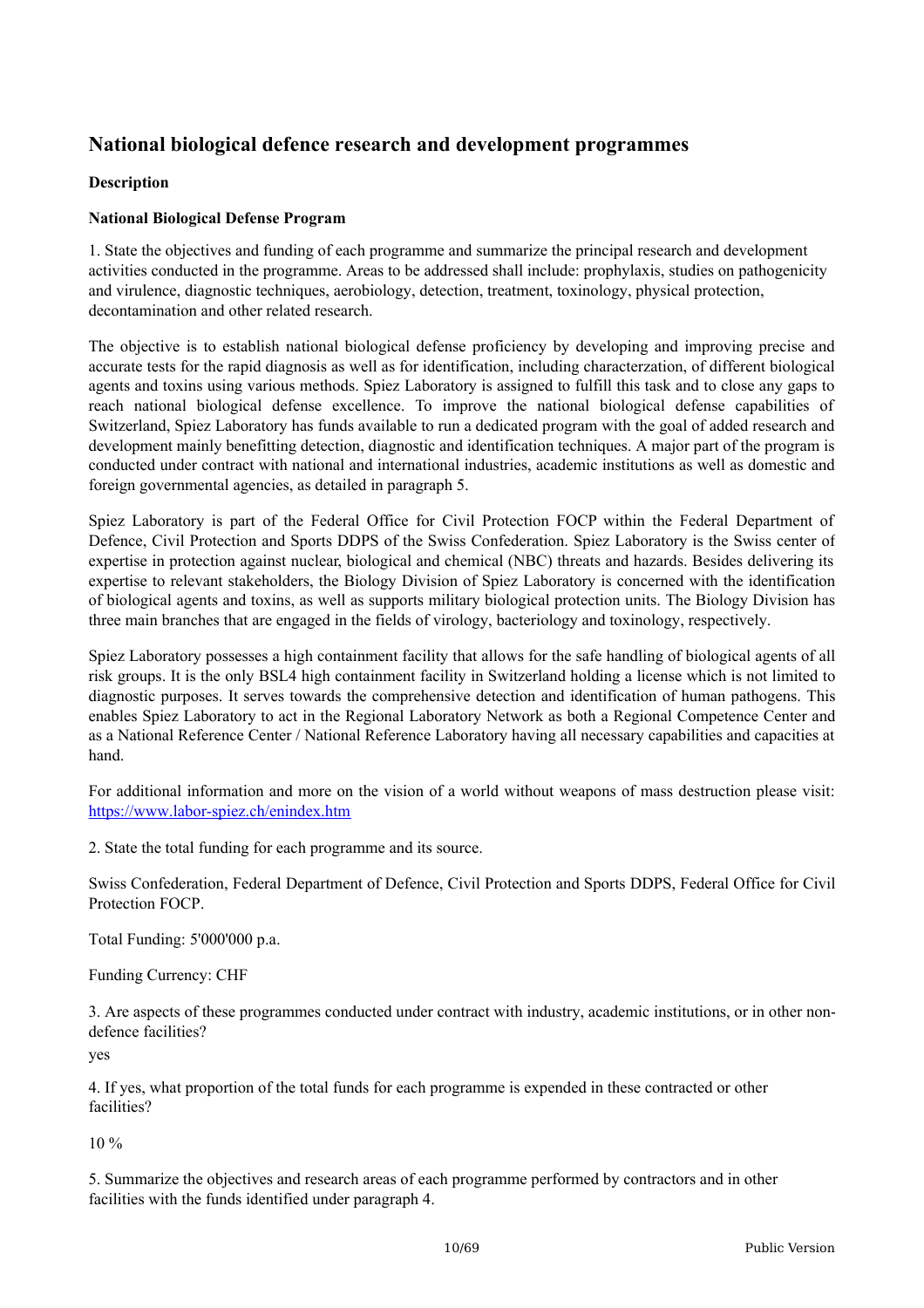# **National biological defence research and development programmes**

#### **Description**

#### **National Biological Defense Program**

1. State the objectives and funding of each programme and summarize the principal research and development activities conducted in the programme. Areas to be addressed shall include: prophylaxis, studies on pathogenicity and virulence, diagnostic techniques, aerobiology, detection, treatment, toxinology, physical protection, decontamination and other related research.

The objective is to establish national biological defense proficiency by developing and improving precise and accurate tests for the rapid diagnosis as well as for identification, including characterzation, of different biological agents and toxins using various methods. Spiez Laboratory is assigned to fulfill this task and to close any gaps to reach national biological defense excellence. To improve the national biological defense capabilities of Switzerland, Spiez Laboratory has funds available to run a dedicated program with the goal of added research and development mainly benefitting detection, diagnostic and identification techniques. A major part of the program is conducted under contract with national and international industries, academic institutions as well as domestic and foreign governmental agencies, as detailed in paragraph 5.

Spiez Laboratory is part of the Federal Office for Civil Protection FOCP within the Federal Department of Defence, Civil Protection and Sports DDPS of the Swiss Confederation. Spiez Laboratory is the Swiss center of expertise in protection against nuclear, biological and chemical (NBC) threats and hazards. Besides delivering its expertise to relevant stakeholders, the Biology Division of Spiez Laboratory is concerned with the identification of biological agents and toxins, as well as supports military biological protection units. The Biology Division has three main branches that are engaged in the fields of virology, bacteriology and toxinology, respectively.

Spiez Laboratory possesses a high containment facility that allows for the safe handling of biological agents of all risk groups. It is the only BSL4 high containment facility in Switzerland holding a license which is not limited to diagnostic purposes. It serves towards the comprehensive detection and identification of human pathogens. This enables Spiez Laboratory to act in the Regional Laboratory Network as both a Regional Competence Center and as a National Reference Center / National Reference Laboratory having all necessary capabilities and capacities at hand.

For additional information and more on the vision of a world without weapons of mass destruction please visit: <https://www.labor-spiez.ch/enindex.htm>

2. State the total funding for each programme and its source.

Swiss Confederation, Federal Department of Defence, Civil Protection and Sports DDPS, Federal Office for Civil Protection FOCP.

Total Funding: 5'000'000 p.a.

Funding Currency: CHF

3. Are aspects of these programmes conducted under contract with industry, academic institutions, or in other nondefence facilities?

yes

4. If yes, what proportion of the total funds for each programme is expended in these contracted or other facilities?

10 %

5. Summarize the objectives and research areas of each programme performed by contractors and in other facilities with the funds identified under paragraph 4.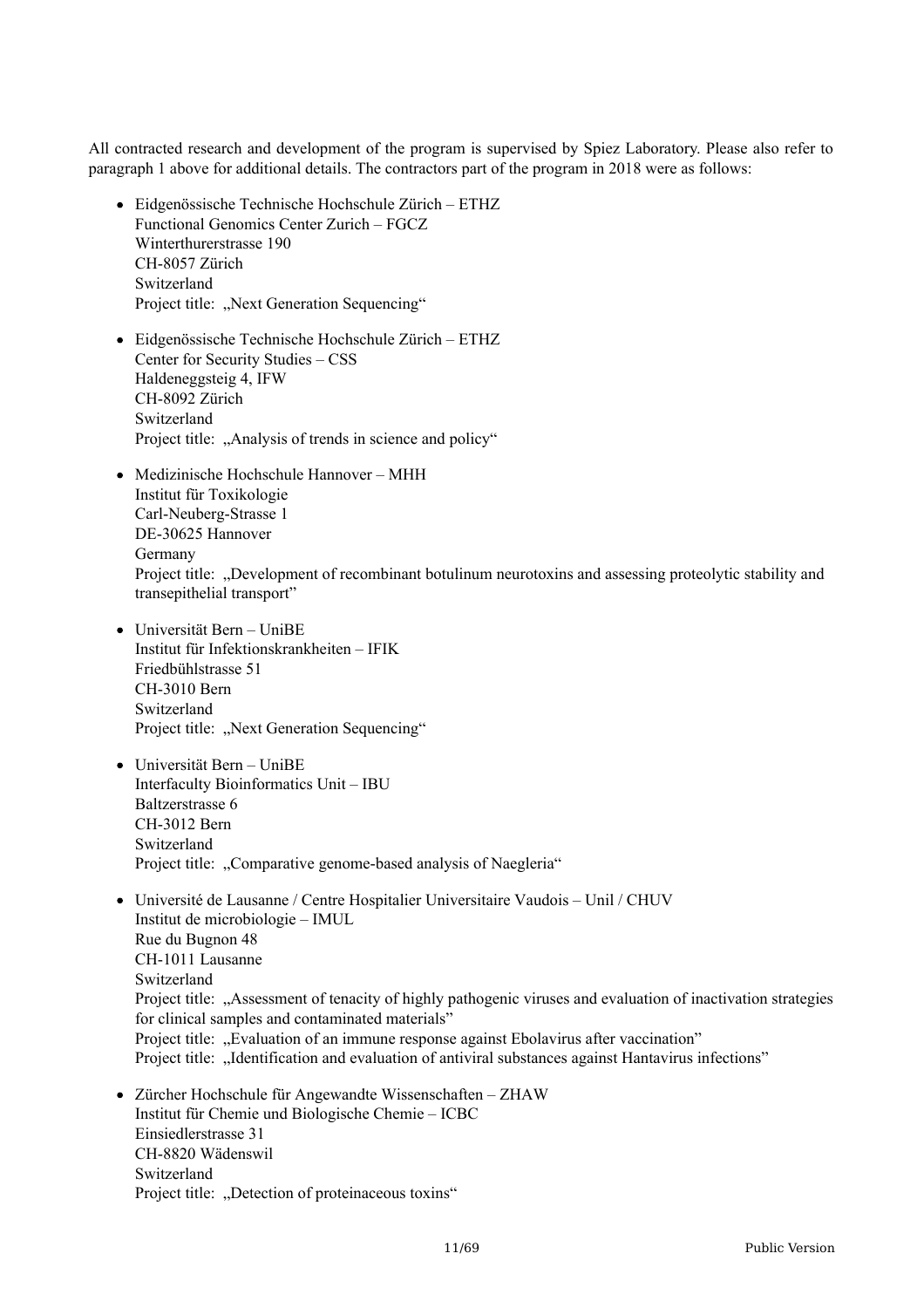All contracted research and development of the program is supervised by Spiez Laboratory. Please also refer to paragraph 1 above for additional details. The contractors part of the program in 2018 were as follows:

- Eidgenössische Technische Hochschule Zürich ETHZ Functional Genomics Center Zurich – FGCZ Winterthurerstrasse 190 CH-8057 Zürich Switzerland Project title: "Next Generation Sequencing"
- Eidgenössische Technische Hochschule Zürich ETHZ Center for Security Studies – CSS Haldeneggsteig 4, IFW CH-8092 Zürich Switzerland Project title: "Analysis of trends in science and policy"
- Medizinische Hochschule Hannover MHH Institut für Toxikologie Carl-Neuberg-Strasse 1 DE-30625 Hannover Germany Project title: "Development of recombinant botulinum neurotoxins and assessing proteolytic stability and transepithelial transport"
- Universität Bern UniBE Institut für Infektionskrankheiten – IFIK Friedbühlstrasse 51 CH-3010 Bern Switzerland Project title: "Next Generation Sequencing"
- Universität Bern UniBE Interfaculty Bioinformatics Unit – IBU Baltzerstrasse 6 CH-3012 Bern Switzerland Project title: "Comparative genome-based analysis of Naegleria"
- Université de Lausanne / Centre Hospitalier Universitaire Vaudois Unil / CHUV Institut de microbiologie – IMUL Rue du Bugnon 48 CH-1011 Lausanne Switzerland Project title: ...Assessment of tenacity of highly pathogenic viruses and evaluation of inactivation strategies for clinical samples and contaminated materials" Project title: "Evaluation of an immune response against Ebolavirus after vaccination" Project title: "Identification and evaluation of antiviral substances against Hantavirus infections"
- Zürcher Hochschule für Angewandte Wissenschaften ZHAW Institut für Chemie und Biologische Chemie – ICBC Einsiedlerstrasse 31 CH-8820 Wädenswil Switzerland Project title: "Detection of proteinaceous toxins"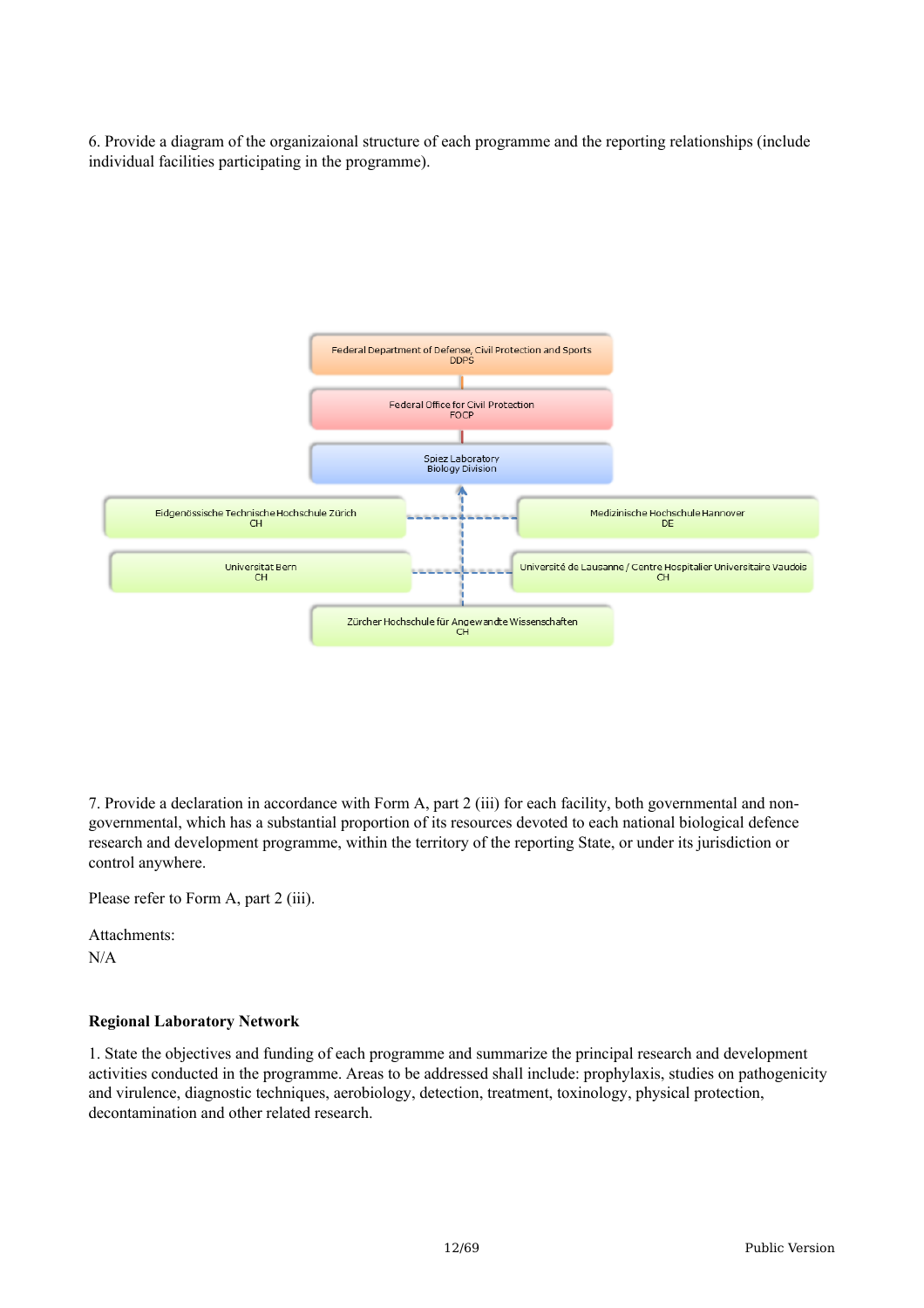6. Provide a diagram of the organizaional structure of each programme and the reporting relationships (include individual facilities participating in the programme).



7. Provide a declaration in accordance with Form A, part 2 (iii) for each facility, both governmental and nongovernmental, which has a substantial proportion of its resources devoted to each national biological defence research and development programme, within the territory of the reporting State, or under its jurisdiction or control anywhere.

Please refer to Form A, part 2 (iii).

Attachments: N/A

#### **Regional Laboratory Network**

1. State the objectives and funding of each programme and summarize the principal research and development activities conducted in the programme. Areas to be addressed shall include: prophylaxis, studies on pathogenicity and virulence, diagnostic techniques, aerobiology, detection, treatment, toxinology, physical protection, decontamination and other related research.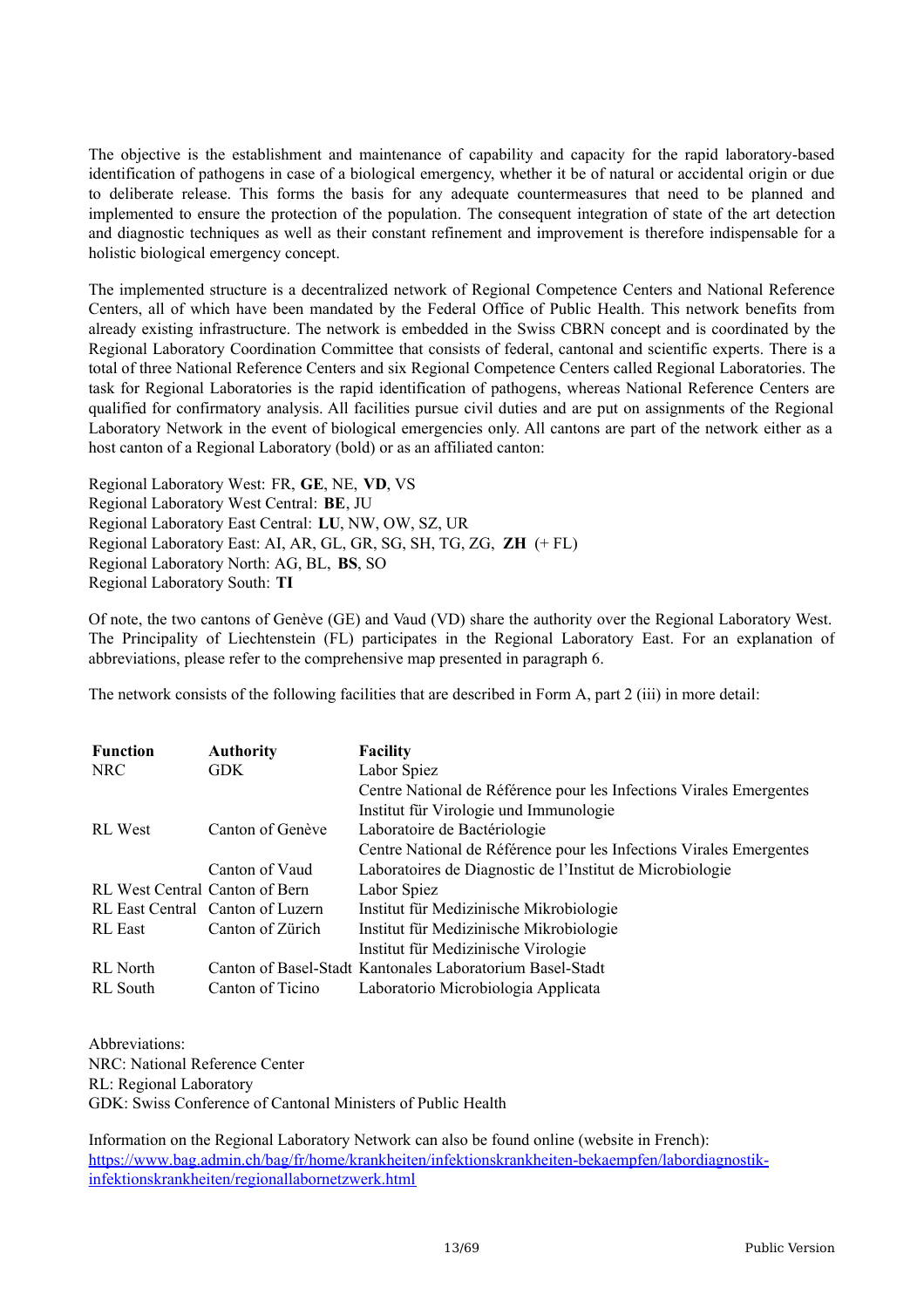The objective is the establishment and maintenance of capability and capacity for the rapid laboratory-based identification of pathogens in case of a biological emergency, whether it be of natural or accidental origin or due to deliberate release. This forms the basis for any adequate countermeasures that need to be planned and implemented to ensure the protection of the population. The consequent integration of state of the art detection and diagnostic techniques as well as their constant refinement and improvement is therefore indispensable for a holistic biological emergency concept.

The implemented structure is a decentralized network of Regional Competence Centers and National Reference Centers, all of which have been mandated by the Federal Office of Public Health. This network benefits from already existing infrastructure. The network is embedded in the Swiss CBRN concept and is coordinated by the Regional Laboratory Coordination Committee that consists of federal, cantonal and scientific experts. There is a total of three National Reference Centers and six Regional Competence Centers called Regional Laboratories. The task for Regional Laboratories is the rapid identification of pathogens, whereas National Reference Centers are qualified for confirmatory analysis. All facilities pursue civil duties and are put on assignments of the Regional Laboratory Network in the event of biological emergencies only. All cantons are part of the network either as a host canton of a Regional Laboratory (bold) or as an affiliated canton:

Regional Laboratory West: FR, **GE**, NE, **VD**, VS Regional Laboratory West Central: **BE**, JU Regional Laboratory East Central: **LU**, NW, OW, SZ, UR Regional Laboratory East: AI, AR, GL, GR, SG, SH, TG, ZG, **ZH** (+ FL) Regional Laboratory North: AG, BL, **BS**, SO Regional Laboratory South: **TI**

Of note, the two cantons of Genève (GE) and Vaud (VD) share the authority over the Regional Laboratory West. The Principality of Liechtenstein (FL) participates in the Regional Laboratory East. For an explanation of abbreviations, please refer to the comprehensive map presented in paragraph 6.

The network consists of the following facilities that are described in Form A, part 2 (iii) in more detail:

| <b>Function</b>                | <b>Authority</b>                 | <b>Facility</b>                                                     |
|--------------------------------|----------------------------------|---------------------------------------------------------------------|
| <b>NRC</b>                     | <b>GDK</b>                       | Labor Spiez                                                         |
|                                |                                  | Centre National de Référence pour les Infections Virales Emergentes |
|                                |                                  | Institut für Virologie und Immunologie                              |
| <b>RL</b> West                 | Canton of Genève                 | Laboratoire de Bactériologie                                        |
|                                |                                  | Centre National de Référence pour les Infections Virales Emergentes |
|                                | Canton of Vaud                   | Laboratoires de Diagnostic de l'Institut de Microbiologie           |
| RL West Central Canton of Bern |                                  | Labor Spiez                                                         |
|                                | RL East Central Canton of Luzern | Institut für Medizinische Mikrobiologie                             |
| <b>RL</b> East                 | Canton of Zürich                 | Institut für Medizinische Mikrobiologie                             |
|                                |                                  | Institut für Medizinische Virologie                                 |
| <b>RL</b> North                |                                  | Canton of Basel-Stadt Kantonales Laboratorium Basel-Stadt           |
| RL South                       | Canton of Ticino                 | Laboratorio Microbiologia Applicata                                 |

Abbreviations: NRC: National Reference Center RL: Regional Laboratory GDK: Swiss Conference of Cantonal Ministers of Public Health

Information on the Regional Laboratory Network can also be found online (website in French): [https://www.bag.admin.ch/bag/fr/home/krankheiten/infektionskrankheiten-bekaempfen/labordiagnostik](https://www.bag.admin.ch/bag/fr/home/krankheiten/infektionskrankheiten-bekaempfen/labordiagnostik-infektionskrankheiten/regionallabornetzwerk.html)infektionskrankheiten/regionallabornetzwerk.html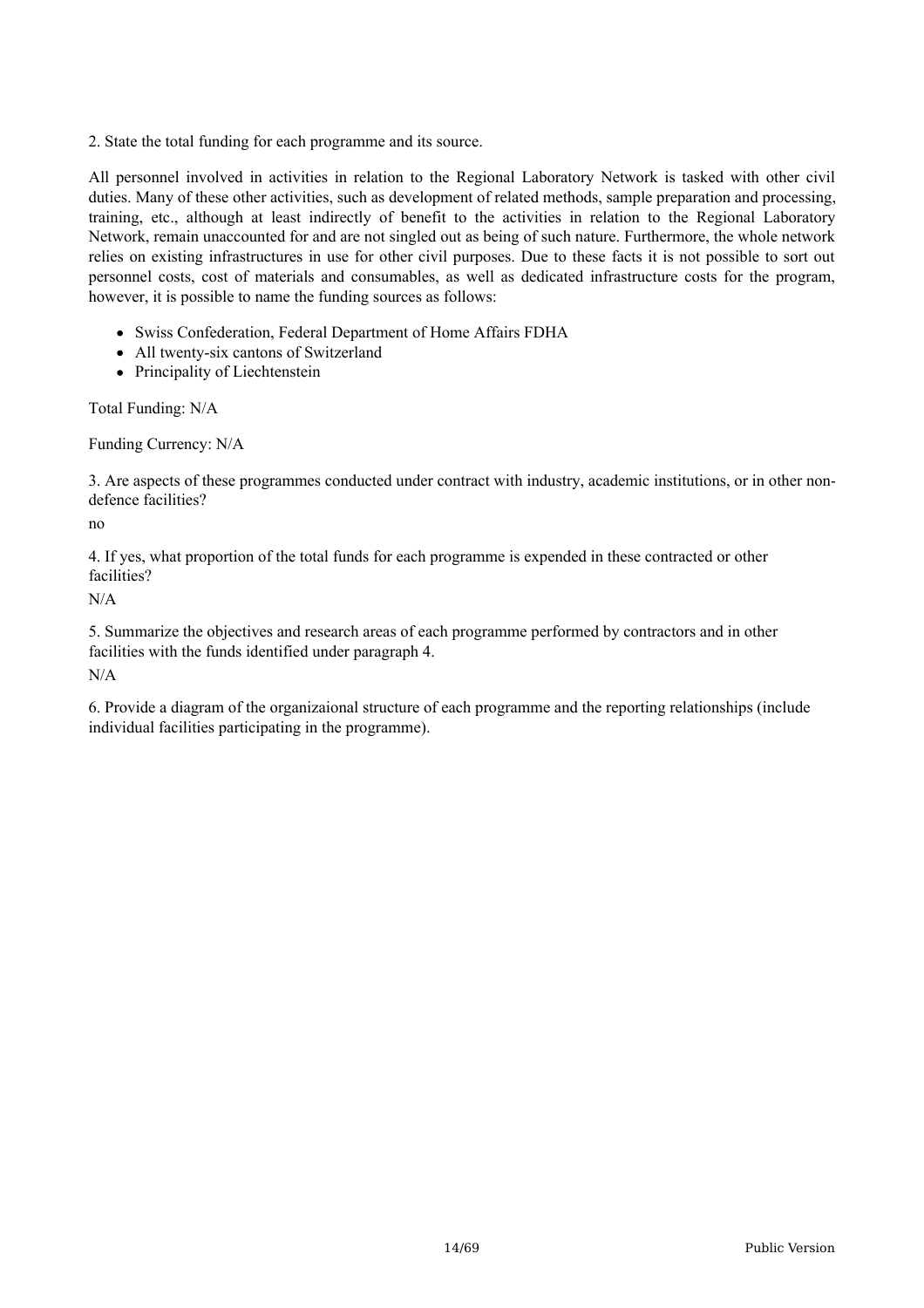2. State the total funding for each programme and its source.

All personnel involved in activities in relation to the Regional Laboratory Network is tasked with other civil duties. Many of these other activities, such as development of related methods, sample preparation and processing, training, etc., although at least indirectly of benefit to the activities in relation to the Regional Laboratory Network, remain unaccounted for and are not singled out as being of such nature. Furthermore, the whole network relies on existing infrastructures in use for other civil purposes. Due to these facts it is not possible to sort out personnel costs, cost of materials and consumables, as well as dedicated infrastructure costs for the program, however, it is possible to name the funding sources as follows:

- Swiss Confederation, Federal Department of Home Affairs FDHA
- All twenty-six cantons of Switzerland
- Principality of Liechtenstein

Total Funding: N/A

Funding Currency: N/A

3. Are aspects of these programmes conducted under contract with industry, academic institutions, or in other nondefence facilities?

no

4. If yes, what proportion of the total funds for each programme is expended in these contracted or other facilities?

N/A

5. Summarize the objectives and research areas of each programme performed by contractors and in other facilities with the funds identified under paragraph 4.

N/A

6. Provide a diagram of the organizaional structure of each programme and the reporting relationships (include individual facilities participating in the programme).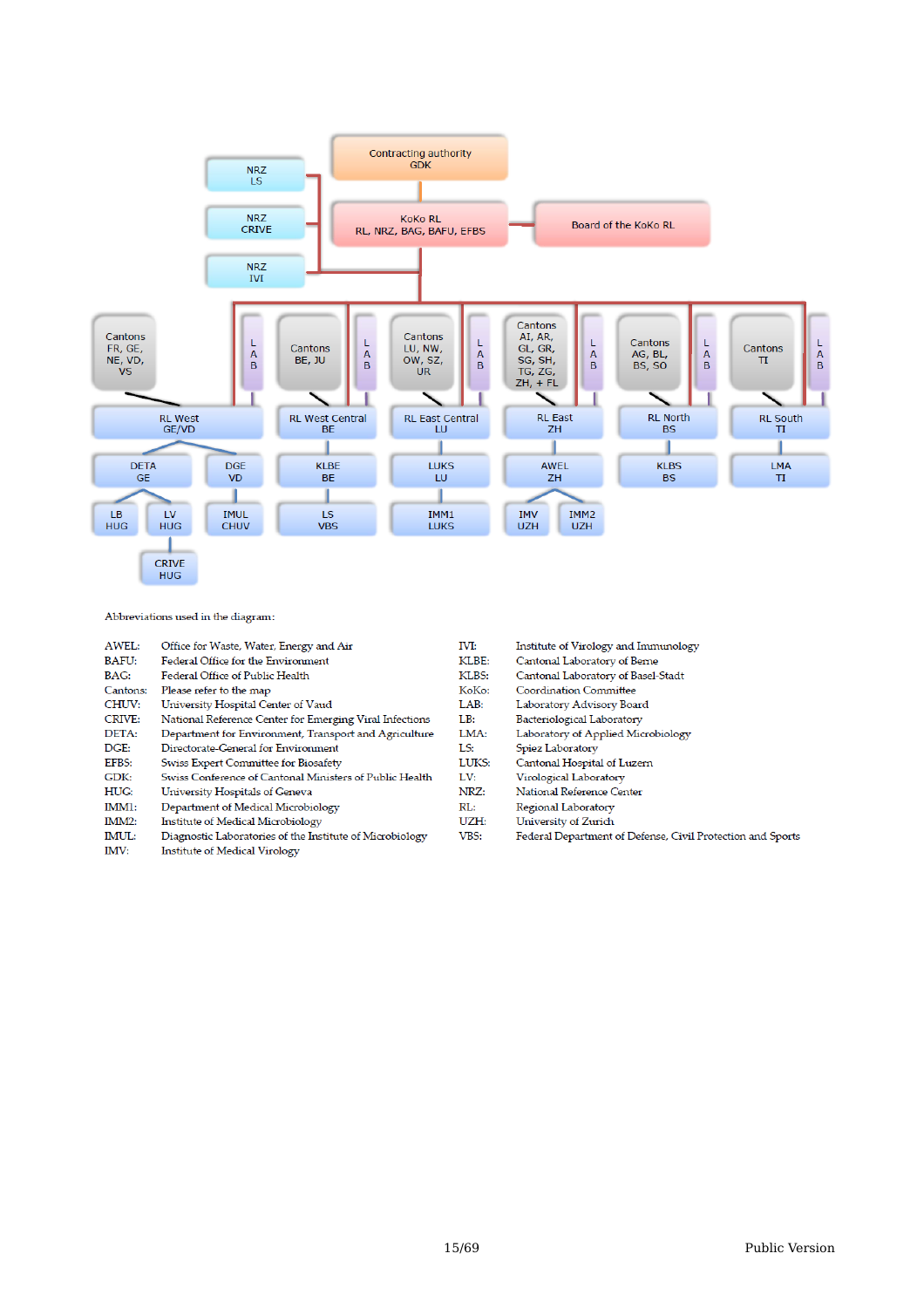

Abbreviations used in the diagram:

| AWEL:    | Office for Waste, Water, Energy and Air                  | IVI:  | Institute of Virology and Immunology                       |
|----------|----------------------------------------------------------|-------|------------------------------------------------------------|
| BAFU:    | Federal Office for the Environment                       | KLBE: | Cantonal Laboratory of Berne                               |
| BAG:     | Federal Office of Public Health                          | KLBS: | Cantonal Laboratory of Basel-Stadt                         |
| Cantons: | Please refer to the map                                  | KoKo: | Coordination Committee                                     |
| CHUV:    | University Hospital Center of Vaud                       | LAB:  | Laboratory Advisory Board                                  |
| CRIVE:   | National Reference Center for Emerging Viral Infections  | LB:   | Bacteriological Laboratory                                 |
| DETA:    | Department for Environment, Transport and Agriculture    | LMA:  | Laboratory of Applied Microbiology                         |
| DGE:     | Directorate-General for Environment                      | LS:   | Spiez Laboratory                                           |
| EFBS:    | Swiss Expert Committee for Biosafety                     | LUKS: | Cantonal Hospital of Luzern                                |
| GDK:     | Swiss Conference of Cantonal Ministers of Public Health  | LV:   | Virological Laboratory                                     |
| HUG:     | University Hospitals of Geneva                           | NRZ:  | National Reference Center                                  |
| IMM1:    | Department of Medical Microbiology                       | RL:   | Regional Laboratory                                        |
| IMM2:    | Institute of Medical Microbiology                        | UZH:  | University of Zurich                                       |
| IMUL:    | Diagnostic Laboratories of the Institute of Microbiology | VBS:  | Federal Department of Defense, Civil Protection and Sports |
| IMV:     | <b>Institute of Medical Virology</b>                     |       |                                                            |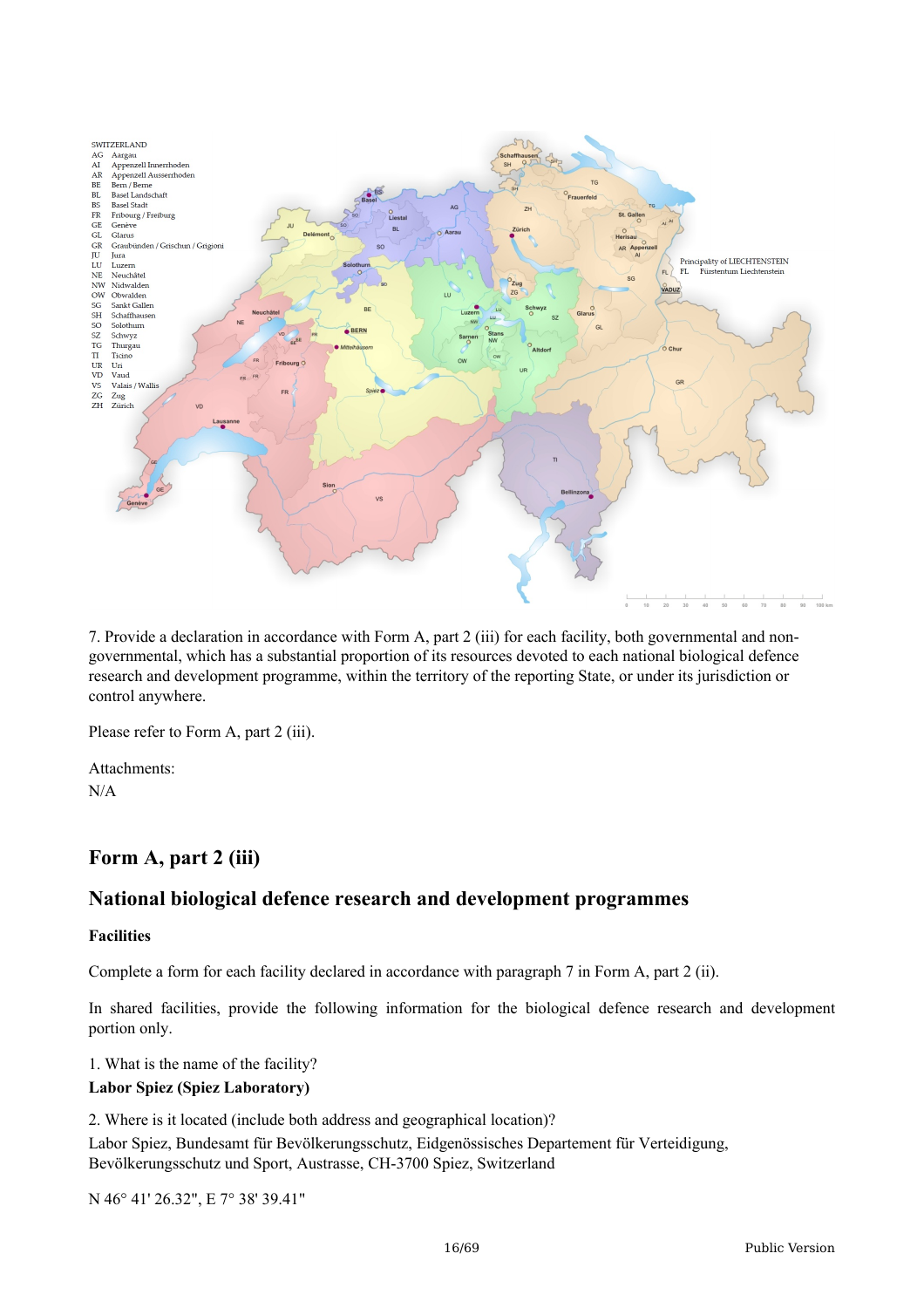

7. Provide a declaration in accordance with Form A, part 2 (iii) for each facility, both governmental and nongovernmental, which has a substantial proportion of its resources devoted to each national biological defence research and development programme, within the territory of the reporting State, or under its jurisdiction or control anywhere.

Please refer to Form A, part 2 (iii).

Attachments: N/A

## **Form A, part 2 (iii)**

## **National biological defence research and development programmes**

#### **Facilities**

Complete a form for each facility declared in accordance with paragraph 7 in Form A, part 2 (ii).

In shared facilities, provide the following information for the biological defence research and development portion only.

1. What is the name of the facility?

#### **Labor Spiez (Spiez Laboratory)**

2. Where is it located (include both address and geographical location)? Labor Spiez, Bundesamt für Bevölkerungsschutz, Eidgenössisches Departement für Verteidigung, Bevölkerungsschutz und Sport, Austrasse, CH-3700 Spiez, Switzerland

N 46° 41' 26.32", E 7° 38' 39.41"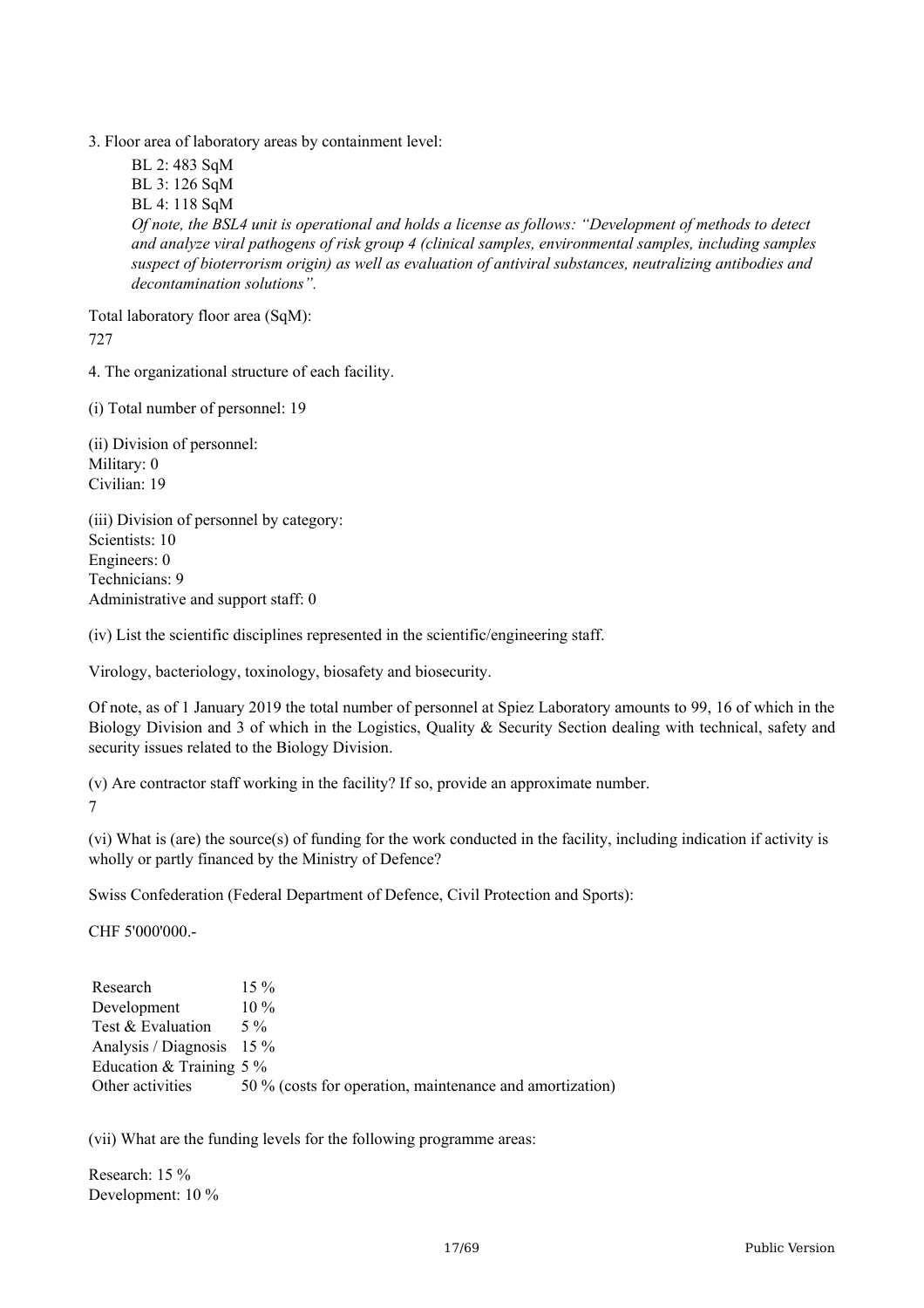3. Floor area of laboratory areas by containment level:

BL 2: 483 SqM BL 3: 126 SqM BL 4: 118 SqM Of note, the BSL4 unit is operational and holds a license as follows: "Development of methods to detect *and analyze viral pathogens of risk group 4 (clinical samples, environmental samples, including samples suspect of bioterrorism origin) as well as evaluation of antiviral substances, neutralizing antibodies and decontamination solutions".*

Total laboratory floor area (SqM): 727

4. The organizational structure of each facility.

(i) Total number of personnel: 19

(ii) Division of personnel: Military: 0 Civilian: 19

(iii) Division of personnel by category: Scientists: 10 Engineers: 0 Technicians: 9 Administrative and support staff: 0

(iv) List the scientific disciplines represented in the scientific/engineering staff.

Virology, bacteriology, toxinology, biosafety and biosecurity.

Of note, as of 1 January 2019 the total number of personnel at Spiez Laboratory amounts to 99, 16 of which in the Biology Division and 3 of which in the Logistics, Quality & Security Section dealing with technical, safety and security issues related to the Biology Division.

(v) Are contractor staff working in the facility? If so, provide an approximate number.

7

(vi) What is (are) the source(s) of funding for the work conducted in the facility, including indication if activity is wholly or partly financed by the Ministry of Defence?

Swiss Confederation (Federal Department of Defence, Civil Protection and Sports):

CHF 5'000'000.-

| 50 % (costs for operation, maintenance and amortization) |
|----------------------------------------------------------|
|                                                          |

(vii) What are the funding levels for the following programme areas:

Research: 15 % Development: 10 %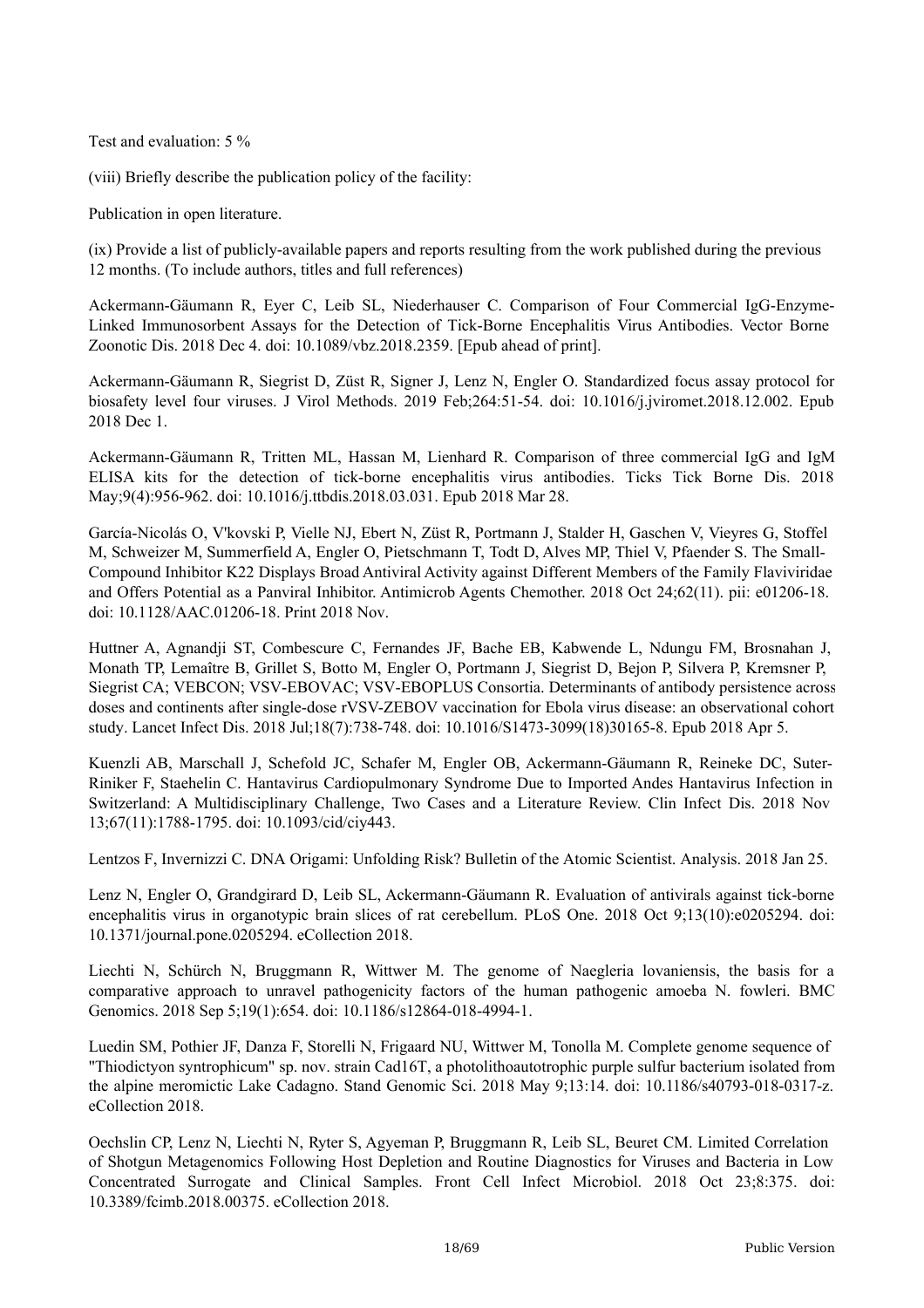Test and evaluation: 5 %

(viii) Briefly describe the publication policy of the facility:

Publication in open literature.

(ix) Provide a list of publicly-available papers and reports resulting from the work published during the previous 12 months. (To include authors, titles and full references)

Ackermann-Gäumann R, Eyer C, Leib SL, Niederhauser C. Comparison of Four Commercial IgG-Enzyme-Linked Immunosorbent Assays for the Detection of Tick-Borne Encephalitis Virus Antibodies. Vector Borne Zoonotic Dis. 2018 Dec 4. doi: 10.1089/vbz.2018.2359. [Epub ahead of print].

Ackermann-Gäumann R, Siegrist D, Züst R, Signer J, Lenz N, Engler O. Standardized focus assay protocol for biosafety level four viruses. J Virol Methods. 2019 Feb;264:51-54. doi: 10.1016/j.jviromet.2018.12.002. Epub 2018 Dec 1.

Ackermann-Gäumann R, Tritten ML, Hassan M, Lienhard R. Comparison of three commercial IgG and IgM ELISA kits for the detection of tick-borne encephalitis virus antibodies. Ticks Tick Borne Dis. 2018 May;9(4):956-962. doi: 10.1016/j.ttbdis.2018.03.031. Epub 2018 Mar 28.

García-Nicolás O, V'kovski P, Vielle NJ, Ebert N, Züst R, Portmann J, Stalder H, Gaschen V, Vieyres G, Stoffel M, Schweizer M, Summerfield A, Engler O, Pietschmann T, Todt D, Alves MP, Thiel V, Pfaender S. The Small-Compound Inhibitor K22 Displays Broad Antiviral Activity against Different Members of the Family Flaviviridae and Offers Potential as a Panviral Inhibitor. Antimicrob Agents Chemother. 2018 Oct 24;62(11). pii: e01206-18. doi: 10.1128/AAC.01206-18. Print 2018 Nov.

Huttner A, Agnandji ST, Combescure C, Fernandes JF, Bache EB, Kabwende L, Ndungu FM, Brosnahan J, Monath TP, Lemaître B, Grillet S, Botto M, Engler O, Portmann J, Siegrist D, Bejon P, Silvera P, Kremsner P, Siegrist CA; VEBCON; VSV-EBOVAC; VSV-EBOPLUS Consortia. Determinants of antibody persistence across doses and continents after single-dose rVSV-ZEBOV vaccination for Ebola virus disease: an observational cohort study. Lancet Infect Dis. 2018 Jul;18(7):738-748. doi: 10.1016/S1473-3099(18)30165-8. Epub 2018 Apr 5.

Kuenzli AB, Marschall J, Schefold JC, Schafer M, Engler OB, Ackermann-Gäumann R, Reineke DC, Suter-Riniker F, Staehelin C. Hantavirus Cardiopulmonary Syndrome Due to Imported Andes Hantavirus Infection in Switzerland: A Multidisciplinary Challenge, Two Cases and a Literature Review. Clin Infect Dis. 2018 Nov 13;67(11):1788-1795. doi: 10.1093/cid/ciy443.

Lentzos F, Invernizzi C. DNA Origami: Unfolding Risk? Bulletin of the Atomic Scientist. Analysis. 2018 Jan 25.

Lenz N, Engler O, Grandgirard D, Leib SL, Ackermann-Gäumann R. Evaluation of antivirals against tick-borne encephalitis virus in organotypic brain slices of rat cerebellum. PLoS One. 2018 Oct 9;13(10):e0205294. doi: 10.1371/journal.pone.0205294. eCollection 2018.

Liechti N, Schürch N, Bruggmann R, Wittwer M. The genome of Naegleria lovaniensis, the basis for a comparative approach to unravel pathogenicity factors of the human pathogenic amoeba N. fowleri. BMC Genomics. 2018 Sep 5;19(1):654. doi: 10.1186/s12864-018-4994-1.

Luedin SM, Pothier JF, Danza F, Storelli N, Frigaard NU, Wittwer M, Tonolla M. Complete genome sequence of "Thiodictyon syntrophicum" sp. nov. strain Cad16T, a photolithoautotrophic purple sulfur bacterium isolated from the alpine meromictic Lake Cadagno. Stand Genomic Sci. 2018 May 9;13:14. doi: 10.1186/s40793-018-0317-z. eCollection 2018.

Oechslin CP, Lenz N, Liechti N, Ryter S, Agyeman P, Bruggmann R, Leib SL, Beuret CM. Limited Correlation of Shotgun Metagenomics Following Host Depletion and Routine Diagnostics for Viruses and Bacteria in Low Concentrated Surrogate and Clinical Samples. Front Cell Infect Microbiol. 2018 Oct 23;8:375. doi: 10.3389/fcimb.2018.00375. eCollection 2018.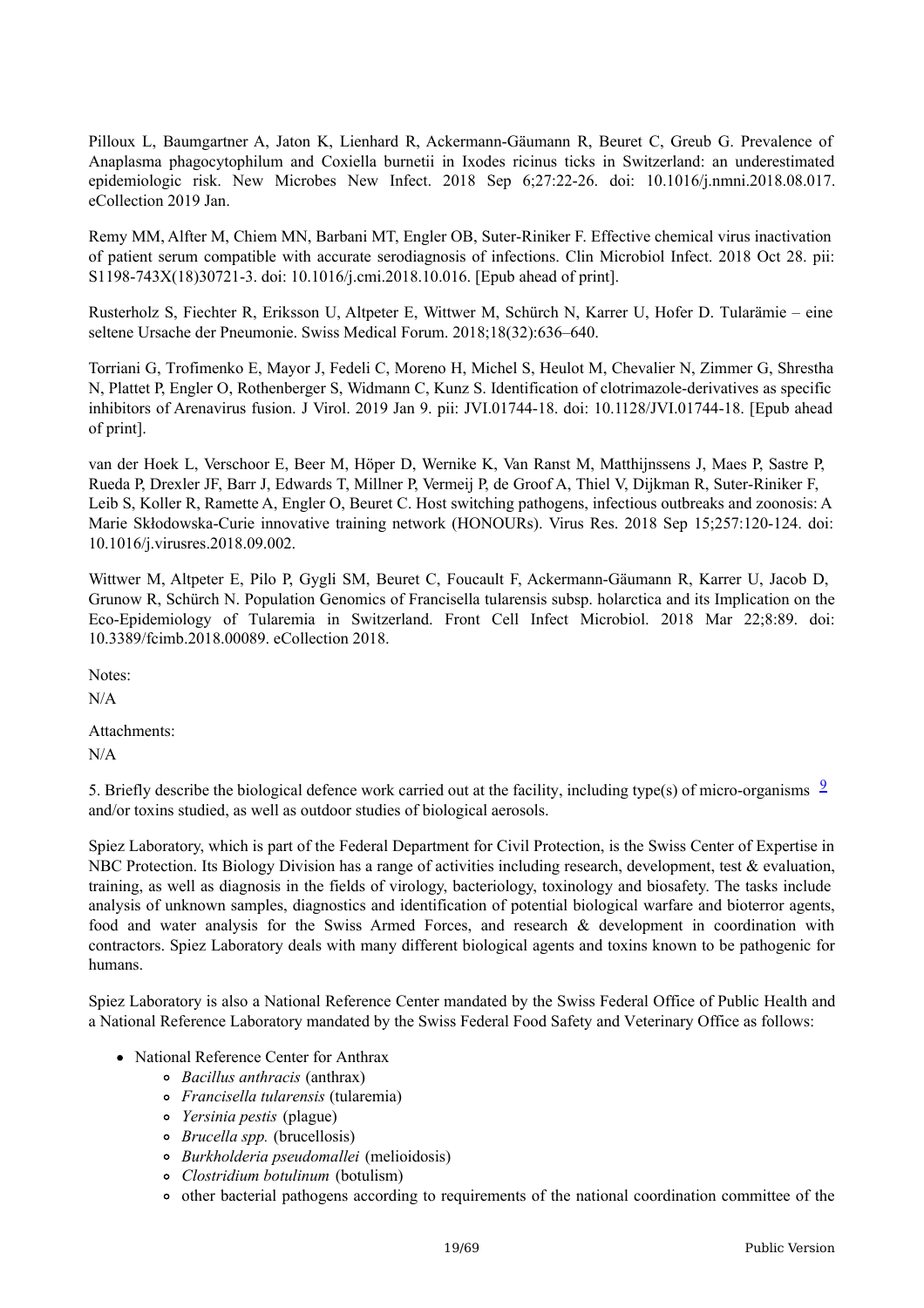Pilloux L, Baumgartner A, Jaton K, Lienhard R, Ackermann-Gäumann R, Beuret C, Greub G. Prevalence of Anaplasma phagocytophilum and Coxiella burnetii in Ixodes ricinus ticks in Switzerland: an underestimated epidemiologic risk. New Microbes New Infect. 2018 Sep 6;27:22-26. doi: 10.1016/j.nmni.2018.08.017. eCollection 2019 Jan.

Remy MM, Alfter M, Chiem MN, Barbani MT, Engler OB, Suter-Riniker F. Effective chemical virus inactivation of patient serum compatible with accurate serodiagnosis of infections. Clin Microbiol Infect. 2018 Oct 28. pii: S1198-743X(18)30721-3. doi: 10.1016/j.cmi.2018.10.016. [Epub ahead of print].

Rusterholz S, Fiechter R, Eriksson U, Altpeter E, Wittwer M, Schürch N, Karrer U, Hofer D. Tularämie – eine seltene Ursache der Pneumonie. Swiss Medical Forum. 2018;18(32):636–640.

Torriani G, Trofimenko E, Mayor J, Fedeli C, Moreno H, Michel S, Heulot M, Chevalier N, Zimmer G, Shrestha N, Plattet P, Engler O, Rothenberger S, Widmann C, Kunz S. Identification of clotrimazole-derivatives as specific inhibitors of Arenavirus fusion. J Virol. 2019 Jan 9. pii: JVI.01744-18. doi: 10.1128/JVI.01744-18. [Epub ahead of print].

van der Hoek L, Verschoor E, Beer M, Höper D, Wernike K, Van Ranst M, Matthijnssens J, Maes P, Sastre P, Rueda P, Drexler JF, Barr J, Edwards T, Millner P, Vermeij P, de Groof A, Thiel V, Dijkman R, Suter-Riniker F, Leib S, Koller R, Ramette A, Engler O, Beuret C. Host switching pathogens, infectious outbreaks and zoonosis: A Marie Skłodowska-Curie innovative training network (HONOURs). Virus Res. 2018 Sep 15;257:120-124. doi: 10.1016/j.virusres.2018.09.002.

Wittwer M, Altpeter E, Pilo P, Gygli SM, Beuret C, Foucault F, Ackermann-Gäumann R, Karrer U, Jacob D, Grunow R, Schürch N. Population Genomics of Francisella tularensis subsp. holarctica and its Implication on the Eco-Epidemiology of Tularemia in Switzerland. Front Cell Infect Microbiol. 2018 Mar 22;8:89. doi: 10.3389/fcimb.2018.00089. eCollection 2018.

Notes:

N/A

Attachments: N/A

5. Briefly describe the biological defence work carried out at the facility, including type(s) of micro-organisms  $\frac{9}{2}$  $\frac{9}{2}$  $\frac{9}{2}$ and/or toxins studied, as well as outdoor studies of biological aerosols.

Spiez Laboratory, which is part of the Federal Department for Civil Protection, is the Swiss Center of Expertise in NBC Protection. Its Biology Division has a range of activities including research, development, test & evaluation, training, as well as diagnosis in the fields of virology, bacteriology, toxinology and biosafety. The tasks include analysis of unknown samples, diagnostics and identification of potential biological warfare and bioterror agents, food and water analysis for the Swiss Armed Forces, and research & development in coordination with contractors. Spiez Laboratory deals with many different biological agents and toxins known to be pathogenic for humans.

Spiez Laboratory is also a National Reference Center mandated by the Swiss Federal Office of Public Health and a National Reference Laboratory mandated by the Swiss Federal Food Safety and Veterinary Office as follows:

- National Reference Center for Anthrax
	- *Bacillus anthracis* (anthrax)
	- *Francisella tularensis* (tularemia)
	- *Yersinia pestis* (plague)
	- *Brucella spp.* (brucellosis)
	- *Burkholderia pseudomallei* (melioidosis)
	- *Clostridium botulinum* (botulism)
	- other bacterial pathogens according to requirements of the national coordination committee of the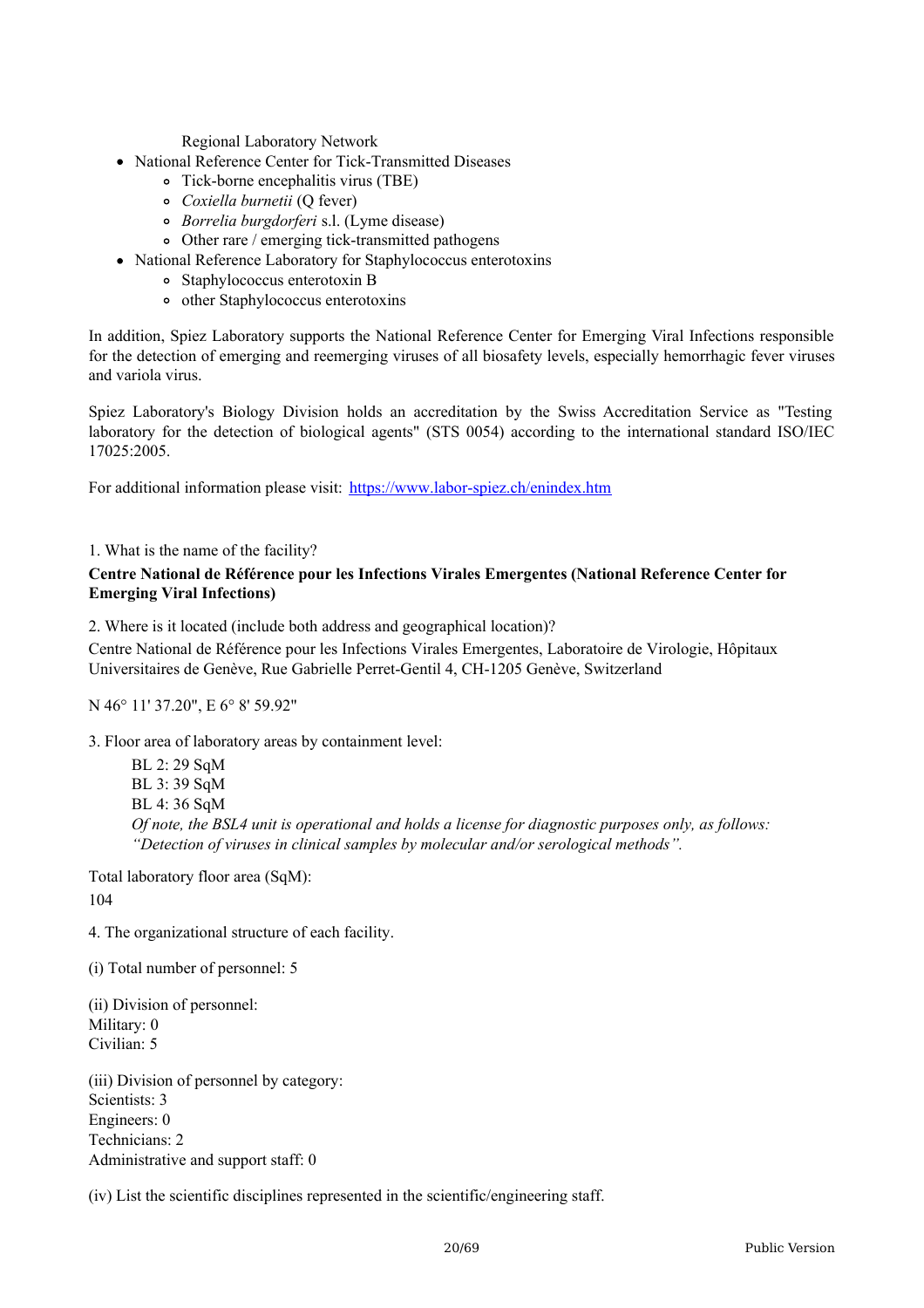Regional Laboratory Network

- National Reference Center for Tick-Transmitted Diseases
	- Tick-borne encephalitis virus (TBE)
		- *Coxiella burnetii* (Q fever)
		- *Borrelia burgdorferi* s.l. (Lyme disease)
	- Other rare / emerging tick-transmitted pathogens
- National Reference Laboratory for Staphylococcus enterotoxins
	- Staphylococcus enterotoxin B
	- other Staphylococcus enterotoxins

In addition, Spiez Laboratory supports the National Reference Center for Emerging Viral Infections responsible for the detection of emerging and reemerging viruses of all biosafety levels, especially hemorrhagic fever viruses and variola virus.

Spiez Laboratory's Biology Division holds an accreditation by the Swiss Accreditation Service as "Testing laboratory for the detection of biological agents" (STS 0054) according to the international standard ISO/IEC 17025:2005.

For additional information please visit: <https://www.labor-spiez.ch/enindex.htm>

1. What is the name of the facility?

#### **Centre National de Référence pour les Infections Virales Emergentes (National Reference Center for Emerging Viral Infections)**

2. Where is it located (include both address and geographical location)?

Centre National de Référence pour les Infections Virales Emergentes, Laboratoire de Virologie, Hôpitaux Universitaires de Genève, Rue Gabrielle Perret-Gentil 4, CH-1205 Genève, Switzerland

N 46° 11' 37.20", E 6° 8' 59.92"

3. Floor area of laboratory areas by containment level:

BL 2: 29 SqM BL 3: 39 SqM BL 4: 36 SqM *Of note, the BSL4 unit is operational and holds a license for diagnostic purposes only, as follows: "Detection of viruses in clinical samples by molecular and/or serological methods".*

Total laboratory floor area (SqM): 104

4. The organizational structure of each facility.

(i) Total number of personnel: 5

(ii) Division of personnel: Military: 0 Civilian: 5

(iii) Division of personnel by category: Scientists: 3 Engineers: 0 Technicians: 2 Administrative and support staff: 0

(iv) List the scientific disciplines represented in the scientific/engineering staff.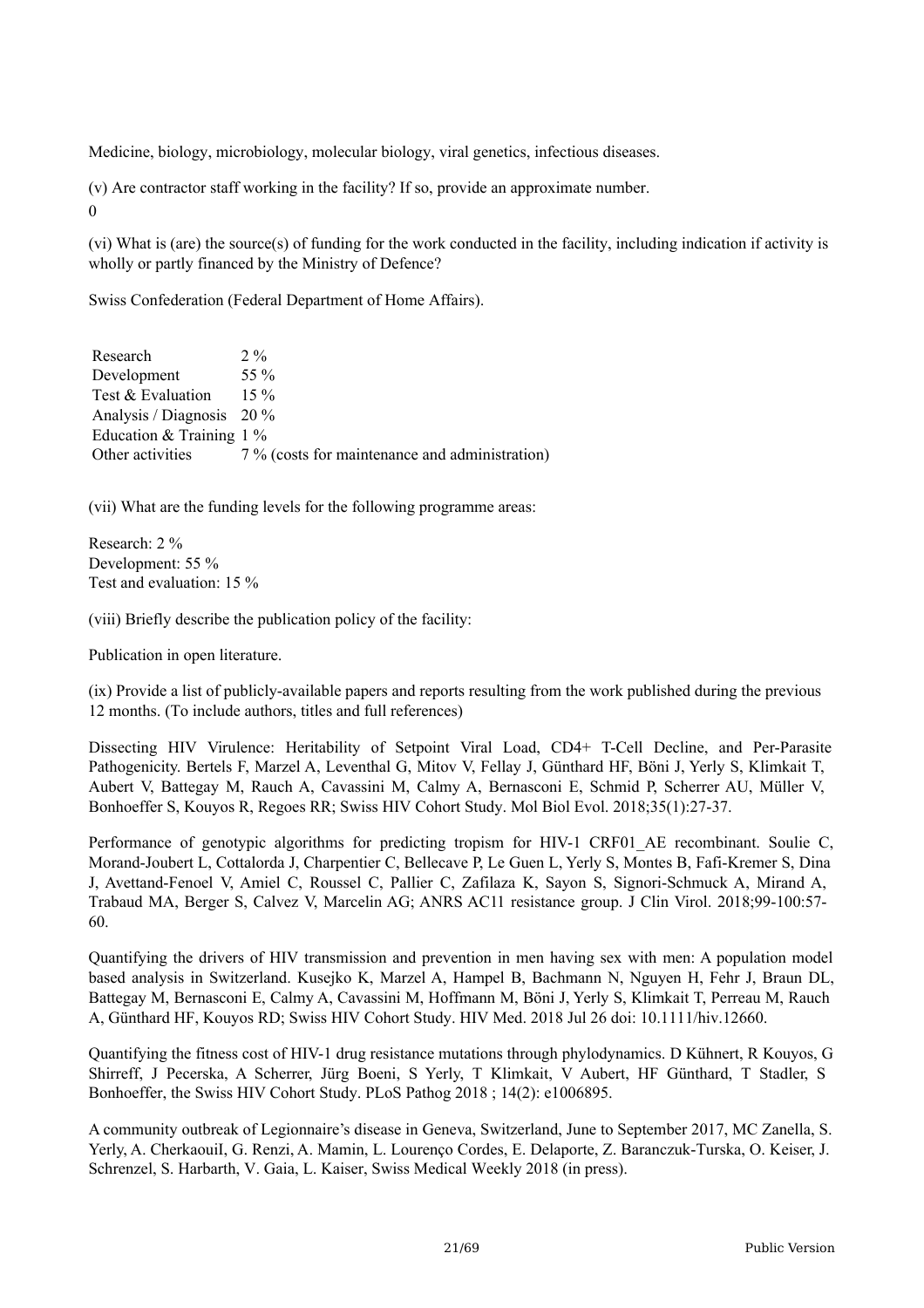Medicine, biology, microbiology, molecular biology, viral genetics, infectious diseases.

(v) Are contractor staff working in the facility? If so, provide an approximate number.  $\Omega$ 

(vi) What is (are) the source(s) of funding for the work conducted in the facility, including indication if activity is wholly or partly financed by the Ministry of Defence?

Swiss Confederation (Federal Department of Home Affairs).

| Research                    | $2\%$                                          |
|-----------------------------|------------------------------------------------|
| Development                 | 55 $\%$                                        |
| Test & Evaluation           | $15\%$                                         |
| Analysis / Diagnosis $20\%$ |                                                |
| Education & Training $1\%$  |                                                |
| Other activities            | 7 % (costs for maintenance and administration) |

(vii) What are the funding levels for the following programme areas:

Research: 2 % Development: 55 % Test and evaluation: 15 %

(viii) Briefly describe the publication policy of the facility:

Publication in open literature.

(ix) Provide a list of publicly-available papers and reports resulting from the work published during the previous 12 months. (To include authors, titles and full references)

Dissecting HIV Virulence: Heritability of Setpoint Viral Load, CD4+ T-Cell Decline, and Per-Parasite Pathogenicity. Bertels F, Marzel A, Leventhal G, Mitov V, Fellay J, Günthard HF, Böni J, Yerly S, Klimkait T, Aubert V, Battegay M, Rauch A, Cavassini M, Calmy A, Bernasconi E, Schmid P, Scherrer AU, Müller V, Bonhoeffer S, Kouyos R, Regoes RR; Swiss HIV Cohort Study. Mol Biol Evol. 2018;35(1):27-37.

Performance of genotypic algorithms for predicting tropism for HIV-1 CRF01 AE recombinant. Soulie C, Morand-Joubert L, Cottalorda J, Charpentier C, Bellecave P, Le Guen L, Yerly S, Montes B, Fafi-Kremer S, Dina J, Avettand-Fenoel V, Amiel C, Roussel C, Pallier C, Zafilaza K, Sayon S, Signori-Schmuck A, Mirand A, Trabaud MA, Berger S, Calvez V, Marcelin AG; ANRS AC11 resistance group. J Clin Virol. 2018;99-100:57- 60.

Quantifying the drivers of HIV transmission and prevention in men having sex with men: A population model based analysis in Switzerland. Kusejko K, Marzel A, Hampel B, Bachmann N, Nguyen H, Fehr J, Braun DL, Battegay M, Bernasconi E, Calmy A, Cavassini M, Hoffmann M, Böni J, Yerly S, Klimkait T, Perreau M, Rauch A, Günthard HF, Kouyos RD; Swiss HIV Cohort Study. HIV Med. 2018 Jul 26 doi: 10.1111/hiv.12660.

Quantifying the fitness cost of HIV-1 drug resistance mutations through phylodynamics. D Kühnert, R Kouyos, G Shirreff, J Pecerska, A Scherrer, Jürg Boeni, S Yerly, T Klimkait, V Aubert, HF Günthard, T Stadler, S Bonhoeffer, the Swiss HIV Cohort Study. PLoS Pathog 2018 ; 14(2): e1006895.

A community outbreak of Legionnaire's disease in Geneva, Switzerland, June to September 2017, MC Zanella, S. Yerly, A. CherkaouiI, G. Renzi, A. Mamin, L. Lourenço Cordes, E. Delaporte, Z. Baranczuk-Turska, O. Keiser, J. Schrenzel, S. Harbarth, V. Gaia, L. Kaiser, Swiss Medical Weekly 2018 (in press).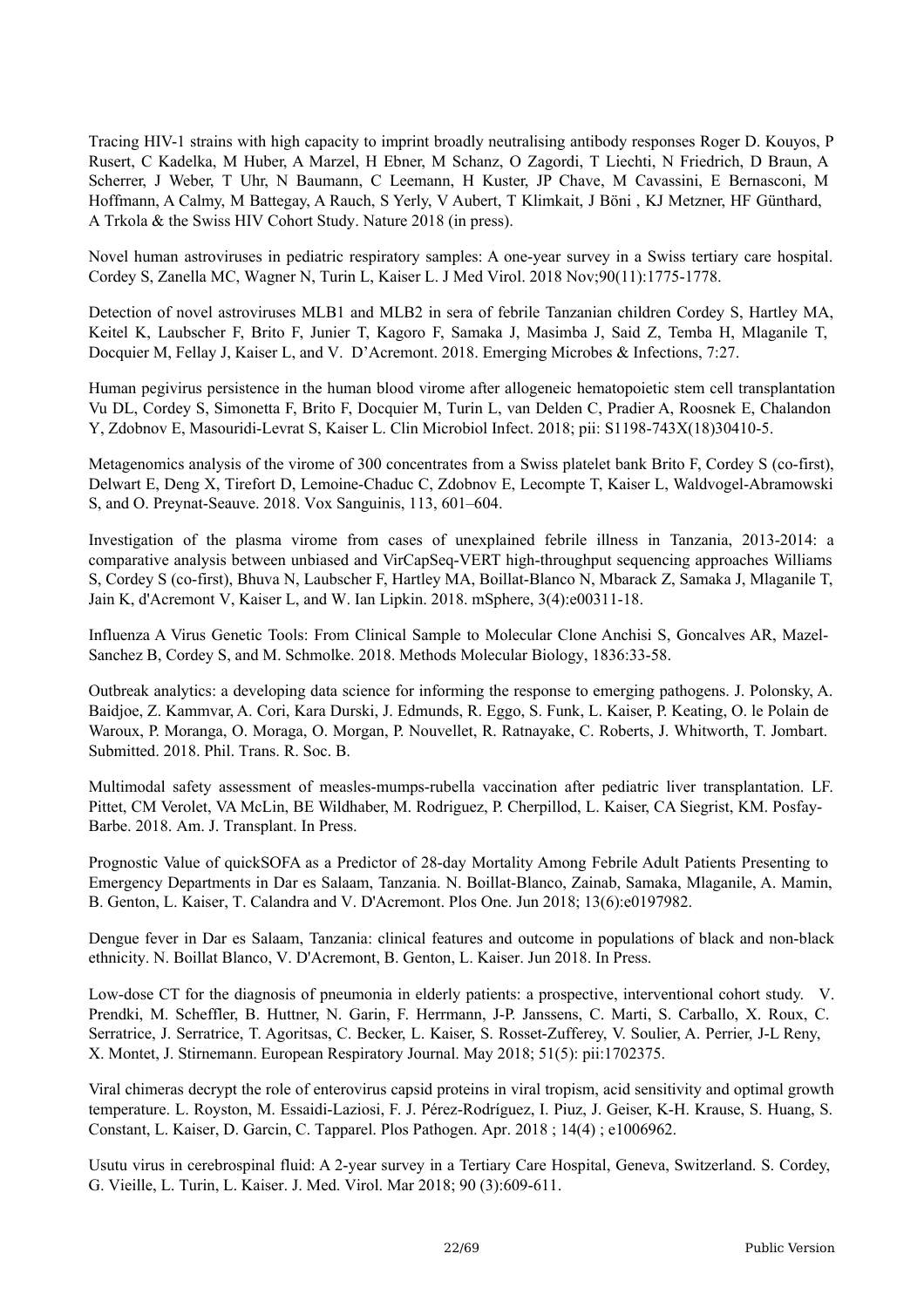Tracing HIV-1 strains with high capacity to imprint broadly neutralising antibody responses Roger D. Kouyos, P Rusert, C Kadelka, M Huber, A Marzel, H Ebner, M Schanz, O Zagordi, T Liechti, N Friedrich, D Braun, A Scherrer, J Weber, T Uhr, N Baumann, C Leemann, H Kuster, JP Chave, M Cavassini, E Bernasconi, M Hoffmann, A Calmy, M Battegay, A Rauch, S Yerly, V Aubert, T Klimkait, J Böni , KJ Metzner, HF Günthard, A Trkola & the Swiss HIV Cohort Study. Nature 2018 (in press).

Novel human astroviruses in pediatric respiratory samples: A one-year survey in a Swiss tertiary care hospital. Cordey S, Zanella MC, Wagner N, Turin L, Kaiser L. J Med Virol. 2018 Nov;90(11):1775-1778.

Detection of novel astroviruses MLB1 and MLB2 in sera of febrile Tanzanian children Cordey S, Hartley MA, Keitel K, Laubscher F, Brito F, Junier T, Kagoro F, Samaka J, Masimba J, Said Z, Temba H, Mlaganile T, Docquier M, Fellay J, Kaiser L, and V. D'Acremont. 2018. Emerging Microbes & Infections, 7:27.

Human pegivirus persistence in the human blood virome after allogeneic hematopoietic stem cell transplantation Vu DL, Cordey S, Simonetta F, Brito F, Docquier M, Turin L, van Delden C, Pradier A, Roosnek E, Chalandon Y, Zdobnov E, Masouridi-Levrat S, Kaiser L. Clin Microbiol Infect. 2018; pii: S1198-743X(18)30410-5.

Metagenomics analysis of the virome of 300 concentrates from a Swiss platelet bank Brito F, Cordey S (co-first), Delwart E, Deng X, Tirefort D, Lemoine-Chaduc C, Zdobnov E, Lecompte T, Kaiser L, Waldvogel-Abramowski S, and O. Preynat-Seauve. 2018. Vox Sanguinis, 113, 601–604.

Investigation of the plasma virome from cases of unexplained febrile illness in Tanzania, 2013-2014: a comparative analysis between unbiased and VirCapSeq-VERT high-throughput sequencing approaches Williams S, Cordey S (co-first), Bhuva N, Laubscher F, Hartley MA, Boillat-Blanco N, Mbarack Z, Samaka J, Mlaganile T, Jain K, d'Acremont V, Kaiser L, and W. Ian Lipkin. 2018. mSphere, 3(4):e00311-18.

Influenza A Virus Genetic Tools: From Clinical Sample to Molecular Clone Anchisi S, Goncalves AR, Mazel-Sanchez B, Cordey S, and M. Schmolke. 2018. Methods Molecular Biology, 1836:33-58.

Outbreak analytics: a developing data science for informing the response to emerging pathogens. J. Polonsky, A. Baidjoe, Z. Kammvar, A. Cori, Kara Durski, J. Edmunds, R. Eggo, S. Funk, L. Kaiser, P. Keating, O. le Polain de Waroux, P. Moranga, O. Moraga, O. Morgan, P. Nouvellet, R. Ratnayake, C. Roberts, J. Whitworth, T. Jombart. Submitted. 2018. Phil. Trans. R. Soc. B.

Multimodal safety assessment of measles-mumps-rubella vaccination after pediatric liver transplantation. LF. Pittet, CM Verolet, VA McLin, BE Wildhaber, M. Rodriguez, P. Cherpillod, L. Kaiser, CA Siegrist, KM. Posfay-Barbe. 2018. Am. J. Transplant. In Press.

Prognostic Value of quickSOFA as a Predictor of 28-day Mortality Among Febrile Adult Patients Presenting to Emergency Departments in Dar es Salaam, Tanzania. N. Boillat-Blanco, Zainab, Samaka, Mlaganile, A. Mamin, B. Genton, L. Kaiser, T. Calandra and V. D'Acremont. Plos One. Jun 2018; 13(6):e0197982.

Dengue fever in Dar es Salaam, Tanzania: clinical features and outcome in populations of black and non-black ethnicity. N. Boillat Blanco, V. D'Acremont, B. Genton, L. Kaiser. Jun 2018. In Press.

Low-dose CT for the diagnosis of pneumonia in elderly patients: a prospective, interventional cohort study. V. Prendki, M. Scheffler, B. Huttner, N. Garin, F. Herrmann, J-P. Janssens, C. Marti, S. Carballo, X. Roux, C. Serratrice, J. Serratrice, T. Agoritsas, C. Becker, L. Kaiser, S. Rosset-Zufferey, V. Soulier, A. Perrier, J-L Reny, X. Montet, J. Stirnemann. European Respiratory Journal. May 2018; 51(5): pii:1702375.

Viral chimeras decrypt the role of enterovirus capsid proteins in viral tropism, acid sensitivity and optimal growth temperature. L. Royston, M. Essaidi-Laziosi, F. J. Pérez-Rodríguez, I. Piuz, J. Geiser, K-H. Krause, S. Huang, S. Constant, L. Kaiser, D. Garcin, C. Tapparel. Plos Pathogen. Apr. 2018 ; 14(4) ; e1006962.

Usutu virus in cerebrospinal fluid: A 2-year survey in a Tertiary Care Hospital, Geneva, Switzerland. S. Cordey, G. Vieille, L. Turin, L. Kaiser. J. Med. Virol. Mar 2018; 90 (3):609-611.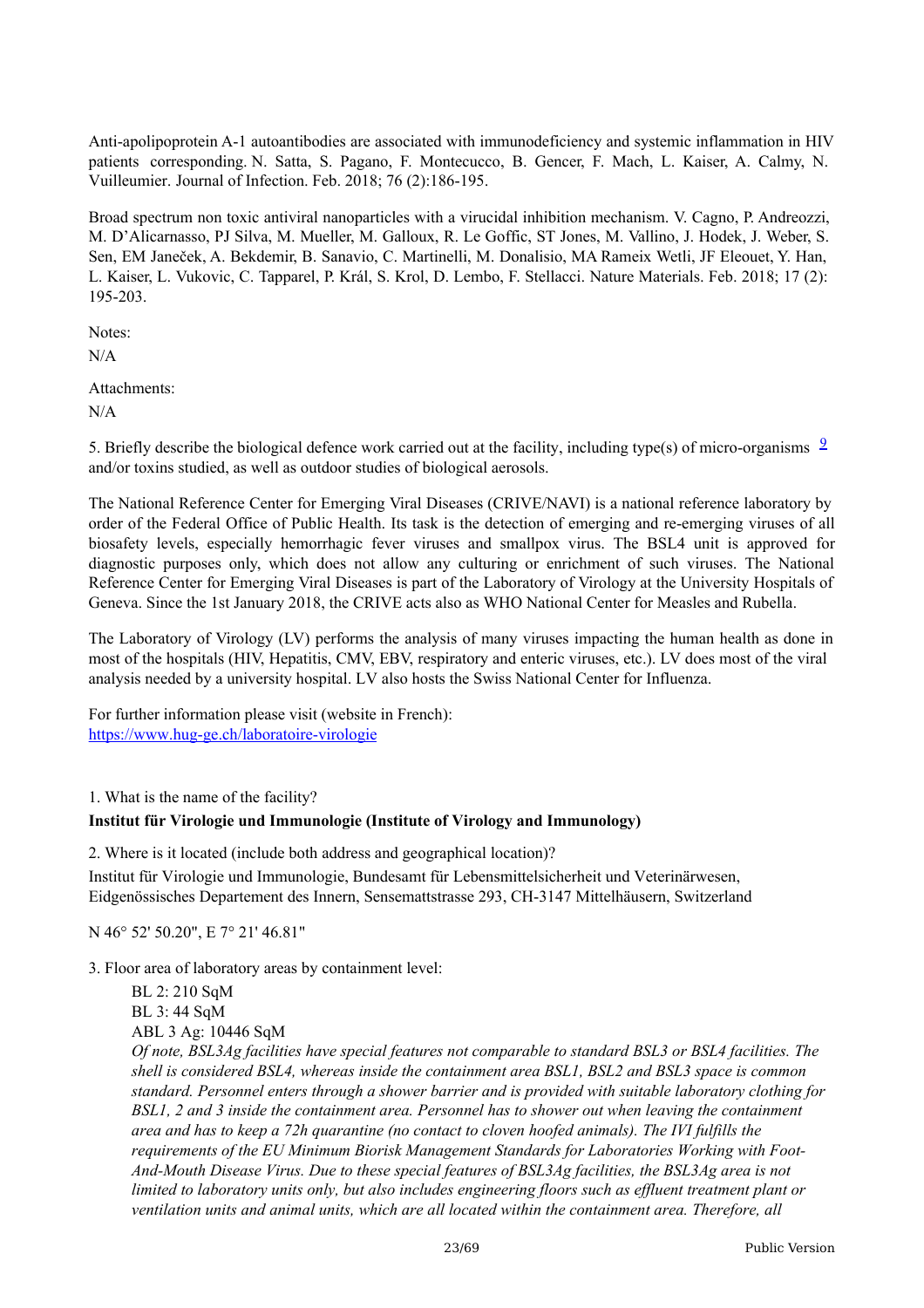Anti-apolipoprotein A-1 autoantibodies are associated with immunodeficiency and systemic inflammation in HIV patients corresponding. N. Satta, S. Pagano, F. Montecucco, B. Gencer, F. Mach, L. Kaiser, A. Calmy, N. Vuilleumier. Journal of Infection. Feb. 2018; 76 (2):186-195.

Broad spectrum non toxic antiviral nanoparticles with a virucidal inhibition mechanism. V. Cagno, P. Andreozzi, M. D'Alicarnasso, PJ Silva, M. Mueller, M. Galloux, R. Le Goffic, ST Jones, M. Vallino, J. Hodek, J. Weber, S. Sen, EM Janeček, A. Bekdemir, B. Sanavio, C. Martinelli, M. Donalisio, MA Rameix Wetli, JF Eleouet, Y. Han, L. Kaiser, L. Vukovic, C. Tapparel, P. Král, S. Krol, D. Lembo, F. Stellacci. Nature Materials. Feb. 2018; 17 (2): 195-203.

Notes:

N/A

Attachments:

N/A

5. Briefly describe the biological defence work carried out at the facility, including type(s) of micro-organisms  $\frac{9}{2}$  $\frac{9}{2}$  $\frac{9}{2}$ and/or toxins studied, as well as outdoor studies of biological aerosols.

The National Reference Center for Emerging Viral Diseases (CRIVE/NAVI) is a national reference laboratory by order of the Federal Office of Public Health. Its task is the detection of emerging and re-emerging viruses of all biosafety levels, especially hemorrhagic fever viruses and smallpox virus. The BSL4 unit is approved for diagnostic purposes only, which does not allow any culturing or enrichment of such viruses. The National Reference Center for Emerging Viral Diseases is part of the Laboratory of Virology at the University Hospitals of Geneva. Since the 1st January 2018, the CRIVE acts also as WHO National Center for Measles and Rubella.

The Laboratory of Virology (LV) performs the analysis of many viruses impacting the human health as done in most of the hospitals (HIV, Hepatitis, CMV, EBV, respiratory and enteric viruses, etc.). LV does most of the viral analysis needed by a university hospital. LV also hosts the Swiss National Center for Influenza.

For further information please visit (website in French): <https://www.hug-ge.ch/laboratoire-virologie>

1. What is the name of the facility?

#### **Institut für Virologie und Immunologie (Institute of Virology and Immunology)**

2. Where is it located (include both address and geographical location)?

Institut für Virologie und Immunologie, Bundesamt für Lebensmittelsicherheit und Veterinärwesen, Eidgenössisches Departement des Innern, Sensemattstrasse 293, CH-3147 Mittelhäusern, Switzerland

N 46° 52' 50.20", E 7° 21' 46.81"

3. Floor area of laboratory areas by containment level:

BL 2: 210 SqM BL 3: 44 SqM ABL 3 Ag: 10446 SqM *Of note, BSL3Ag facilities have special features not comparable to standard BSL3 or BSL4 facilities. The shell is considered BSL4, whereas inside the containment area BSL1, BSL2 and BSL3 space is common standard. Personnel enters through a shower barrier and is provided with suitable laboratory clothing for BSL1, 2 and 3 inside the containment area. Personnel has to shower out when leaving the containment area and has to keep a 72h quarantine (no contact to cloven hoofed animals). The IVI fulfills the requirements of the EU Minimum Biorisk Management Standards for Laboratories Working with Foot-And-Mouth Disease Virus. Due to these special features of BSL3Ag facilities, the BSL3Ag area is not* limited to laboratory units only, but also includes engineering floors such as effluent treatment plant or *ventilation units and animal units, which are all located within the containment area. Therefore, all*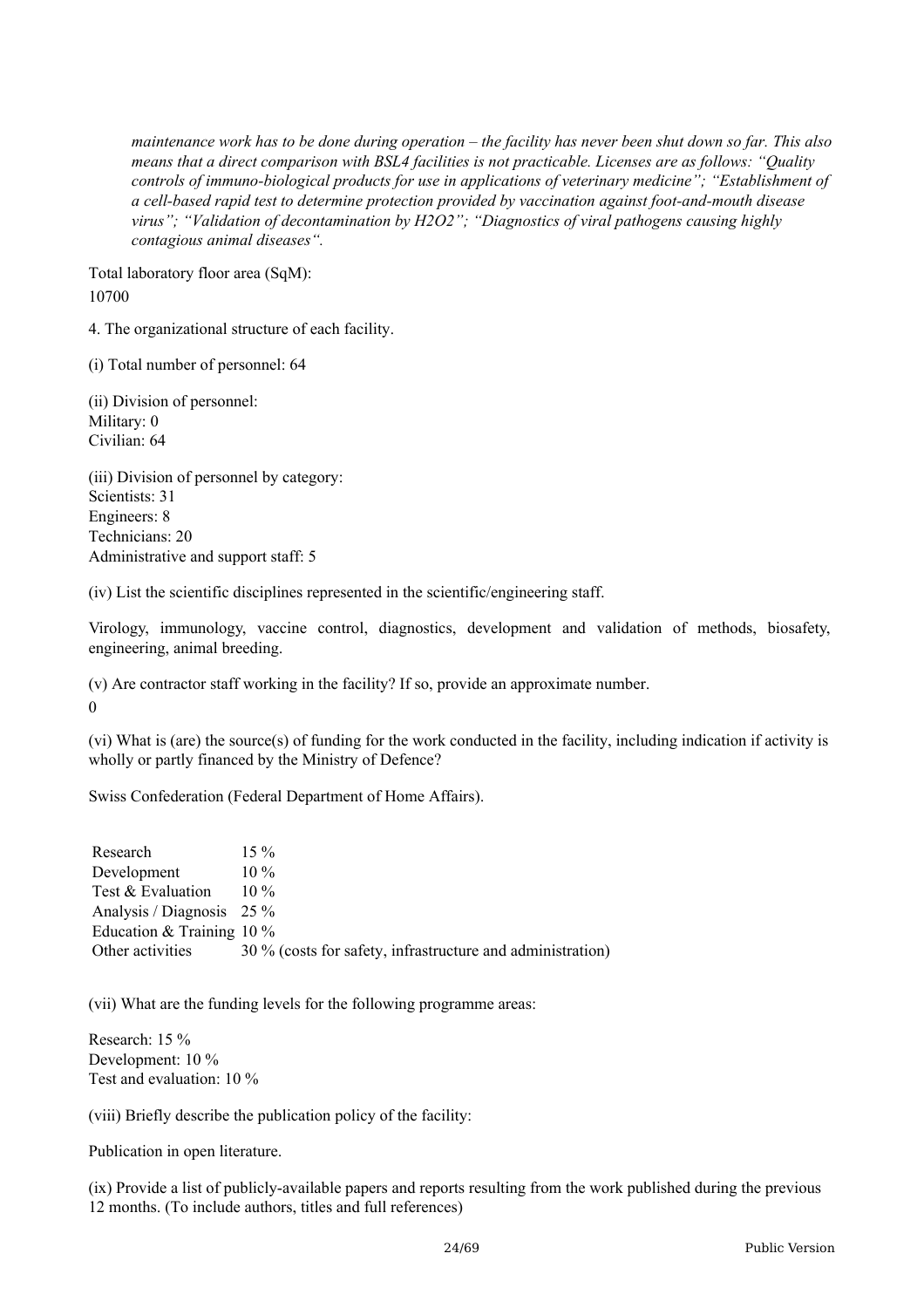maintenance work has to be done during operation – the facility has never been shut down so far. This also *means that a direct comparison with BSL4 facilities is not practicable. Licenses are as follows: "Quality controls of immuno-biological products for use in applications of veterinary medicine"; "Establishment of a cell-based rapid test to determine protection provided by vaccination against foot-and-mouth disease virus"; "Validation of decontamination by H2O2"; "Diagnostics of viral pathogens causing highly contagious animal diseases".*

Total laboratory floor area (SqM): 10700

4. The organizational structure of each facility.

(i) Total number of personnel: 64

(ii) Division of personnel: Military: 0 Civilian: 64

(iii) Division of personnel by category: Scientists: 31 Engineers: 8 Technicians: 20 Administrative and support staff: 5

(iv) List the scientific disciplines represented in the scientific/engineering staff.

Virology, immunology, vaccine control, diagnostics, development and validation of methods, biosafety, engineering, animal breeding.

(v) Are contractor staff working in the facility? If so, provide an approximate number. 0

(vi) What is (are) the source(s) of funding for the work conducted in the facility, including indication if activity is

wholly or partly financed by the Ministry of Defence?

Swiss Confederation (Federal Department of Home Affairs).

Research Development Test & Evaluation Analysis / Diagnosis 25 % Education & Training 10 % Other activities 15 %  $10\%$ 10 % 30 % (costs for safety, infrastructure and administration)

(vii) What are the funding levels for the following programme areas:

Research: 15 % Development: 10 % Test and evaluation: 10 %

(viii) Briefly describe the publication policy of the facility:

Publication in open literature.

(ix) Provide a list of publicly-available papers and reports resulting from the work published during the previous 12 months. (To include authors, titles and full references)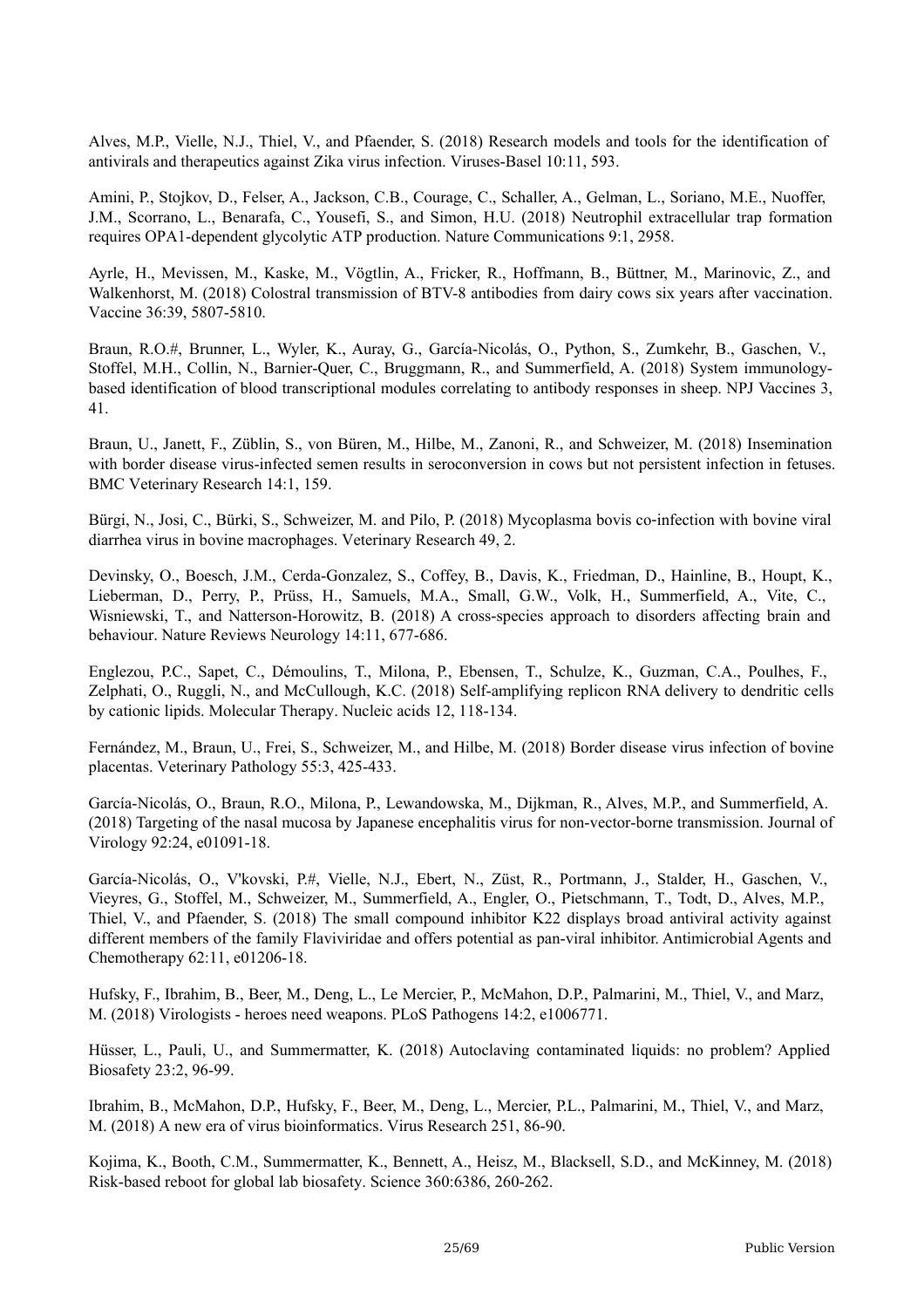Alves, M.P., Vielle, N.J., Thiel, V., and Pfaender, S. (2018) Research models and tools for the identification of antivirals and therapeutics against Zika virus infection. Viruses-Basel 10:11, 593.

Amini, P., Stojkov, D., Felser, A., Jackson, C.B., Courage, C., Schaller, A., Gelman, L., Soriano, M.E., Nuoffer, J.M., Scorrano, L., Benarafa, C., Yousefi, S., and Simon, H.U. (2018) Neutrophil extracellular trap formation requires OPA1-dependent glycolytic ATP production. Nature Communications 9:1, 2958.

Ayrle, H., Mevissen, M., Kaske, M., Vögtlin, A., Fricker, R., Hoffmann, B., Büttner, M., Marinovic, Z., and Walkenhorst, M. (2018) Colostral transmission of BTV-8 antibodies from dairy cows six years after vaccination. Vaccine 36:39, 5807-5810.

Braun, R.O.#, Brunner, L., Wyler, K., Auray, G., García-Nicolás, O., Python, S., Zumkehr, B., Gaschen, V., Stoffel, M.H., Collin, N., Barnier-Quer, C., Bruggmann, R., and Summerfield, A. (2018) System immunologybased identification of blood transcriptional modules correlating to antibody responses in sheep. NPJ Vaccines 3, 41.

Braun, U., Janett, F., Züblin, S., von Büren, M., Hilbe, M., Zanoni, R., and Schweizer, M. (2018) Insemination with border disease virus-infected semen results in seroconversion in cows but not persistent infection in fetuses. BMC Veterinary Research 14:1, 159.

Bürgi, N., Josi, C., Bürki, S., Schweizer, M. and Pilo, P. (2018) Mycoplasma bovis co-infection with bovine viral diarrhea virus in bovine macrophages. Veterinary Research 49, 2.

Devinsky, O., Boesch, J.M., Cerda-Gonzalez, S., Coffey, B., Davis, K., Friedman, D., Hainline, B., Houpt, K., Lieberman, D., Perry, P., Prüss, H., Samuels, M.A., Small, G.W., Volk, H., Summerfield, A., Vite, C., Wisniewski, T., and Natterson-Horowitz, B. (2018) A cross-species approach to disorders affecting brain and behaviour. Nature Reviews Neurology 14:11, 677-686.

Englezou, P.C., Sapet, C., Démoulins, T., Milona, P., Ebensen, T., Schulze, K., Guzman, C.A., Poulhes, F., Zelphati, O., Ruggli, N., and McCullough, K.C. (2018) Self-amplifying replicon RNA delivery to dendritic cells by cationic lipids. Molecular Therapy. Nucleic acids 12, 118-134.

Fernández, M., Braun, U., Frei, S., Schweizer, M., and Hilbe, M. (2018) Border disease virus infection of bovine placentas. Veterinary Pathology 55:3, 425-433.

García-Nicolás, O., Braun, R.O., Milona, P., Lewandowska, M., Dijkman, R., Alves, M.P., and Summerfield, A. (2018) Targeting of the nasal mucosa by Japanese encephalitis virus for non-vector-borne transmission. Journal of Virology 92:24, e01091-18.

García-Nicolás, O., V'kovski, P.#, Vielle, N.J., Ebert, N., Züst, R., Portmann, J., Stalder, H., Gaschen, V., Vieyres, G., Stoffel, M., Schweizer, M., Summerfield, A., Engler, O., Pietschmann, T., Todt, D., Alves, M.P., Thiel, V., and Pfaender, S. (2018) The small compound inhibitor K22 displays broad antiviral activity against different members of the family Flaviviridae and offers potential as pan-viral inhibitor. Antimicrobial Agents and Chemotherapy 62:11, e01206-18.

Hufsky, F., Ibrahim, B., Beer, M., Deng, L., Le Mercier, P., McMahon, D.P., Palmarini, M., Thiel, V., and Marz, M. (2018) Virologists - heroes need weapons. PLoS Pathogens 14:2, e1006771.

Hüsser, L., Pauli, U., and Summermatter, K. (2018) Autoclaving contaminated liquids: no problem? Applied Biosafety 23:2, 96-99.

Ibrahim, B., McMahon, D.P., Hufsky, F., Beer, M., Deng, L., Mercier, P.L., Palmarini, M., Thiel, V., and Marz, M. (2018) A new era of virus bioinformatics. Virus Research 251, 86-90.

Kojima, K., Booth, C.M., Summermatter, K., Bennett, A., Heisz, M., Blacksell, S.D., and McKinney, M. (2018) Risk-based reboot for global lab biosafety. Science 360:6386, 260-262.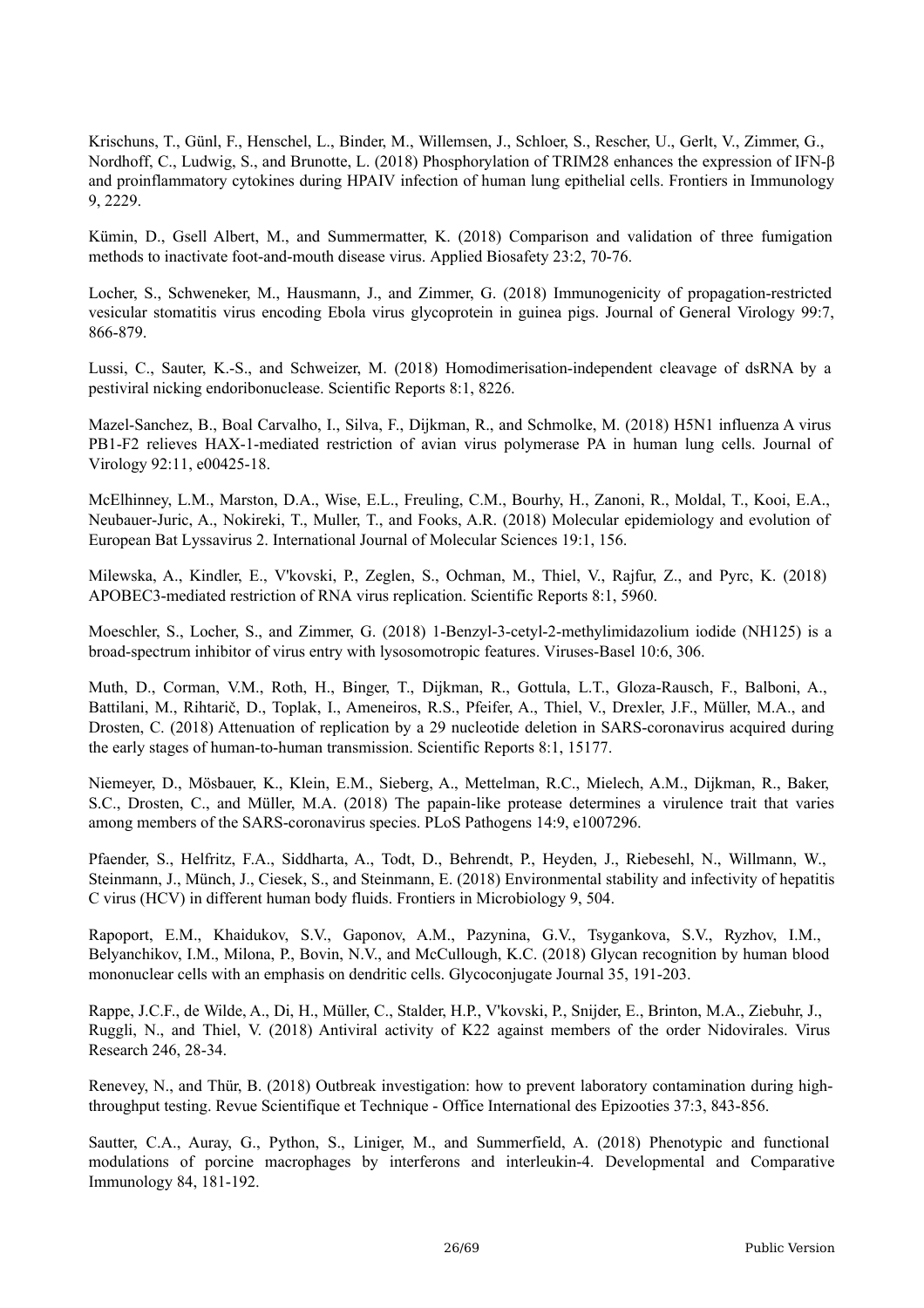Krischuns, T., Günl, F., Henschel, L., Binder, M., Willemsen, J., Schloer, S., Rescher, U., Gerlt, V., Zimmer, G., Nordhoff, C., Ludwig, S., and Brunotte, L. (2018) Phosphorylation of TRIM28 enhances the expression of IFN-β and proinflammatory cytokines during HPAIV infection of human lung epithelial cells. Frontiers in Immunology 9, 2229.

Kümin, D., Gsell Albert, M., and Summermatter, K. (2018) Comparison and validation of three fumigation methods to inactivate foot-and-mouth disease virus. Applied Biosafety 23:2, 70-76.

Locher, S., Schweneker, M., Hausmann, J., and Zimmer, G. (2018) Immunogenicity of propagation-restricted vesicular stomatitis virus encoding Ebola virus glycoprotein in guinea pigs. Journal of General Virology 99:7, 866-879.

Lussi, C., Sauter, K.-S., and Schweizer, M. (2018) Homodimerisation-independent cleavage of dsRNA by a pestiviral nicking endoribonuclease. Scientific Reports 8:1, 8226.

Mazel-Sanchez, B., Boal Carvalho, I., Silva, F., Dijkman, R., and Schmolke, M. (2018) H5N1 influenza A virus PB1-F2 relieves HAX-1-mediated restriction of avian virus polymerase PA in human lung cells. Journal of Virology 92:11, e00425-18.

McElhinney, L.M., Marston, D.A., Wise, E.L., Freuling, C.M., Bourhy, H., Zanoni, R., Moldal, T., Kooi, E.A., Neubauer-Juric, A., Nokireki, T., Muller, T., and Fooks, A.R. (2018) Molecular epidemiology and evolution of European Bat Lyssavirus 2. International Journal of Molecular Sciences 19:1, 156.

Milewska, A., Kindler, E., V'kovski, P., Zeglen, S., Ochman, M., Thiel, V., Rajfur, Z., and Pyrc, K. (2018) APOBEC3-mediated restriction of RNA virus replication. Scientific Reports 8:1, 5960.

Moeschler, S., Locher, S., and Zimmer, G. (2018) 1-Benzyl-3-cetyl-2-methylimidazolium iodide (NH125) is a broad-spectrum inhibitor of virus entry with lysosomotropic features. Viruses-Basel 10:6, 306.

Muth, D., Corman, V.M., Roth, H., Binger, T., Dijkman, R., Gottula, L.T., Gloza-Rausch, F., Balboni, A., Battilani, M., Rihtarič, D., Toplak, I., Ameneiros, R.S., Pfeifer, A., Thiel, V., Drexler, J.F., Müller, M.A., and Drosten, C. (2018) Attenuation of replication by a 29 nucleotide deletion in SARS-coronavirus acquired during the early stages of human-to-human transmission. Scientific Reports 8:1, 15177.

Niemeyer, D., Mösbauer, K., Klein, E.M., Sieberg, A., Mettelman, R.C., Mielech, A.M., Dijkman, R., Baker, S.C., Drosten, C., and Müller, M.A. (2018) The papain-like protease determines a virulence trait that varies among members of the SARS-coronavirus species. PLoS Pathogens 14:9, e1007296.

Pfaender, S., Helfritz, F.A., Siddharta, A., Todt, D., Behrendt, P., Heyden, J., Riebesehl, N., Willmann, W., Steinmann, J., Münch, J., Ciesek, S., and Steinmann, E. (2018) Environmental stability and infectivity of hepatitis C virus (HCV) in different human body fluids. Frontiers in Microbiology 9, 504.

Rapoport, E.M., Khaidukov, S.V., Gaponov, A.M., Pazynina, G.V., Tsygankova, S.V., Ryzhov, I.M., Belyanchikov, I.M., Milona, P., Bovin, N.V., and McCullough, K.C. (2018) Glycan recognition by human blood mononuclear cells with an emphasis on dendritic cells. Glycoconjugate Journal 35, 191-203.

Rappe, J.C.F., de Wilde, A., Di, H., Müller, C., Stalder, H.P., V'kovski, P., Snijder, E., Brinton, M.A., Ziebuhr, J., Ruggli, N., and Thiel, V. (2018) Antiviral activity of K22 against members of the order Nidovirales. Virus Research 246, 28-34.

Renevey, N., and Thür, B. (2018) Outbreak investigation: how to prevent laboratory contamination during highthroughput testing. Revue Scientifique et Technique - Office International des Epizooties 37:3, 843-856.

Sautter, C.A., Auray, G., Python, S., Liniger, M., and Summerfield, A. (2018) Phenotypic and functional modulations of porcine macrophages by interferons and interleukin-4. Developmental and Comparative Immunology 84, 181-192.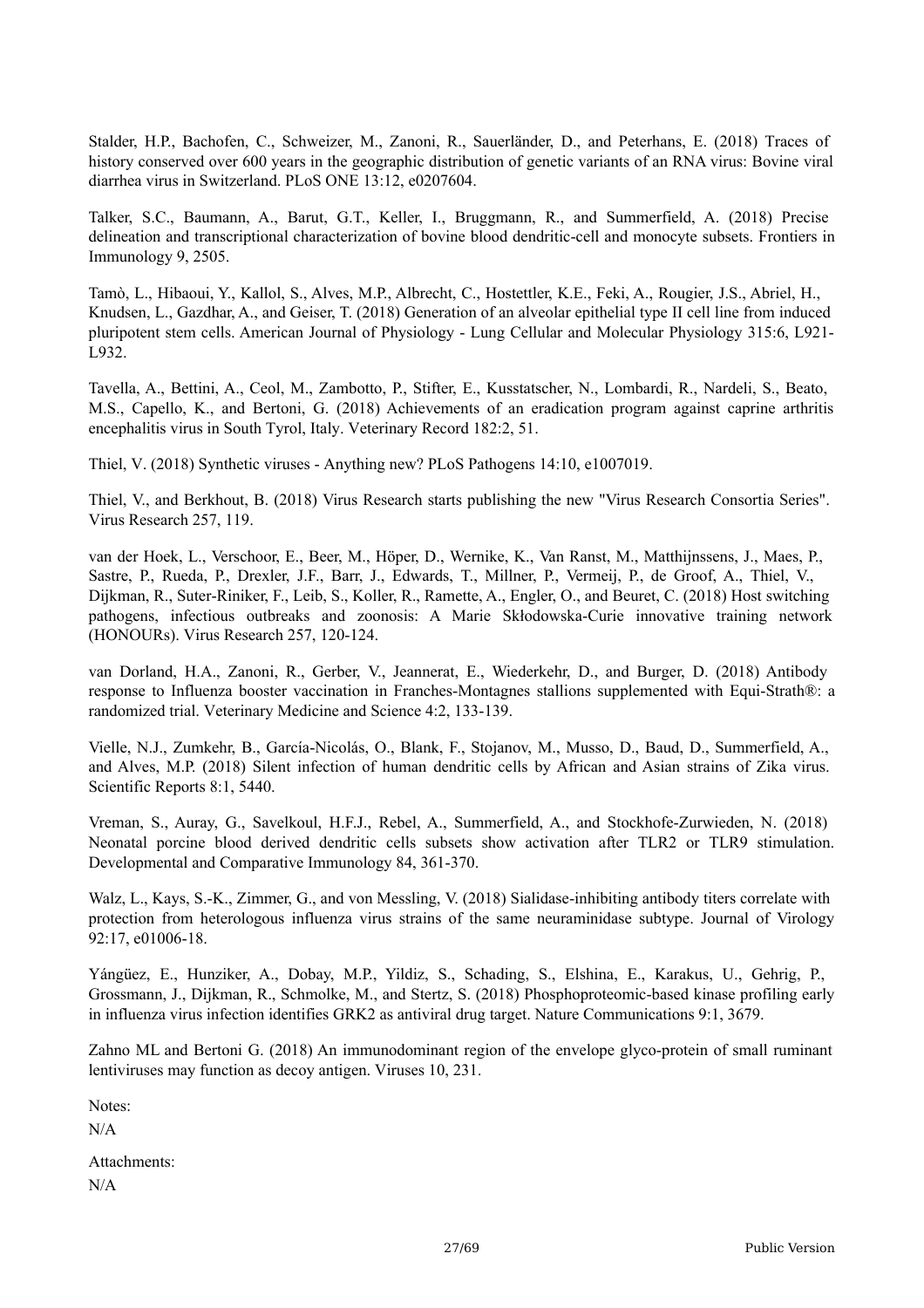Stalder, H.P., Bachofen, C., Schweizer, M., Zanoni, R., Sauerländer, D., and Peterhans, E. (2018) Traces of history conserved over 600 years in the geographic distribution of genetic variants of an RNA virus: Bovine viral diarrhea virus in Switzerland. PLoS ONE 13:12, e0207604.

Talker, S.C., Baumann, A., Barut, G.T., Keller, I., Bruggmann, R., and Summerfield, A. (2018) Precise delineation and transcriptional characterization of bovine blood dendritic-cell and monocyte subsets. Frontiers in Immunology 9, 2505.

Tamò, L., Hibaoui, Y., Kallol, S., Alves, M.P., Albrecht, C., Hostettler, K.E., Feki, A., Rougier, J.S., Abriel, H., Knudsen, L., Gazdhar, A., and Geiser, T. (2018) Generation of an alveolar epithelial type II cell line from induced pluripotent stem cells. American Journal of Physiology - Lung Cellular and Molecular Physiology 315:6, L921- L932.

Tavella, A., Bettini, A., Ceol, M., Zambotto, P., Stifter, E., Kusstatscher, N., Lombardi, R., Nardeli, S., Beato, M.S., Capello, K., and Bertoni, G. (2018) Achievements of an eradication program against caprine arthritis encephalitis virus in South Tyrol, Italy. Veterinary Record 182:2, 51.

Thiel, V. (2018) Synthetic viruses - Anything new? PLoS Pathogens 14:10, e1007019.

Thiel, V., and Berkhout, B. (2018) Virus Research starts publishing the new "Virus Research Consortia Series". Virus Research 257, 119.

van der Hoek, L., Verschoor, E., Beer, M., Höper, D., Wernike, K., Van Ranst, M., Matthijnssens, J., Maes, P., Sastre, P., Rueda, P., Drexler, J.F., Barr, J., Edwards, T., Millner, P., Vermeij, P., de Groof, A., Thiel, V., Dijkman, R., Suter-Riniker, F., Leib, S., Koller, R., Ramette, A., Engler, O., and Beuret, C. (2018) Host switching pathogens, infectious outbreaks and zoonosis: A Marie Skłodowska-Curie innovative training network (HONOURs). Virus Research 257, 120-124.

van Dorland, H.A., Zanoni, R., Gerber, V., Jeannerat, E., Wiederkehr, D., and Burger, D. (2018) Antibody response to Influenza booster vaccination in Franches-Montagnes stallions supplemented with Equi-Strath®: a randomized trial. Veterinary Medicine and Science 4:2, 133-139.

Vielle, N.J., Zumkehr, B., García-Nicolás, O., Blank, F., Stojanov, M., Musso, D., Baud, D., Summerfield, A., and Alves, M.P. (2018) Silent infection of human dendritic cells by African and Asian strains of Zika virus. Scientific Reports 8:1, 5440.

Vreman, S., Auray, G., Savelkoul, H.F.J., Rebel, A., Summerfield, A., and Stockhofe-Zurwieden, N. (2018) Neonatal porcine blood derived dendritic cells subsets show activation after TLR2 or TLR9 stimulation. Developmental and Comparative Immunology 84, 361-370.

Walz, L., Kays, S.-K., Zimmer, G., and von Messling, V. (2018) Sialidase-inhibiting antibody titers correlate with protection from heterologous influenza virus strains of the same neuraminidase subtype. Journal of Virology 92:17, e01006-18.

Yángüez, E., Hunziker, A., Dobay, M.P., Yildiz, S., Schading, S., Elshina, E., Karakus, U., Gehrig, P., Grossmann, J., Dijkman, R., Schmolke, M., and Stertz, S. (2018) Phosphoproteomic-based kinase profiling early in influenza virus infection identifies GRK2 as antiviral drug target. Nature Communications 9:1, 3679.

Zahno ML and Bertoni G. (2018) An immunodominant region of the envelope glyco-protein of small ruminant lentiviruses may function as decoy antigen. Viruses 10, 231.

Notes:

 $N/A$ 

Attachments: N/A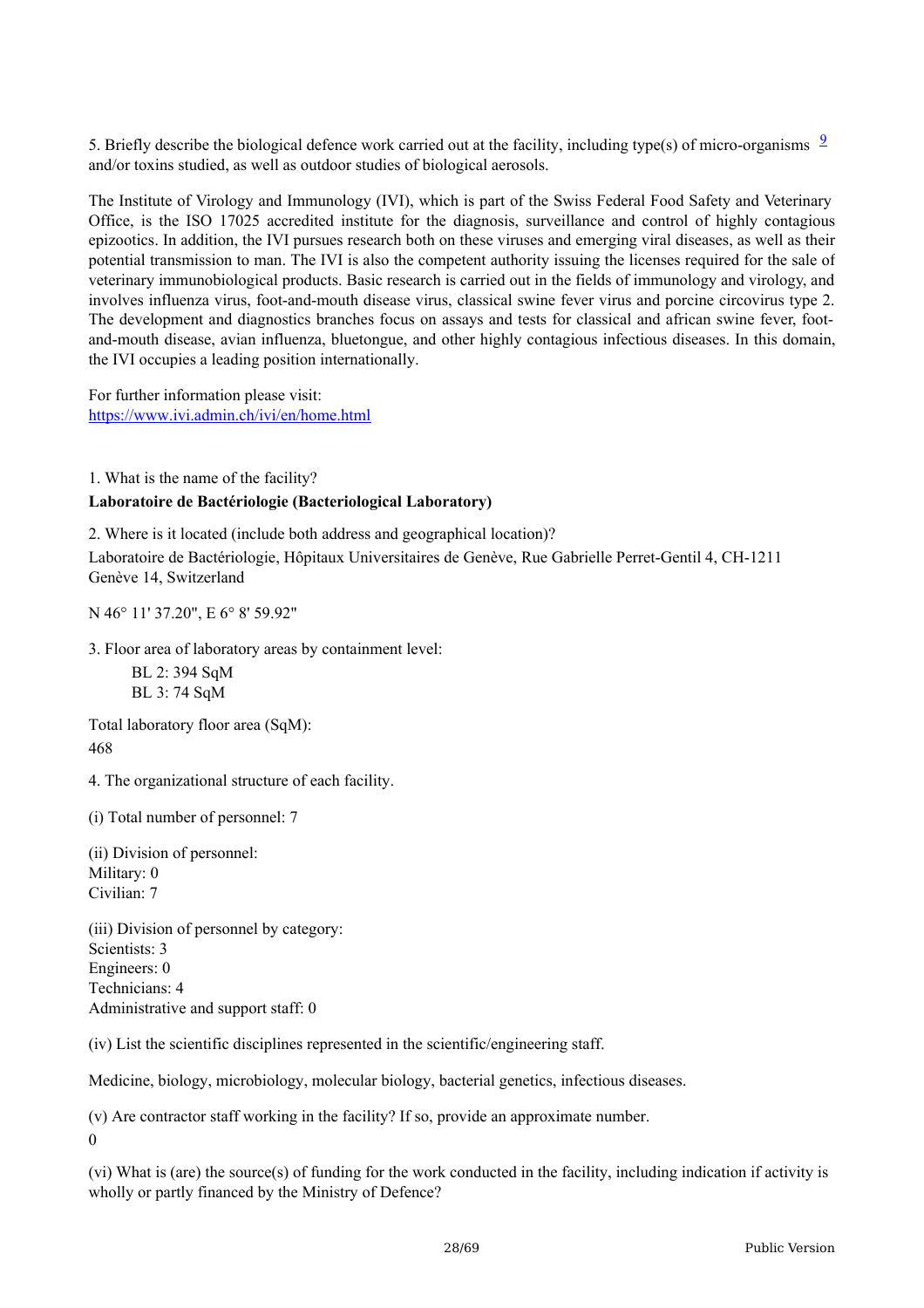5. Briefly describe the biological defence work carried out at the facility, including type(s) of micro-organisms  $\frac{9}{2}$  $\frac{9}{2}$  $\frac{9}{2}$ and/or toxins studied, as well as outdoor studies of biological aerosols.

The Institute of Virology and Immunology (IVI), which is part of the Swiss Federal Food Safety and Veterinary Office, is the ISO 17025 accredited institute for the diagnosis, surveillance and control of highly contagious epizootics. In addition, the IVI pursues research both on these viruses and emerging viral diseases, as well as their potential transmission to man. The IVI is also the competent authority issuing the licenses required for the sale of veterinary immunobiological products. Basic research is carried out in the fields of immunology and virology, and involves influenza virus, foot-and-mouth disease virus, classical swine fever virus and porcine circovirus type 2. The development and diagnostics branches focus on assays and tests for classical and african swine fever, footand-mouth disease, avian influenza, bluetongue, and other highly contagious infectious diseases. In this domain, the IVI occupies a leading position internationally.

For further information please visit: <https://www.ivi.admin.ch/ivi/en/home.html>

1. What is the name of the facility?

#### **Laboratoire de Bactériologie (Bacteriological Laboratory)**

2. Where is it located (include both address and geographical location)? Laboratoire de Bactériologie, Hôpitaux Universitaires de Genève, Rue Gabrielle Perret-Gentil 4, CH-1211 Genève 14, Switzerland

N 46° 11' 37.20", E 6° 8' 59.92"

3. Floor area of laboratory areas by containment level:

BL 2: 394 SqM BL 3: 74 SqM

Total laboratory floor area (SqM): 468

4. The organizational structure of each facility.

(i) Total number of personnel: 7

(ii) Division of personnel: Military: 0 Civilian: 7

(iii) Division of personnel by category: Scientists: 3 Engineers: 0 Technicians: 4 Administrative and support staff: 0

(iv) List the scientific disciplines represented in the scientific/engineering staff.

Medicine, biology, microbiology, molecular biology, bacterial genetics, infectious diseases.

(v) Are contractor staff working in the facility? If so, provide an approximate number.  $\Omega$ 

(vi) What is (are) the source(s) of funding for the work conducted in the facility, including indication if activity is wholly or partly financed by the Ministry of Defence?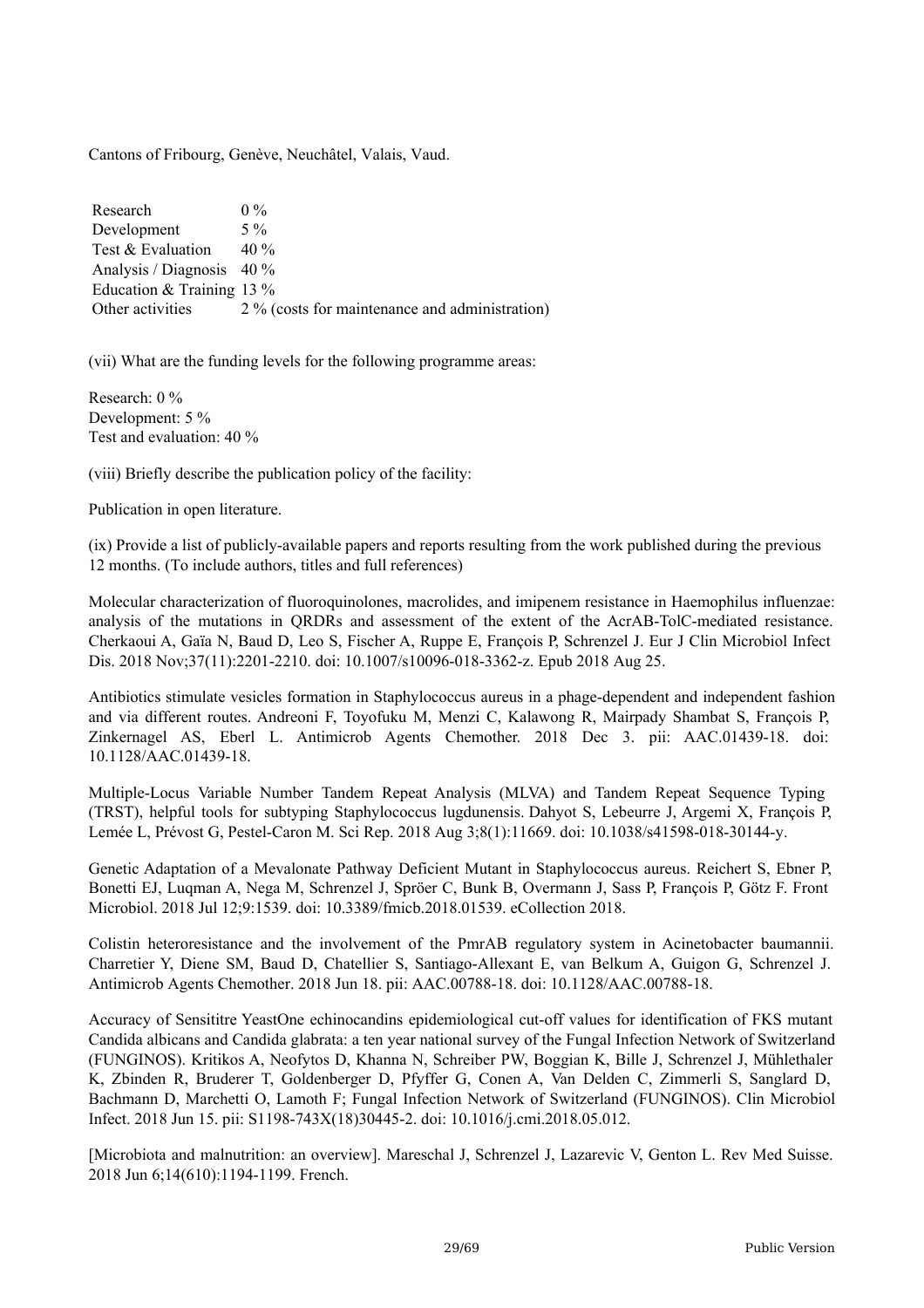Cantons of Fribourg, Genève, Neuchâtel, Valais, Vaud.

Research Development Test & Evaluation Analysis / Diagnosis 40 % Education & Training 13 % Other activities  $0\%$ 5 % 40 % 2 % (costs for maintenance and administration)

(vii) What are the funding levels for the following programme areas:

Research: 0 % Development: 5 % Test and evaluation: 40 %

(viii) Briefly describe the publication policy of the facility:

Publication in open literature.

(ix) Provide a list of publicly-available papers and reports resulting from the work published during the previous 12 months. (To include authors, titles and full references)

Molecular characterization of fluoroquinolones, macrolides, and imipenem resistance in Haemophilus influenzae: analysis of the mutations in QRDRs and assessment of the extent of the AcrAB-TolC-mediated resistance. Cherkaoui A, Gaïa N, Baud D, Leo S, Fischer A, Ruppe E, François P, Schrenzel J. Eur J Clin Microbiol Infect Dis. 2018 Nov;37(11):2201-2210. doi: 10.1007/s10096-018-3362-z. Epub 2018 Aug 25.

Antibiotics stimulate vesicles formation in Staphylococcus aureus in a phage-dependent and independent fashion and via different routes. Andreoni F, Toyofuku M, Menzi C, Kalawong R, Mairpady Shambat S, François P, Zinkernagel AS, Eberl L. Antimicrob Agents Chemother. 2018 Dec 3. pii: AAC.01439-18. doi: 10.1128/AAC.01439-18.

Multiple-Locus Variable Number Tandem Repeat Analysis (MLVA) and Tandem Repeat Sequence Typing (TRST), helpful tools for subtyping Staphylococcus lugdunensis. Dahyot S, Lebeurre J, Argemi X, François P, Lemée L, Prévost G, Pestel-Caron M. Sci Rep. 2018 Aug 3;8(1):11669. doi: 10.1038/s41598-018-30144-y.

Genetic Adaptation of a Mevalonate Pathway Deficient Mutant in Staphylococcus aureus. Reichert S, Ebner P, Bonetti EJ, Luqman A, Nega M, Schrenzel J, Spröer C, Bunk B, Overmann J, Sass P, François P, Götz F. Front Microbiol. 2018 Jul 12;9:1539. doi: 10.3389/fmicb.2018.01539. eCollection 2018.

Colistin heteroresistance and the involvement of the PmrAB regulatory system in Acinetobacter baumannii. Charretier Y, Diene SM, Baud D, Chatellier S, Santiago-Allexant E, van Belkum A, Guigon G, Schrenzel J. Antimicrob Agents Chemother. 2018 Jun 18. pii: AAC.00788-18. doi: 10.1128/AAC.00788-18.

Accuracy of Sensititre YeastOne echinocandins epidemiological cut-off values for identification of FKS mutant Candida albicans and Candida glabrata: a ten year national survey of the Fungal Infection Network of Switzerland (FUNGINOS). Kritikos A, Neofytos D, Khanna N, Schreiber PW, Boggian K, Bille J, Schrenzel J, Mühlethaler K, Zbinden R, Bruderer T, Goldenberger D, Pfyffer G, Conen A, Van Delden C, Zimmerli S, Sanglard D, Bachmann D, Marchetti O, Lamoth F; Fungal Infection Network of Switzerland (FUNGINOS). Clin Microbiol Infect. 2018 Jun 15. pii: S1198-743X(18)30445-2. doi: 10.1016/j.cmi.2018.05.012.

[Microbiota and malnutrition: an overview]. Mareschal J, Schrenzel J, Lazarevic V, Genton L. Rev Med Suisse. 2018 Jun 6;14(610):1194-1199. French.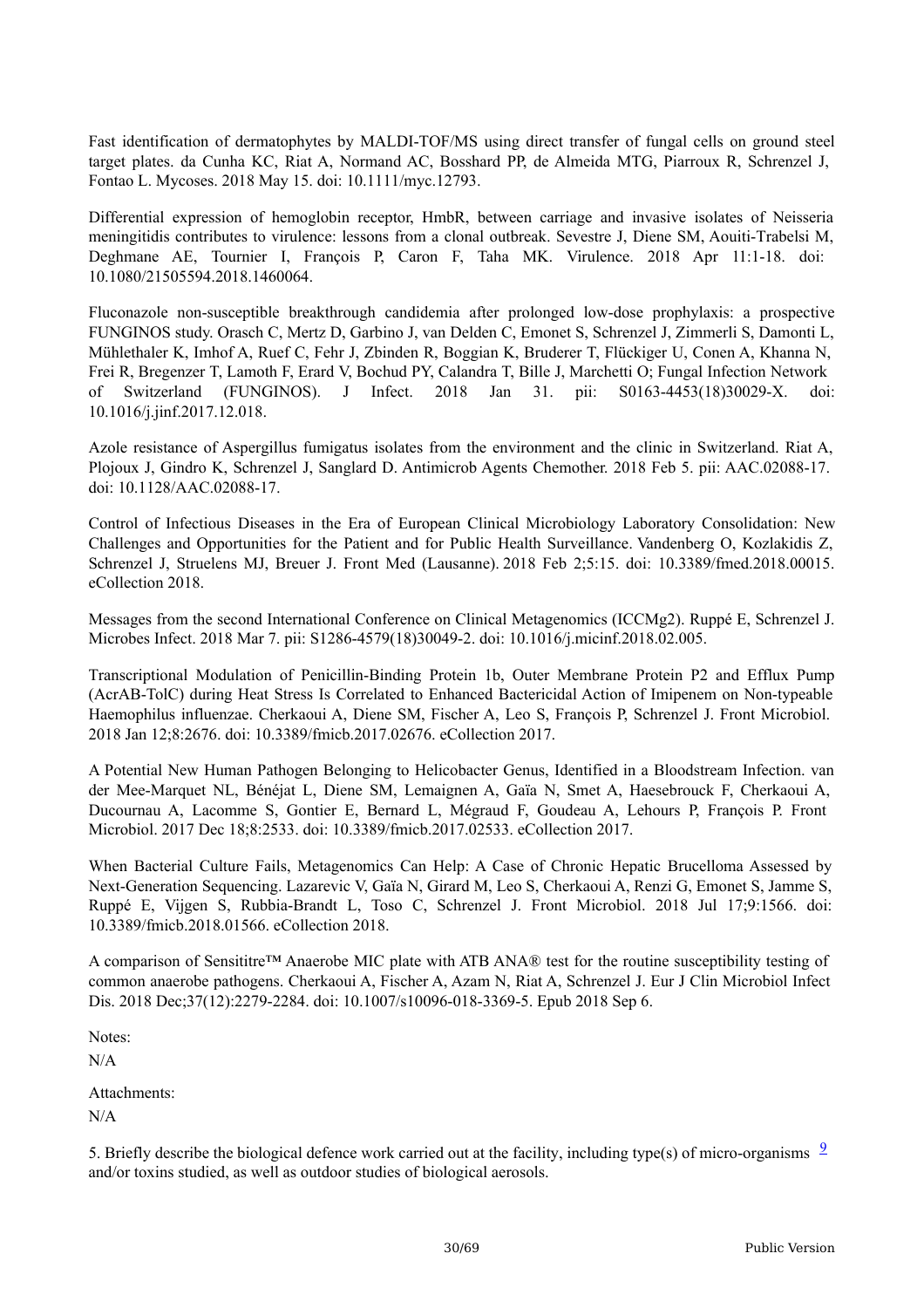Fast identification of dermatophytes by MALDI-TOF/MS using direct transfer of fungal cells on ground steel target plates. da Cunha KC, Riat A, Normand AC, Bosshard PP, de Almeida MTG, Piarroux R, Schrenzel J, Fontao L. Mycoses. 2018 May 15. doi: 10.1111/myc.12793.

Differential expression of hemoglobin receptor, HmbR, between carriage and invasive isolates of Neisseria meningitidis contributes to virulence: lessons from a clonal outbreak. Sevestre J, Diene SM, Aouiti-Trabelsi M, Deghmane AE, Tournier I, François P, Caron F, Taha MK. Virulence. 2018 Apr 11:1-18. doi: 10.1080/21505594.2018.1460064.

Fluconazole non-susceptible breakthrough candidemia after prolonged low-dose prophylaxis: a prospective FUNGINOS study. Orasch C, Mertz D, Garbino J, van Delden C, Emonet S, Schrenzel J, Zimmerli S, Damonti L, Mühlethaler K, Imhof A, Ruef C, Fehr J, Zbinden R, Boggian K, Bruderer T, Flückiger U, Conen A, Khanna N, Frei R, Bregenzer T, Lamoth F, Erard V, Bochud PY, Calandra T, Bille J, Marchetti O; Fungal Infection Network of Switzerland (FUNGINOS). J Infect. 2018 Jan 31. pii: S0163-4453(18)30029-X. doi: 10.1016/j.jinf.2017.12.018.

Azole resistance of Aspergillus fumigatus isolates from the environment and the clinic in Switzerland. Riat A, Plojoux J, Gindro K, Schrenzel J, Sanglard D. Antimicrob Agents Chemother. 2018 Feb 5. pii: AAC.02088-17. doi: 10.1128/AAC.02088-17.

Control of Infectious Diseases in the Era of European Clinical Microbiology Laboratory Consolidation: New Challenges and Opportunities for the Patient and for Public Health Surveillance. Vandenberg O, Kozlakidis Z, Schrenzel J, Struelens MJ, Breuer J. Front Med (Lausanne). 2018 Feb 2;5:15. doi: 10.3389/fmed.2018.00015. eCollection 2018.

Messages from the second International Conference on Clinical Metagenomics (ICCMg2). Ruppé E, Schrenzel J. Microbes Infect. 2018 Mar 7. pii: S1286-4579(18)30049-2. doi: 10.1016/j.micinf.2018.02.005.

Transcriptional Modulation of Penicillin-Binding Protein 1b, Outer Membrane Protein P2 and Efflux Pump (AcrAB-TolC) during Heat Stress Is Correlated to Enhanced Bactericidal Action of Imipenem on Non-typeable Haemophilus influenzae. Cherkaoui A, Diene SM, Fischer A, Leo S, François P, Schrenzel J. Front Microbiol. 2018 Jan 12;8:2676. doi: 10.3389/fmicb.2017.02676. eCollection 2017.

A Potential New Human Pathogen Belonging to Helicobacter Genus, Identified in a Bloodstream Infection. van der Mee-Marquet NL, Bénéjat L, Diene SM, Lemaignen A, Gaïa N, Smet A, Haesebrouck F, Cherkaoui A, Ducournau A, Lacomme S, Gontier E, Bernard L, Mégraud F, Goudeau A, Lehours P, François P. Front Microbiol. 2017 Dec 18;8:2533. doi: 10.3389/fmicb.2017.02533. eCollection 2017.

When Bacterial Culture Fails, Metagenomics Can Help: A Case of Chronic Hepatic Brucelloma Assessed by Next-Generation Sequencing. Lazarevic V, Gaïa N, Girard M, Leo S, Cherkaoui A, Renzi G, Emonet S, Jamme S, Ruppé E, Vijgen S, Rubbia-Brandt L, Toso C, Schrenzel J. Front Microbiol. 2018 Jul 17;9:1566. doi: 10.3389/fmicb.2018.01566. eCollection 2018.

A comparison of Sensititre™ Anaerobe MIC plate with ATB ANA® test for the routine susceptibility testing of common anaerobe pathogens. Cherkaoui A, Fischer A, Azam N, Riat A, Schrenzel J. Eur J Clin Microbiol Infect Dis. 2018 Dec;37(12):2279-2284. doi: 10.1007/s10096-018-3369-5. Epub 2018 Sep 6.

Notes:

N/A

Attachments:

N/A

5. Briefly describe the biological defence work carried out at the facility, including type(s) of micro-organisms  $\frac{9}{2}$  $\frac{9}{2}$  $\frac{9}{2}$ and/or toxins studied, as well as outdoor studies of biological aerosols.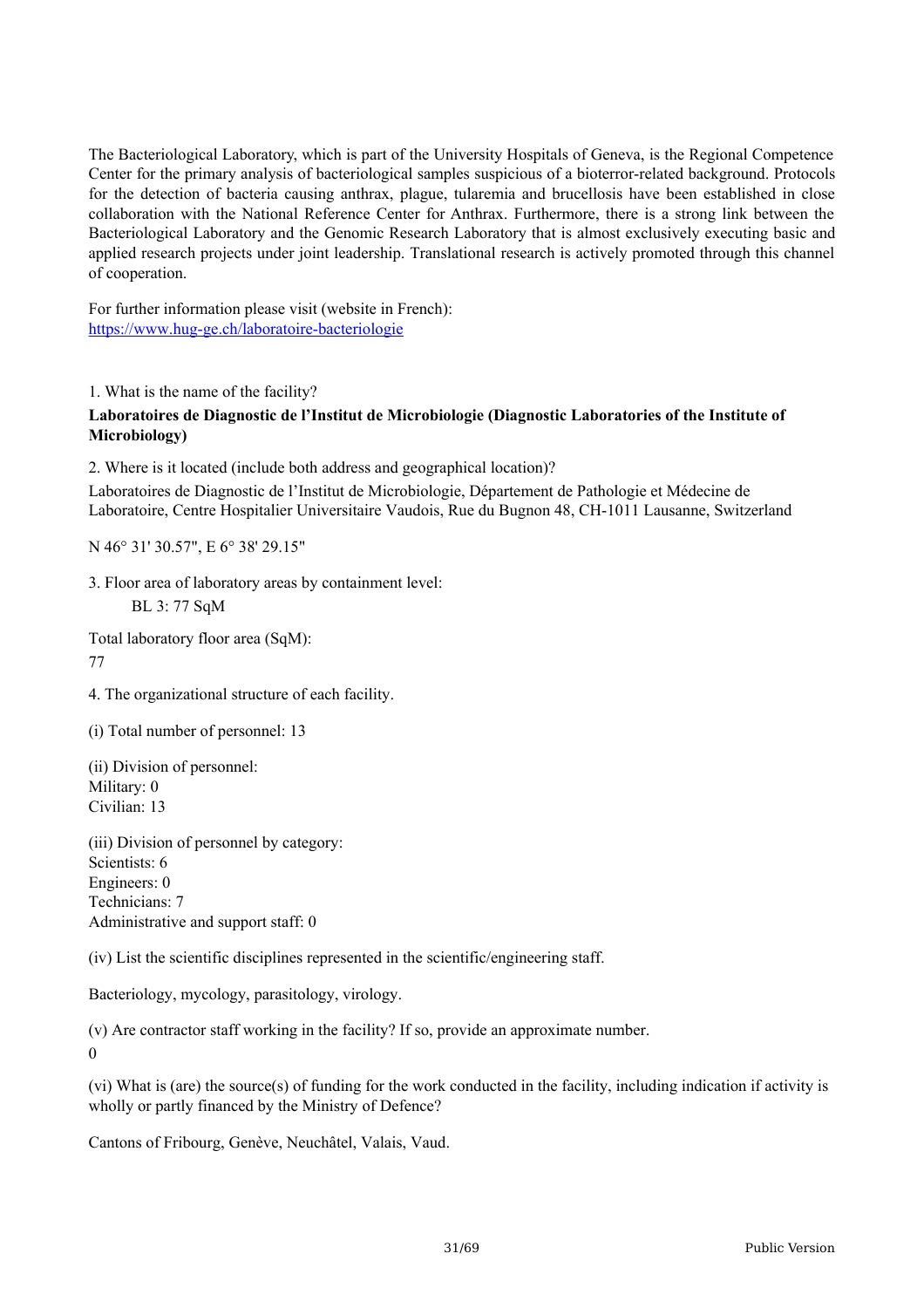The Bacteriological Laboratory, which is part of the University Hospitals of Geneva, is the Regional Competence Center for the primary analysis of bacteriological samples suspicious of a bioterror-related background. Protocols for the detection of bacteria causing anthrax, plague, tularemia and brucellosis have been established in close collaboration with the National Reference Center for Anthrax. Furthermore, there is a strong link between the Bacteriological Laboratory and the Genomic Research Laboratory that is almost exclusively executing basic and applied research projects under joint leadership. Translational research is actively promoted through this channel of cooperation.

For further information please visit (website in French): <https://www.hug-ge.ch/laboratoire-bacteriologie>

1. What is the name of the facility?

#### **Laboratoires de Diagnostic de l'Institut de Microbiologie (Diagnostic Laboratories of the Institute of Microbiology)**

2. Where is it located (include both address and geographical location)?

Laboratoires de Diagnostic de l'Institut de Microbiologie, Département de Pathologie et Médecine de Laboratoire, Centre Hospitalier Universitaire Vaudois, Rue du Bugnon 48, CH-1011 Lausanne, Switzerland

N 46° 31' 30.57", E 6° 38' 29.15"

3. Floor area of laboratory areas by containment level:

BL 3: 77 SqM

Total laboratory floor area (SqM): 77

4. The organizational structure of each facility.

(i) Total number of personnel: 13

(ii) Division of personnel: Military: 0 Civilian: 13

(iii) Division of personnel by category: Scientists: 6 Engineers: 0 Technicians: 7 Administrative and support staff: 0

(iv) List the scientific disciplines represented in the scientific/engineering staff.

Bacteriology, mycology, parasitology, virology.

(v) Are contractor staff working in the facility? If so, provide an approximate number.  $\Omega$ 

(vi) What is (are) the source(s) of funding for the work conducted in the facility, including indication if activity is wholly or partly financed by the Ministry of Defence?

Cantons of Fribourg, Genève, Neuchâtel, Valais, Vaud.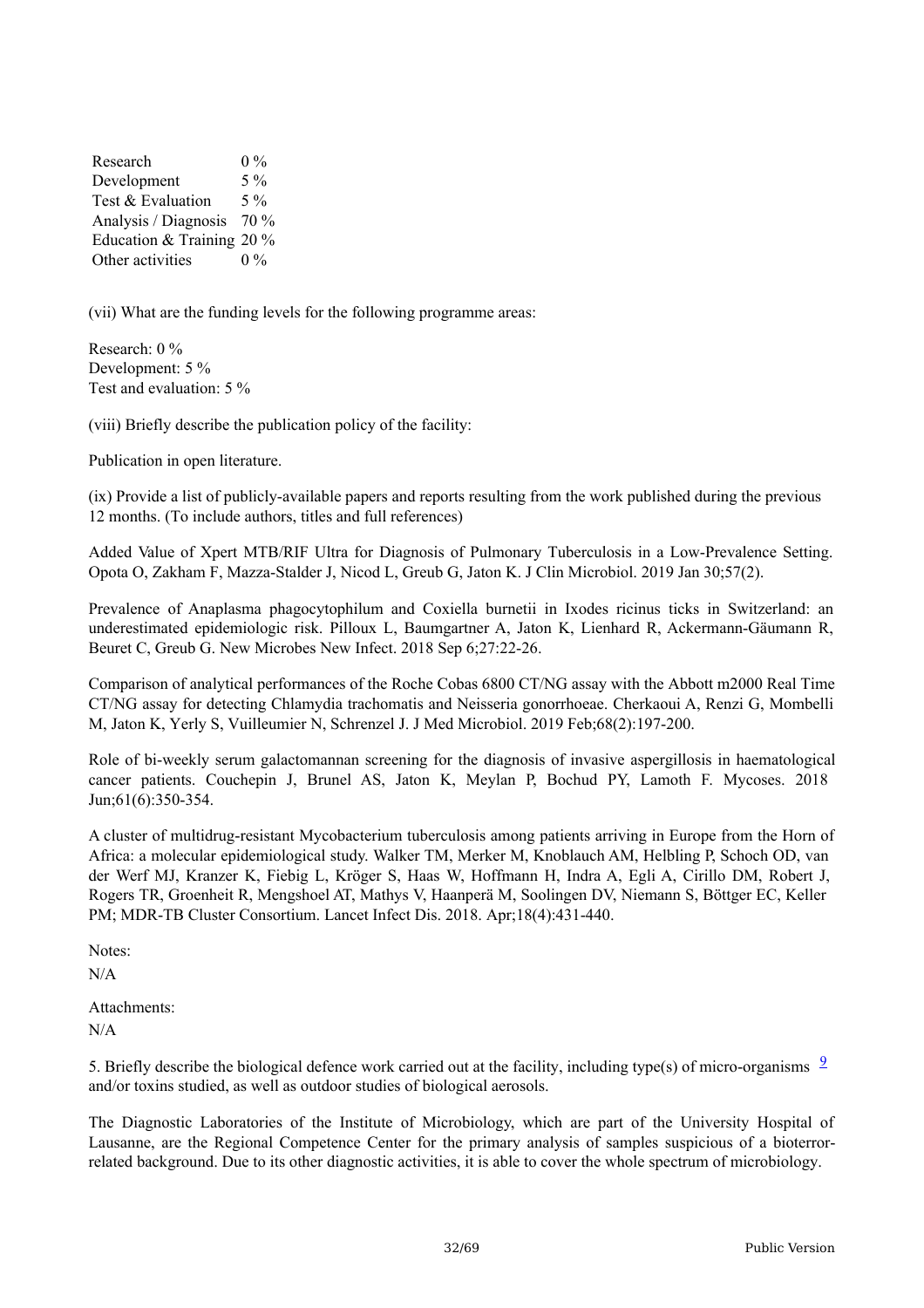Research Development Test & Evaluation Analysis / Diagnosis 70 % Education & Training 20 % Other activities  $0\%$ 5 % 5 %  $0\%$ 

(vii) What are the funding levels for the following programme areas:

Research: 0 % Development: 5 % Test and evaluation: 5 %

(viii) Briefly describe the publication policy of the facility:

Publication in open literature.

(ix) Provide a list of publicly-available papers and reports resulting from the work published during the previous 12 months. (To include authors, titles and full references)

Added Value of Xpert MTB/RIF Ultra for Diagnosis of Pulmonary Tuberculosis in a Low-Prevalence Setting. Opota O, Zakham F, Mazza-Stalder J, Nicod L, Greub G, Jaton K. J Clin Microbiol. 2019 Jan 30;57(2).

Prevalence of Anaplasma phagocytophilum and Coxiella burnetii in Ixodes ricinus ticks in Switzerland: an underestimated epidemiologic risk. Pilloux L, Baumgartner A, Jaton K, Lienhard R, Ackermann-Gäumann R, Beuret C, Greub G. New Microbes New Infect. 2018 Sep 6;27:22-26.

Comparison of analytical performances of the Roche Cobas 6800 CT/NG assay with the Abbott m2000 Real Time CT/NG assay for detecting Chlamydia trachomatis and Neisseria gonorrhoeae. Cherkaoui A, Renzi G, Mombelli M, Jaton K, Yerly S, Vuilleumier N, Schrenzel J. J Med Microbiol. 2019 Feb;68(2):197-200.

Role of bi-weekly serum galactomannan screening for the diagnosis of invasive aspergillosis in haematological cancer patients. Couchepin J, Brunel AS, Jaton K, Meylan P, Bochud PY, Lamoth F. Mycoses. 2018 Jun;61(6):350-354.

A cluster of multidrug-resistant Mycobacterium tuberculosis among patients arriving in Europe from the Horn of Africa: a molecular epidemiological study. Walker TM, Merker M, Knoblauch AM, Helbling P, Schoch OD, van der Werf MJ, Kranzer K, Fiebig L, Kröger S, Haas W, Hoffmann H, Indra A, Egli A, Cirillo DM, Robert J, Rogers TR, Groenheit R, Mengshoel AT, Mathys V, Haanperä M, Soolingen DV, Niemann S, Böttger EC, Keller PM; MDR-TB Cluster Consortium. Lancet Infect Dis. 2018. Apr;18(4):431-440.

Notes: N/A

Attachments: N/A

5. Briefly describe the biological defence work carried out at the facility, including type(s) of micro-organisms  $\frac{9}{2}$  $\frac{9}{2}$  $\frac{9}{2}$ and/or toxins studied, as well as outdoor studies of biological aerosols.

The Diagnostic Laboratories of the Institute of Microbiology, which are part of the University Hospital of Lausanne, are the Regional Competence Center for the primary analysis of samples suspicious of a bioterrorrelated background. Due to its other diagnostic activities, it is able to cover the whole spectrum of microbiology.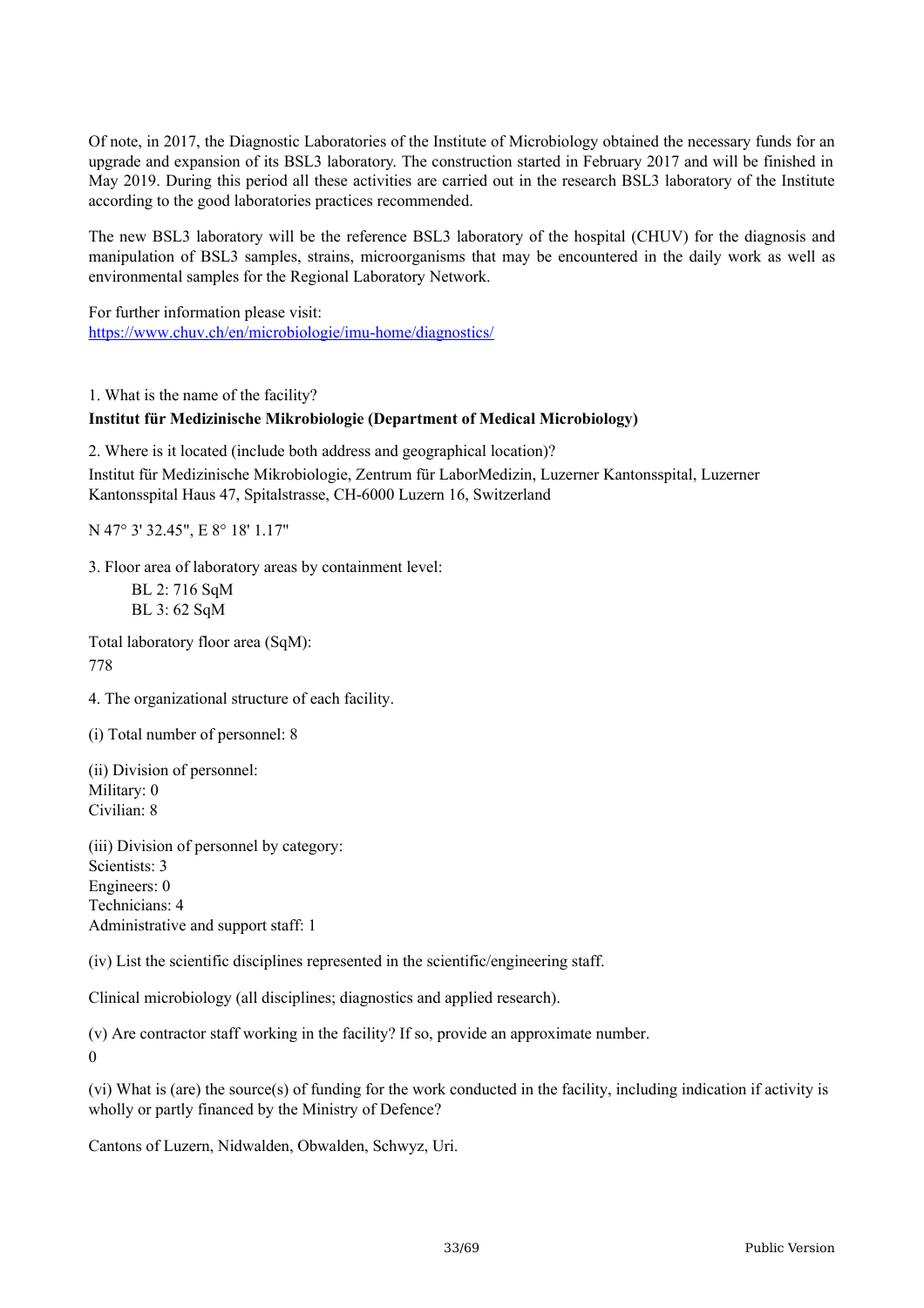Of note, in 2017, the Diagnostic Laboratories of the Institute of Microbiology obtained the necessary funds for an upgrade and expansion of its BSL3 laboratory. The construction started in February 2017 and will be finished in May 2019. During this period all these activities are carried out in the research BSL3 laboratory of the Institute according to the good laboratories practices recommended.

The new BSL3 laboratory will be the reference BSL3 laboratory of the hospital (CHUV) for the diagnosis and manipulation of BSL3 samples, strains, microorganisms that may be encountered in the daily work as well as environmental samples for the Regional Laboratory Network.

For further information please visit: <https://www.chuv.ch/en/microbiologie/imu-home/diagnostics/>

1. What is the name of the facility?

#### **Institut für Medizinische Mikrobiologie (Department of Medical Microbiology)**

2. Where is it located (include both address and geographical location)?

Institut für Medizinische Mikrobiologie, Zentrum für LaborMedizin, Luzerner Kantonsspital, Luzerner Kantonsspital Haus 47, Spitalstrasse, CH-6000 Luzern 16, Switzerland

N 47° 3' 32.45", E 8° 18' 1.17"

3. Floor area of laboratory areas by containment level:

BL 2: 716 SqM BL 3: 62 SqM

Total laboratory floor area (SqM): 778

4. The organizational structure of each facility.

(i) Total number of personnel: 8

(ii) Division of personnel: Military: 0 Civilian: 8

(iii) Division of personnel by category: Scientists: 3 Engineers: 0 Technicians: 4 Administrative and support staff: 1

(iv) List the scientific disciplines represented in the scientific/engineering staff.

Clinical microbiology (all disciplines; diagnostics and applied research).

(v) Are contractor staff working in the facility? If so, provide an approximate number. 0

(vi) What is (are) the source(s) of funding for the work conducted in the facility, including indication if activity is wholly or partly financed by the Ministry of Defence?

Cantons of Luzern, Nidwalden, Obwalden, Schwyz, Uri.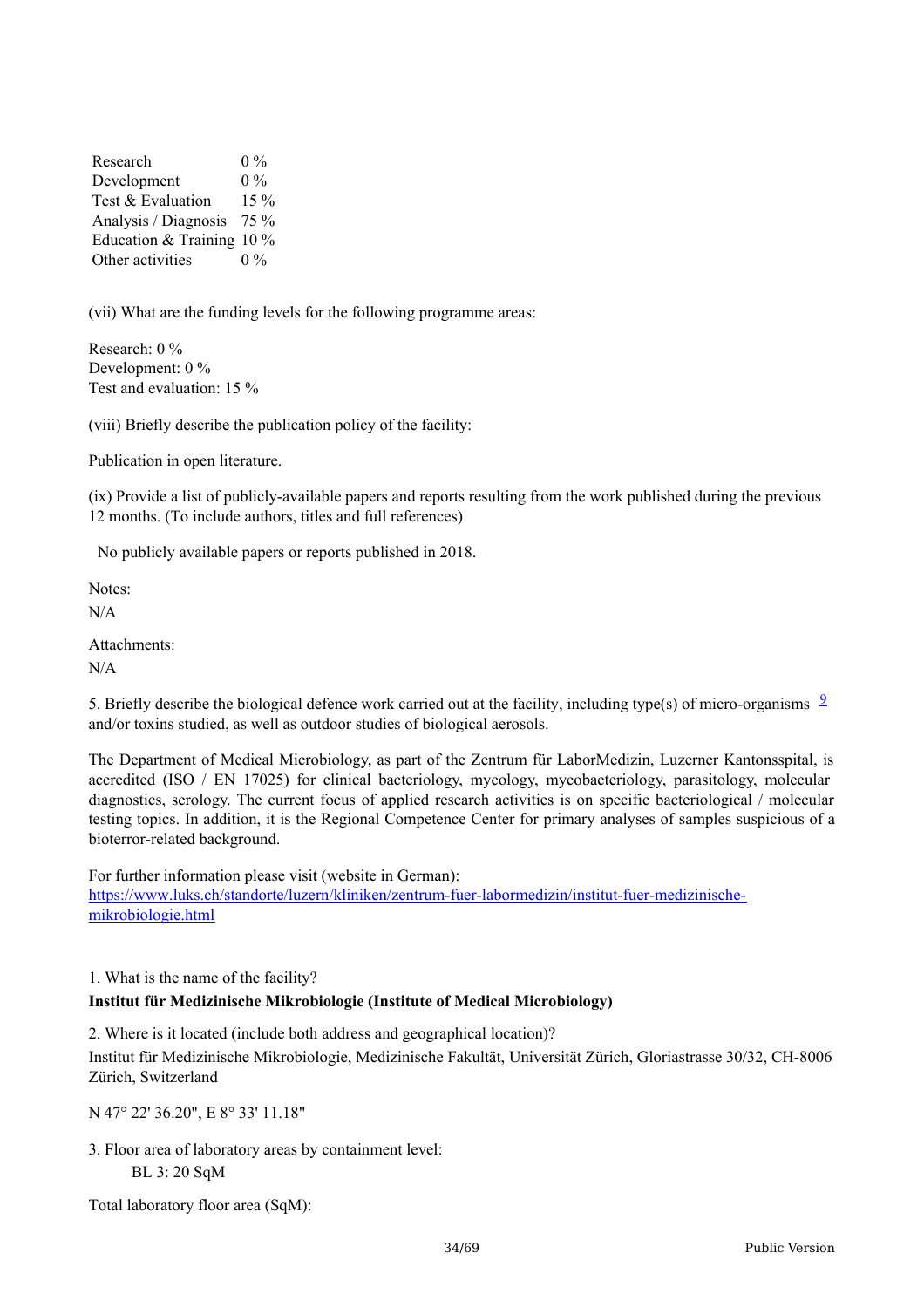Research Development Test & Evaluation Analysis / Diagnosis 75 % Education & Training 10 % Other activities  $0\%$  $0\%$ 15 %  $0\%$ 

(vii) What are the funding levels for the following programme areas:

Research: 0 % Development: 0 % Test and evaluation: 15 %

(viii) Briefly describe the publication policy of the facility:

Publication in open literature.

(ix) Provide a list of publicly-available papers and reports resulting from the work published during the previous 12 months. (To include authors, titles and full references)

No publicly available papers or reports published in 2018.

Notes:

N/A

Attachments:

N/A

5. Briefly describe the biological defence work carried out at the facility, including type(s) of micro-organisms  $\frac{9}{2}$  $\frac{9}{2}$  $\frac{9}{2}$ and/or toxins studied, as well as outdoor studies of biological aerosols.

The Department of Medical Microbiology, as part of the Zentrum für LaborMedizin, Luzerner Kantonsspital, is accredited (ISO / EN 17025) for clinical bacteriology, mycology, mycobacteriology, parasitology, molecular diagnostics, serology. The current focus of applied research activities is on specific bacteriological / molecular testing topics. In addition, it is the Regional Competence Center for primary analyses of samples suspicious of a bioterror-related background.

For further information please visit (website in German): [https://www.luks.ch/standorte/luzern/kliniken/zentrum-fuer-labormedizin/institut-fuer-medizinische](https://www.luks.ch/standorte/luzern/kliniken/zentrum-fuer-labormedizin/institut-fuer-medizinische-mikrobiologie.html)mikrobiologie.html

1. What is the name of the facility?

#### **Institut für Medizinische Mikrobiologie (Institute of Medical Microbiology)**

2. Where is it located (include both address and geographical location)? Institut für Medizinische Mikrobiologie, Medizinische Fakultät, Universität Zürich, Gloriastrasse 30/32, CH-8006 Zürich, Switzerland

N 47° 22' 36.20", E 8° 33' 11.18"

3. Floor area of laboratory areas by containment level: BL 3: 20 SqM

Total laboratory floor area (SqM):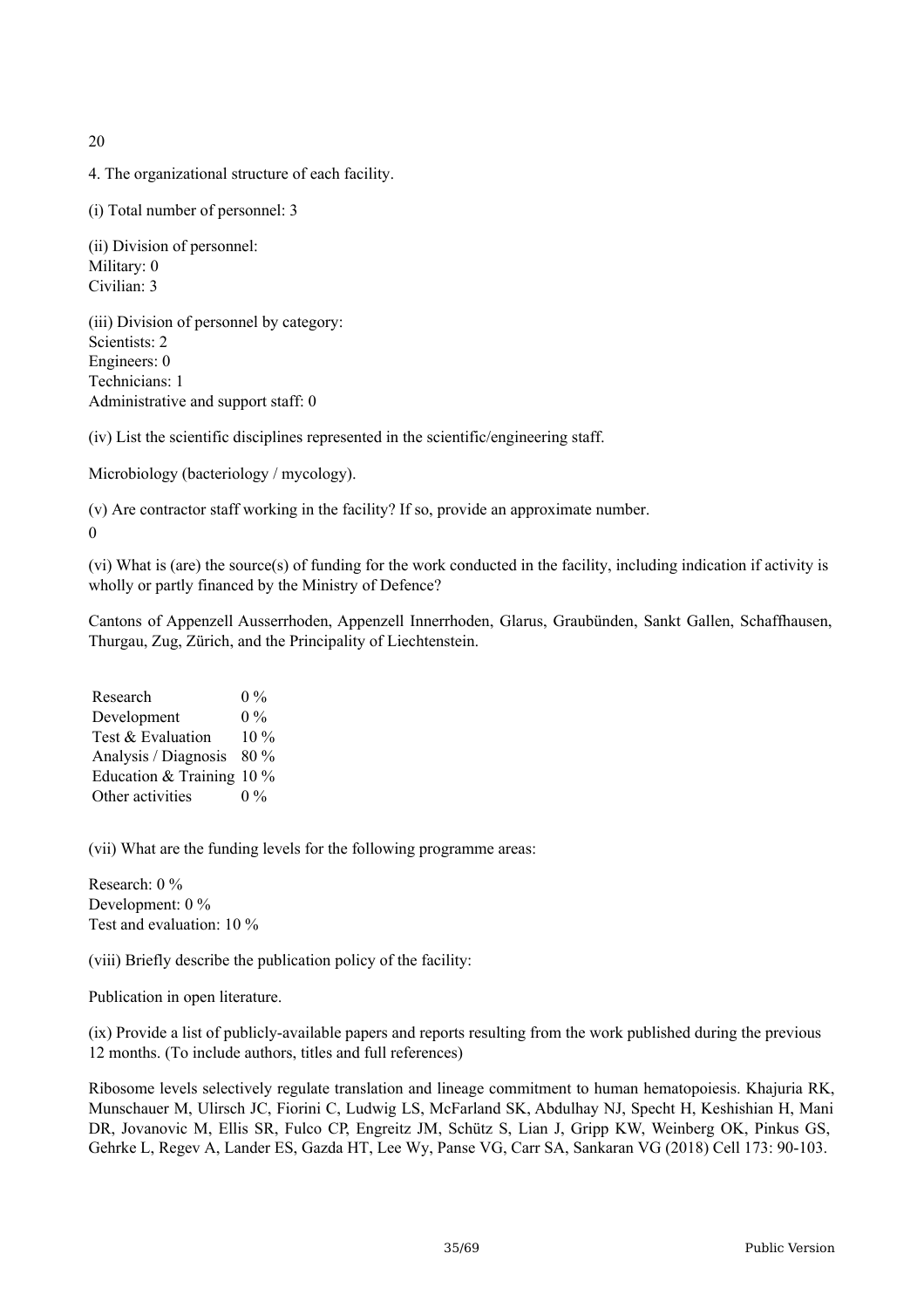20

4. The organizational structure of each facility.

(i) Total number of personnel: 3

(ii) Division of personnel: Military: 0 Civilian: 3

(iii) Division of personnel by category: Scientists: 2 Engineers: 0 Technicians: 1 Administrative and support staff: 0

(iv) List the scientific disciplines represented in the scientific/engineering staff.

Microbiology (bacteriology / mycology).

(v) Are contractor staff working in the facility? If so, provide an approximate number.

0

(vi) What is (are) the source(s) of funding for the work conducted in the facility, including indication if activity is wholly or partly financed by the Ministry of Defence?

Cantons of Appenzell Ausserrhoden, Appenzell Innerrhoden, Glarus, Graubünden, Sankt Gallen, Schaffhausen, Thurgau, Zug, Zürich, and the Principality of Liechtenstein.

Research Development Test & Evaluation Analysis / Diagnosis 80 % Education & Training 10 % Other activities  $0\%$  $0\%$  $10\%$  $0\%$ 

(vii) What are the funding levels for the following programme areas:

Research: 0 % Development: 0 % Test and evaluation: 10 %

(viii) Briefly describe the publication policy of the facility:

Publication in open literature.

(ix) Provide a list of publicly-available papers and reports resulting from the work published during the previous 12 months. (To include authors, titles and full references)

Ribosome levels selectively regulate translation and lineage commitment to human hematopoiesis. Khajuria RK, Munschauer M, Ulirsch JC, Fiorini C, Ludwig LS, McFarland SK, Abdulhay NJ, Specht H, Keshishian H, Mani DR, Jovanovic M, Ellis SR, Fulco CP, Engreitz JM, Schütz S, Lian J, Gripp KW, Weinberg OK, Pinkus GS, Gehrke L, Regev A, Lander ES, Gazda HT, Lee Wy, Panse VG, Carr SA, Sankaran VG (2018) Cell 173: 90-103.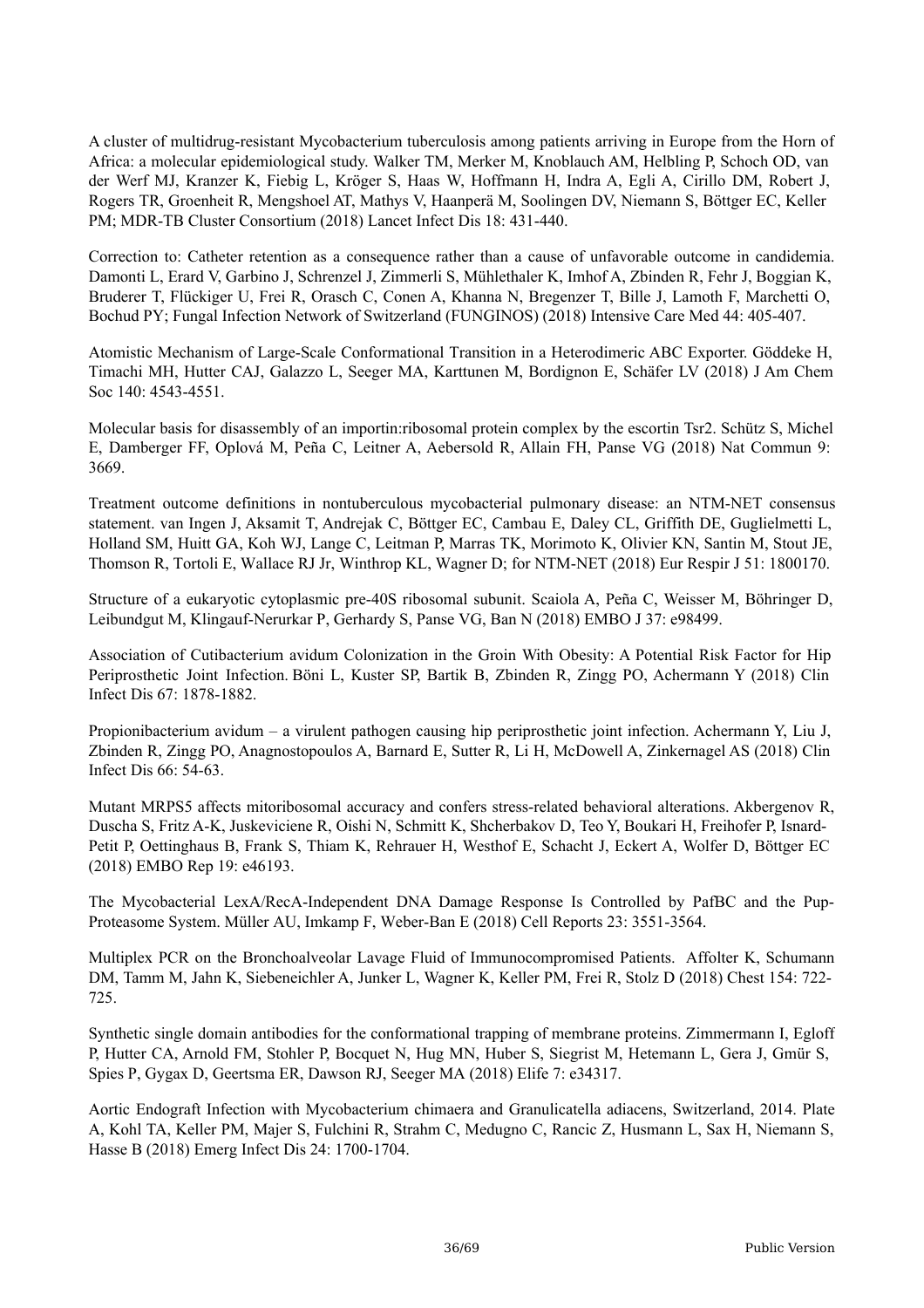A cluster of multidrug-resistant Mycobacterium tuberculosis among patients arriving in Europe from the Horn of Africa: a molecular epidemiological study. Walker TM, Merker M, Knoblauch AM, Helbling P, Schoch OD, van der Werf MJ, Kranzer K, Fiebig L, Kröger S, Haas W, Hoffmann H, Indra A, Egli A, Cirillo DM, Robert J, Rogers TR, Groenheit R, Mengshoel AT, Mathys V, Haanperä M, Soolingen DV, Niemann S, Böttger EC, Keller PM; MDR-TB Cluster Consortium (2018) Lancet Infect Dis 18: 431-440.

Correction to: Catheter retention as a consequence rather than a cause of unfavorable outcome in candidemia. Damonti L, Erard V, Garbino J, Schrenzel J, Zimmerli S, Mühlethaler K, Imhof A, Zbinden R, Fehr J, Boggian K, Bruderer T, Flückiger U, Frei R, Orasch C, Conen A, Khanna N, Bregenzer T, Bille J, Lamoth F, Marchetti O, Bochud PY; Fungal Infection Network of Switzerland (FUNGINOS) (2018) Intensive Care Med 44: 405-407.

Atomistic Mechanism of Large-Scale Conformational Transition in a Heterodimeric ABC Exporter. Göddeke H, Timachi MH, Hutter CAJ, Galazzo L, Seeger MA, Karttunen M, Bordignon E, Schäfer LV (2018) J Am Chem Soc 140: 4543-4551.

Molecular basis for disassembly of an importin:ribosomal protein complex by the escortin Tsr2. Schütz S, Michel E, Damberger FF, Oplová M, Peña C, Leitner A, Aebersold R, Allain FH, Panse VG (2018) Nat Commun 9: 3669.

Treatment outcome definitions in nontuberculous mycobacterial pulmonary disease: an NTM-NET consensus statement. van Ingen J, Aksamit T, Andrejak C, Böttger EC, Cambau E, Daley CL, Griffith DE, Guglielmetti L, Holland SM, Huitt GA, Koh WJ, Lange C, Leitman P, Marras TK, Morimoto K, Olivier KN, Santin M, Stout JE, Thomson R, Tortoli E, Wallace RJ Jr, Winthrop KL, Wagner D; for NTM-NET (2018) Eur Respir J 51: 1800170.

Structure of a eukaryotic cytoplasmic pre-40S ribosomal subunit. Scaiola A, Peña C, Weisser M, Böhringer D, Leibundgut M, Klingauf-Nerurkar P, Gerhardy S, Panse VG, Ban N (2018) EMBO J 37: e98499.

Association of Cutibacterium avidum Colonization in the Groin With Obesity: A Potential Risk Factor for Hip Periprosthetic Joint Infection. Böni L, Kuster SP, Bartik B, Zbinden R, Zingg PO, Achermann Y (2018) Clin Infect Dis 67: 1878-1882.

Propionibacterium avidum – a virulent pathogen causing hip periprosthetic joint infection. Achermann Y, Liu J, Zbinden R, Zingg PO, Anagnostopoulos A, Barnard E, Sutter R, Li H, McDowell A, Zinkernagel AS (2018) Clin Infect Dis 66: 54-63.

Mutant MRPS5 affects mitoribosomal accuracy and confers stress-related behavioral alterations. Akbergenov R, Duscha S, Fritz A-K, Juskeviciene R, Oishi N, Schmitt K, Shcherbakov D, Teo Y, Boukari H, Freihofer P, Isnard-Petit P, Oettinghaus B, Frank S, Thiam K, Rehrauer H, Westhof E, Schacht J, Eckert A, Wolfer D, Böttger EC (2018) EMBO Rep 19: e46193.

The Mycobacterial LexA/RecA-Independent DNA Damage Response Is Controlled by PafBC and the Pup-Proteasome System. Müller AU, Imkamp F, Weber-Ban E (2018) Cell Reports 23: 3551-3564.

Multiplex PCR on the Bronchoalveolar Lavage Fluid of Immunocompromised Patients. Affolter K, Schumann DM, Tamm M, Jahn K, Siebeneichler A, Junker L, Wagner K, Keller PM, Frei R, Stolz D (2018) Chest 154: 722- 725.

Synthetic single domain antibodies for the conformational trapping of membrane proteins. Zimmermann I, Egloff P, Hutter CA, Arnold FM, Stohler P, Bocquet N, Hug MN, Huber S, Siegrist M, Hetemann L, Gera J, Gmür S, Spies P, Gygax D, Geertsma ER, Dawson RJ, Seeger MA (2018) Elife 7: e34317.

Aortic Endograft Infection with Mycobacterium chimaera and Granulicatella adiacens, Switzerland, 2014. Plate A, Kohl TA, Keller PM, Majer S, Fulchini R, Strahm C, Medugno C, Rancic Z, Husmann L, Sax H, Niemann S, Hasse B (2018) Emerg Infect Dis 24: 1700-1704.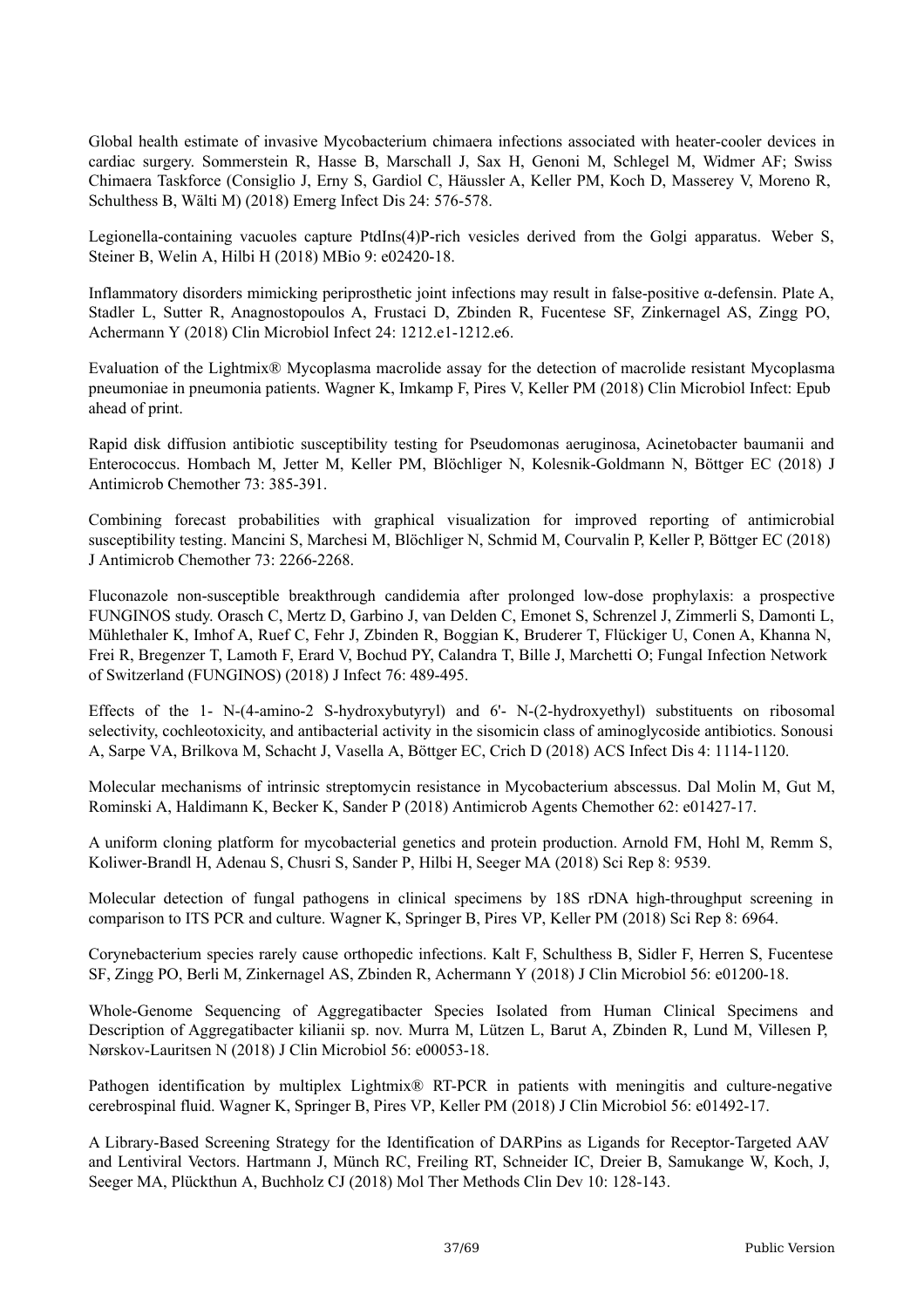Global health estimate of invasive Mycobacterium chimaera infections associated with heater-cooler devices in cardiac surgery. Sommerstein R, Hasse B, Marschall J, Sax H, Genoni M, Schlegel M, Widmer AF; Swiss Chimaera Taskforce (Consiglio J, Erny S, Gardiol C, Häussler A, Keller PM, Koch D, Masserey V, Moreno R, Schulthess B, Wälti M) (2018) Emerg Infect Dis 24: 576-578.

Legionella-containing vacuoles capture PtdIns(4)P-rich vesicles derived from the Golgi apparatus. Weber S, Steiner B, Welin A, Hilbi H (2018) MBio 9: e02420-18.

Inflammatory disorders mimicking periprosthetic joint infections may result in false-positive α-defensin. Plate A, Stadler L, Sutter R, Anagnostopoulos A, Frustaci D, Zbinden R, Fucentese SF, Zinkernagel AS, Zingg PO, Achermann Y (2018) Clin Microbiol Infect 24: 1212.e1-1212.e6.

Evaluation of the Lightmix® Mycoplasma macrolide assay for the detection of macrolide resistant Mycoplasma pneumoniae in pneumonia patients. Wagner K, Imkamp F, Pires V, Keller PM (2018) Clin Microbiol Infect: Epub ahead of print.

Rapid disk diffusion antibiotic susceptibility testing for Pseudomonas aeruginosa, Acinetobacter baumanii and Enterococcus. Hombach M, Jetter M, Keller PM, Blöchliger N, Kolesnik-Goldmann N, Böttger EC (2018) J Antimicrob Chemother 73: 385-391.

Combining forecast probabilities with graphical visualization for improved reporting of antimicrobial susceptibility testing. Mancini S, Marchesi M, Blöchliger N, Schmid M, Courvalin P, Keller P, Böttger EC (2018) J Antimicrob Chemother 73: 2266-2268.

Fluconazole non-susceptible breakthrough candidemia after prolonged low-dose prophylaxis: a prospective FUNGINOS study. Orasch C, Mertz D, Garbino J, van Delden C, Emonet S, Schrenzel J, Zimmerli S, Damonti L, Mühlethaler K, Imhof A, Ruef C, Fehr J, Zbinden R, Boggian K, Bruderer T, Flückiger U, Conen A, Khanna N, Frei R, Bregenzer T, Lamoth F, Erard V, Bochud PY, Calandra T, Bille J, Marchetti O; Fungal Infection Network of Switzerland (FUNGINOS) (2018) J Infect 76: 489-495.

Effects of the 1- N-(4-amino-2 S-hydroxybutyryl) and 6'- N-(2-hydroxyethyl) substituents on ribosomal selectivity, cochleotoxicity, and antibacterial activity in the sisomicin class of aminoglycoside antibiotics. Sonousi A, Sarpe VA, Brilkova M, Schacht J, Vasella A, Böttger EC, Crich D (2018) ACS Infect Dis 4: 1114-1120.

Molecular mechanisms of intrinsic streptomycin resistance in Mycobacterium abscessus. Dal Molin M, Gut M, Rominski A, Haldimann K, Becker K, Sander P (2018) Antimicrob Agents Chemother 62: e01427-17.

A uniform cloning platform for mycobacterial genetics and protein production. Arnold FM, Hohl M, Remm S, Koliwer-Brandl H, Adenau S, Chusri S, Sander P, Hilbi H, Seeger MA (2018) Sci Rep 8: 9539.

Molecular detection of fungal pathogens in clinical specimens by 18S rDNA high-throughput screening in comparison to ITS PCR and culture. Wagner K, Springer B, Pires VP, Keller PM (2018) Sci Rep 8: 6964.

Corynebacterium species rarely cause orthopedic infections. Kalt F, Schulthess B, Sidler F, Herren S, Fucentese SF, Zingg PO, Berli M, Zinkernagel AS, Zbinden R, Achermann Y (2018) J Clin Microbiol 56: e01200-18.

Whole-Genome Sequencing of Aggregatibacter Species Isolated from Human Clinical Specimens and Description of Aggregatibacter kilianii sp. nov. Murra M, Lützen L, Barut A, Zbinden R, Lund M, Villesen P, Nørskov-Lauritsen N (2018) J Clin Microbiol 56: e00053-18.

Pathogen identification by multiplex Lightmix® RT-PCR in patients with meningitis and culture-negative cerebrospinal fluid. Wagner K, Springer B, Pires VP, Keller PM (2018) J Clin Microbiol 56: e01492-17.

A Library-Based Screening Strategy for the Identification of DARPins as Ligands for Receptor-Targeted AAV and Lentiviral Vectors. Hartmann J, Münch RC, Freiling RT, Schneider IC, Dreier B, Samukange W, Koch, J, Seeger MA, Plückthun A, Buchholz CJ (2018) Mol Ther Methods Clin Dev 10: 128-143.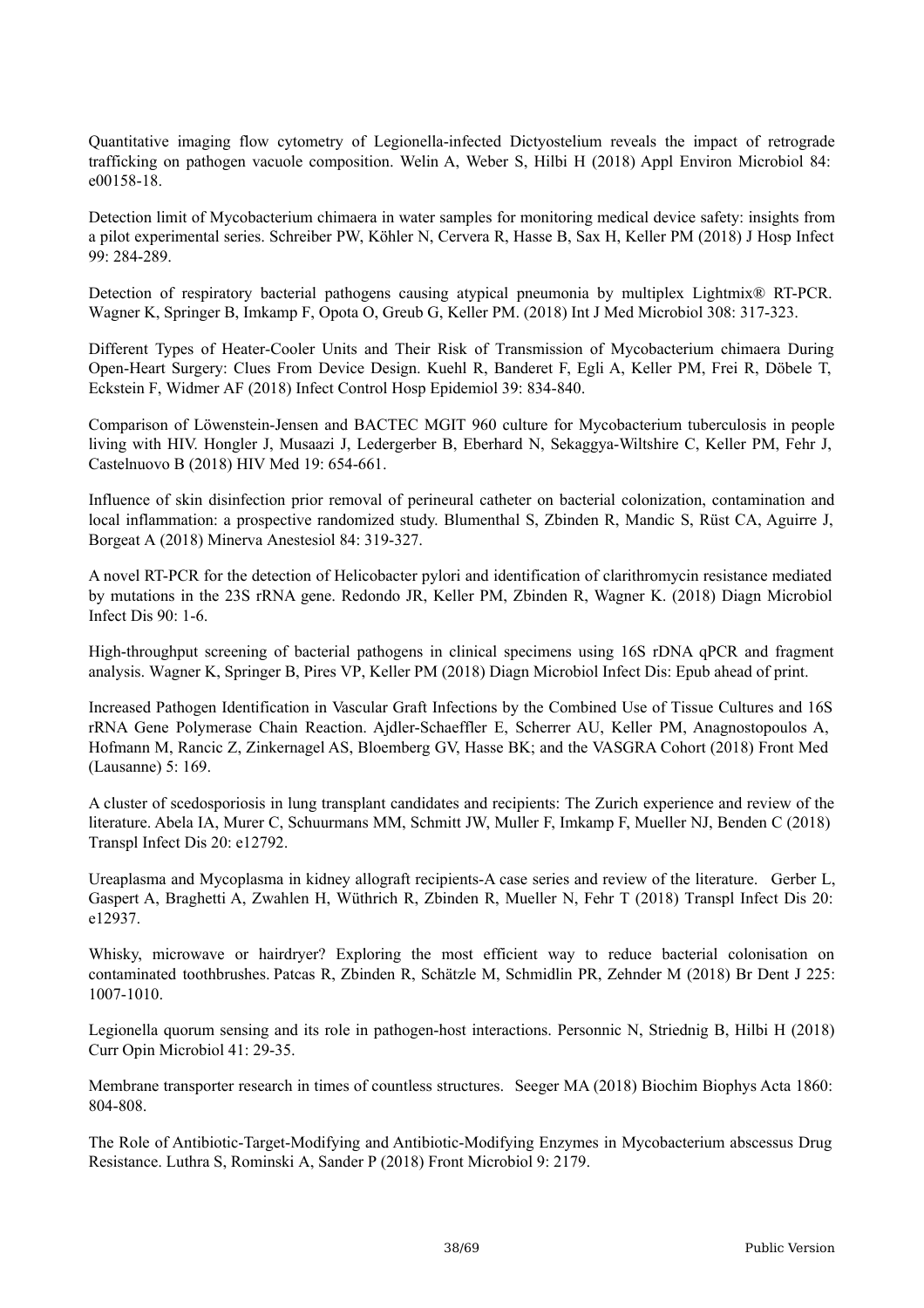Quantitative imaging flow cytometry of Legionella-infected Dictyostelium reveals the impact of retrograde trafficking on pathogen vacuole composition. Welin A, Weber S, Hilbi H (2018) Appl Environ Microbiol 84: e00158-18.

Detection limit of Mycobacterium chimaera in water samples for monitoring medical device safety: insights from a pilot experimental series. Schreiber PW, Köhler N, Cervera R, Hasse B, Sax H, Keller PM (2018) J Hosp Infect 99: 284-289.

Detection of respiratory bacterial pathogens causing atypical pneumonia by multiplex Lightmix<sup>®</sup> RT-PCR. Wagner K, Springer B, Imkamp F, Opota O, Greub G, Keller PM. (2018) Int J Med Microbiol 308: 317-323.

Different Types of Heater-Cooler Units and Their Risk of Transmission of Mycobacterium chimaera During Open-Heart Surgery: Clues From Device Design. Kuehl R, Banderet F, Egli A, Keller PM, Frei R, Döbele T, Eckstein F, Widmer AF (2018) Infect Control Hosp Epidemiol 39: 834-840.

Comparison of Löwenstein-Jensen and BACTEC MGIT 960 culture for Mycobacterium tuberculosis in people living with HIV. Hongler J, Musaazi J, Ledergerber B, Eberhard N, Sekaggya-Wiltshire C, Keller PM, Fehr J, Castelnuovo B (2018) HIV Med 19: 654-661.

Influence of skin disinfection prior removal of perineural catheter on bacterial colonization, contamination and local inflammation: a prospective randomized study. Blumenthal S, Zbinden R, Mandic S, Rüst CA, Aguirre J, Borgeat A (2018) Minerva Anestesiol 84: 319-327.

A novel RT-PCR for the detection of Helicobacter pylori and identification of clarithromycin resistance mediated by mutations in the 23S rRNA gene. Redondo JR, Keller PM, Zbinden R, Wagner K. (2018) Diagn Microbiol Infect Dis 90: 1-6.

High-throughput screening of bacterial pathogens in clinical specimens using 16S rDNA qPCR and fragment analysis. Wagner K, Springer B, Pires VP, Keller PM (2018) Diagn Microbiol Infect Dis: Epub ahead of print.

Increased Pathogen Identification in Vascular Graft Infections by the Combined Use of Tissue Cultures and 16S rRNA Gene Polymerase Chain Reaction. Ajdler-Schaeffler E, Scherrer AU, Keller PM, Anagnostopoulos A, Hofmann M, Rancic Z, Zinkernagel AS, Bloemberg GV, Hasse BK; and the VASGRA Cohort (2018) Front Med (Lausanne) 5: 169.

A cluster of scedosporiosis in lung transplant candidates and recipients: The Zurich experience and review of the literature. Abela IA, Murer C, Schuurmans MM, Schmitt JW, Muller F, Imkamp F, Mueller NJ, Benden C (2018) Transpl Infect Dis 20: e12792.

Ureaplasma and Mycoplasma in kidney allograft recipients-A case series and review of the literature. Gerber L, Gaspert A, Braghetti A, Zwahlen H, Wüthrich R, Zbinden R, Mueller N, Fehr T (2018) Transpl Infect Dis 20: e12937.

Whisky, microwave or hairdryer? Exploring the most efficient way to reduce bacterial colonisation on contaminated toothbrushes. Patcas R, Zbinden R, Schätzle M, Schmidlin PR, Zehnder M (2018) Br Dent J 225: 1007-1010.

Legionella quorum sensing and its role in pathogen-host interactions. Personnic N, Striednig B, Hilbi H (2018) Curr Opin Microbiol 41: 29-35.

Membrane transporter research in times of countless structures. Seeger MA (2018) Biochim Biophys Acta 1860: 804-808.

The Role of Antibiotic-Target-Modifying and Antibiotic-Modifying Enzymes in Mycobacterium abscessus Drug Resistance. Luthra S, Rominski A, Sander P (2018) Front Microbiol 9: 2179.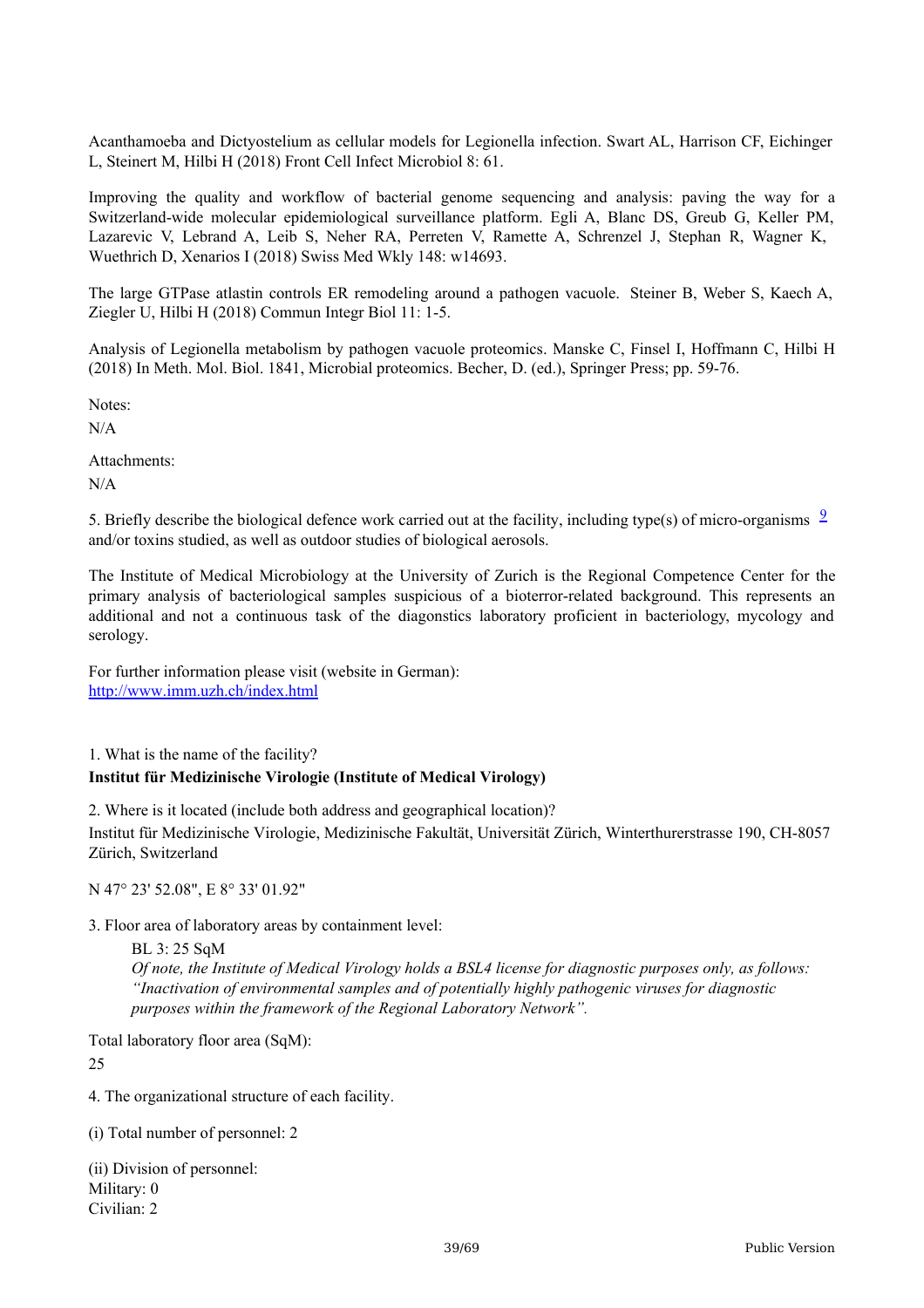Acanthamoeba and Dictyostelium as cellular models for Legionella infection. Swart AL, Harrison CF, Eichinger L, Steinert M, Hilbi H (2018) Front Cell Infect Microbiol 8: 61.

Improving the quality and workflow of bacterial genome sequencing and analysis: paving the way for a Switzerland-wide molecular epidemiological surveillance platform. Egli A, Blanc DS, Greub G, Keller PM, Lazarevic V, Lebrand A, Leib S, Neher RA, Perreten V, Ramette A, Schrenzel J, Stephan R, Wagner K, Wuethrich D, Xenarios I (2018) Swiss Med Wkly 148: w14693.

The large GTPase atlastin controls ER remodeling around a pathogen vacuole. Steiner B, Weber S, Kaech A, Ziegler U, Hilbi H (2018) Commun Integr Biol 11: 1-5.

Analysis of Legionella metabolism by pathogen vacuole proteomics. Manske C, Finsel I, Hoffmann C, Hilbi H (2018) In Meth. Mol. Biol. 1841, Microbial proteomics. Becher, D. (ed.), Springer Press; pp. 59-76.

Notes:

N/A

Attachments: N/A

5. Briefly describe the biological defence work carried out at the facility, including type(s) of micro-organisms  $\frac{9}{2}$  $\frac{9}{2}$  $\frac{9}{2}$ and/or toxins studied, as well as outdoor studies of biological aerosols.

The Institute of Medical Microbiology at the University of Zurich is the Regional Competence Center for the primary analysis of bacteriological samples suspicious of a bioterror-related background. This represents an additional and not a continuous task of the diagonstics laboratory proficient in bacteriology, mycology and serology.

For further information please visit (website in German): <http://www.imm.uzh.ch/index.html>

1. What is the name of the facility? **Institut für Medizinische Virologie (Institute of Medical Virology)**

2. Where is it located (include both address and geographical location)? Institut für Medizinische Virologie, Medizinische Fakultät, Universität Zürich, Winterthurerstrasse 190, CH-8057 Zürich, Switzerland

N 47° 23' 52.08", E 8° 33' 01.92"

3. Floor area of laboratory areas by containment level:

BL 3: 25 SqM *Of note, the Institute of Medical Virology holds a BSL4 license for diagnostic purposes only, as follows: "Inactivation of environmental samples and of potentially highly pathogenic viruses for diagnostic purposes within the framework of the Regional Laboratory Network".*

Total laboratory floor area (SqM):

25

4. The organizational structure of each facility.

(i) Total number of personnel: 2

(ii) Division of personnel: Military: 0 Civilian: 2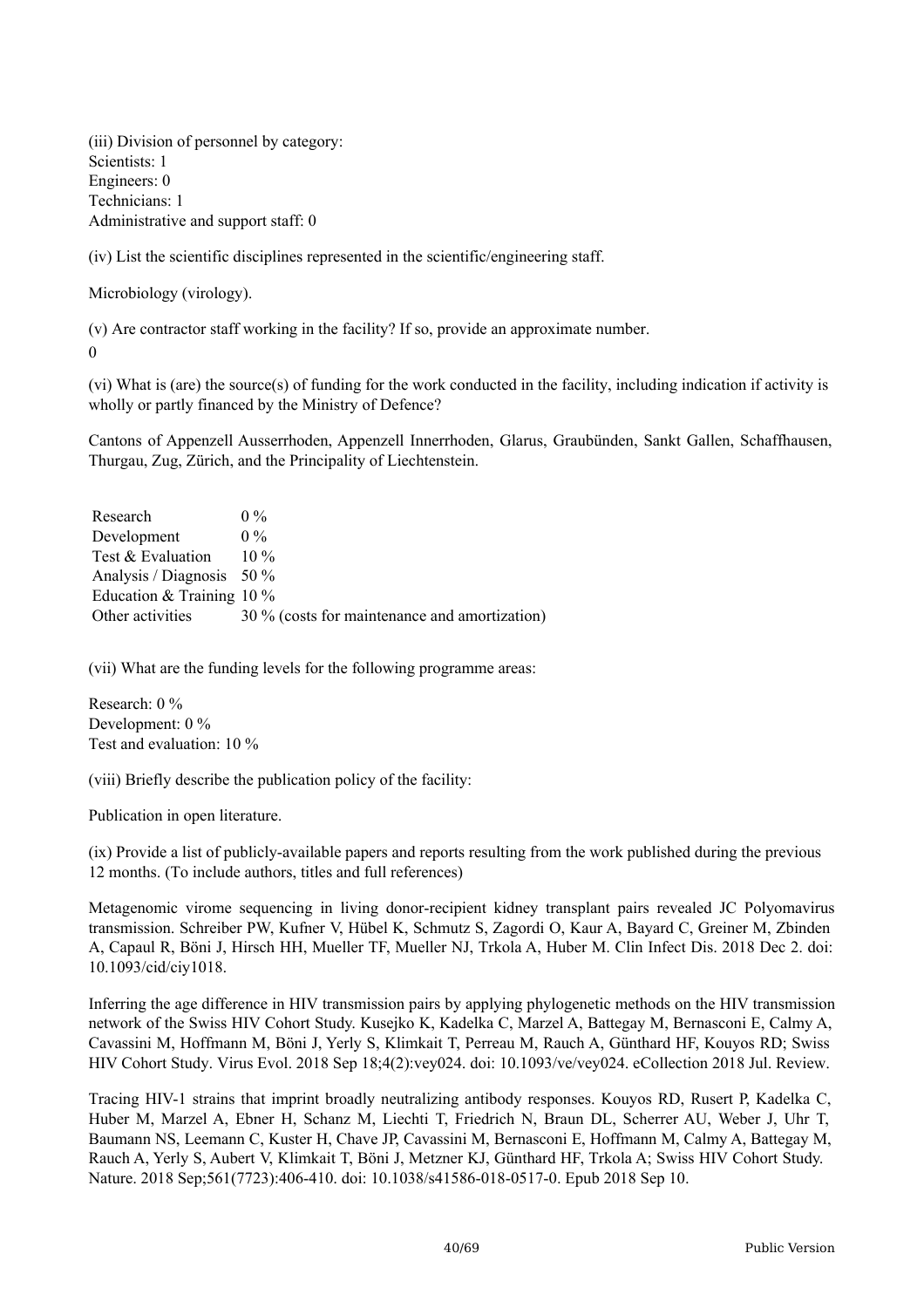(iii) Division of personnel by category: Scientists: 1 Engineers: 0 Technicians: 1 Administrative and support staff: 0

(iv) List the scientific disciplines represented in the scientific/engineering staff.

Microbiology (virology).

(v) Are contractor staff working in the facility? If so, provide an approximate number.

 $\Omega$ 

(vi) What is (are) the source(s) of funding for the work conducted in the facility, including indication if activity is wholly or partly financed by the Ministry of Defence?

Cantons of Appenzell Ausserrhoden, Appenzell Innerrhoden, Glarus, Graubünden, Sankt Gallen, Schaffhausen, Thurgau, Zug, Zürich, and the Principality of Liechtenstein.

| Research                    | $0\%$                                         |
|-----------------------------|-----------------------------------------------|
| Development                 | $0\%$                                         |
| Test & Evaluation           | $10\%$                                        |
| Analysis / Diagnosis $50\%$ |                                               |
| Education & Training $10\%$ |                                               |
| Other activities            | 30 % (costs for maintenance and amortization) |

(vii) What are the funding levels for the following programme areas:

Research: 0 % Development: 0 % Test and evaluation: 10 %

(viii) Briefly describe the publication policy of the facility:

Publication in open literature.

(ix) Provide a list of publicly-available papers and reports resulting from the work published during the previous 12 months. (To include authors, titles and full references)

Metagenomic virome sequencing in living donor-recipient kidney transplant pairs revealed JC Polyomavirus transmission. Schreiber PW, Kufner V, Hübel K, Schmutz S, Zagordi O, Kaur A, Bayard C, Greiner M, Zbinden A, Capaul R, Böni J, Hirsch HH, Mueller TF, Mueller NJ, Trkola A, Huber M. Clin Infect Dis. 2018 Dec 2. doi: 10.1093/cid/ciy1018.

Inferring the age difference in HIV transmission pairs by applying phylogenetic methods on the HIV transmission network of the Swiss HIV Cohort Study. Kusejko K, Kadelka C, Marzel A, Battegay M, Bernasconi E, Calmy A, Cavassini M, Hoffmann M, Böni J, Yerly S, Klimkait T, Perreau M, Rauch A, Günthard HF, Kouyos RD; Swiss HIV Cohort Study. Virus Evol. 2018 Sep 18;4(2):vey024. doi: 10.1093/ve/vey024. eCollection 2018 Jul. Review.

Tracing HIV-1 strains that imprint broadly neutralizing antibody responses. Kouyos RD, Rusert P, Kadelka C, Huber M, Marzel A, Ebner H, Schanz M, Liechti T, Friedrich N, Braun DL, Scherrer AU, Weber J, Uhr T, Baumann NS, Leemann C, Kuster H, Chave JP, Cavassini M, Bernasconi E, Hoffmann M, Calmy A, Battegay M, Rauch A, Yerly S, Aubert V, Klimkait T, Böni J, Metzner KJ, Günthard HF, Trkola A; Swiss HIV Cohort Study. Nature. 2018 Sep;561(7723):406-410. doi: 10.1038/s41586-018-0517-0. Epub 2018 Sep 10.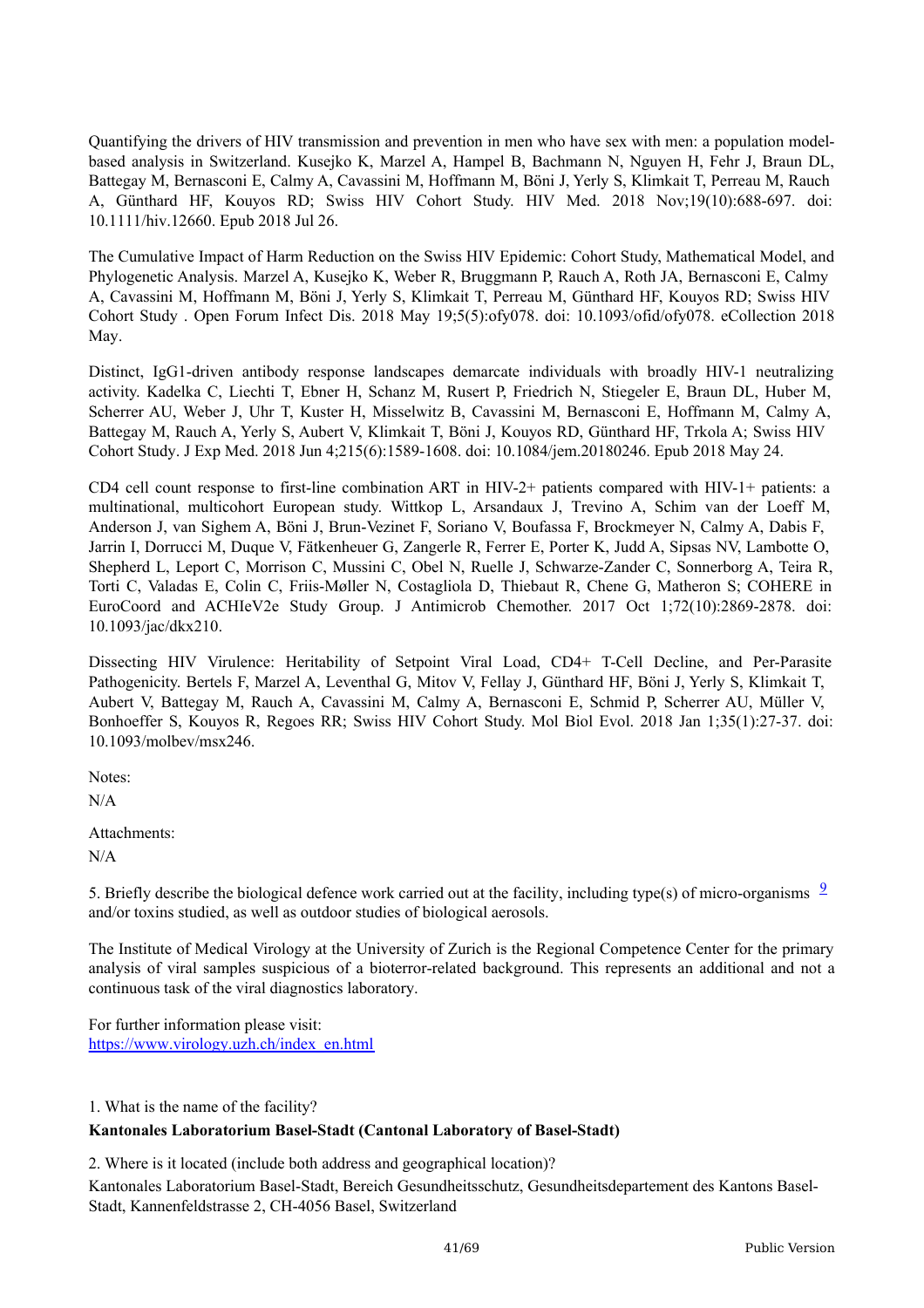Quantifying the drivers of HIV transmission and prevention in men who have sex with men: a population modelbased analysis in Switzerland. Kusejko K, Marzel A, Hampel B, Bachmann N, Nguyen H, Fehr J, Braun DL, Battegay M, Bernasconi E, Calmy A, Cavassini M, Hoffmann M, Böni J, Yerly S, Klimkait T, Perreau M, Rauch A, Günthard HF, Kouyos RD; Swiss HIV Cohort Study. HIV Med. 2018 Nov;19(10):688-697. doi: 10.1111/hiv.12660. Epub 2018 Jul 26.

The Cumulative Impact of Harm Reduction on the Swiss HIV Epidemic: Cohort Study, Mathematical Model, and Phylogenetic Analysis. Marzel A, Kusejko K, Weber R, Bruggmann P, Rauch A, Roth JA, Bernasconi E, Calmy A, Cavassini M, Hoffmann M, Böni J, Yerly S, Klimkait T, Perreau M, Günthard HF, Kouyos RD; Swiss HIV Cohort Study . Open Forum Infect Dis. 2018 May 19;5(5):ofy078. doi: 10.1093/ofid/ofy078. eCollection 2018 May.

Distinct, IgG1-driven antibody response landscapes demarcate individuals with broadly HIV-1 neutralizing activity. Kadelka C, Liechti T, Ebner H, Schanz M, Rusert P, Friedrich N, Stiegeler E, Braun DL, Huber M, Scherrer AU, Weber J, Uhr T, Kuster H, Misselwitz B, Cavassini M, Bernasconi E, Hoffmann M, Calmy A, Battegay M, Rauch A, Yerly S, Aubert V, Klimkait T, Böni J, Kouyos RD, Günthard HF, Trkola A; Swiss HIV Cohort Study. J Exp Med. 2018 Jun 4;215(6):1589-1608. doi: 10.1084/jem.20180246. Epub 2018 May 24.

CD4 cell count response to first-line combination ART in HIV-2+ patients compared with HIV-1+ patients: a multinational, multicohort European study. Wittkop L, Arsandaux J, Trevino A, Schim van der Loeff M, Anderson J, van Sighem A, Böni J, Brun-Vezinet F, Soriano V, Boufassa F, Brockmeyer N, Calmy A, Dabis F, Jarrin I, Dorrucci M, Duque V, Fätkenheuer G, Zangerle R, Ferrer E, Porter K, Judd A, Sipsas NV, Lambotte O, Shepherd L, Leport C, Morrison C, Mussini C, Obel N, Ruelle J, Schwarze-Zander C, Sonnerborg A, Teira R, Torti C, Valadas E, Colin C, Friis-Møller N, Costagliola D, Thiebaut R, Chene G, Matheron S; COHERE in EuroCoord and ACHIeV2e Study Group. J Antimicrob Chemother. 2017 Oct 1;72(10):2869-2878. doi: 10.1093/jac/dkx210.

Dissecting HIV Virulence: Heritability of Setpoint Viral Load, CD4+ T-Cell Decline, and Per-Parasite Pathogenicity. Bertels F, Marzel A, Leventhal G, Mitov V, Fellay J, Günthard HF, Böni J, Yerly S, Klimkait T, Aubert V, Battegay M, Rauch A, Cavassini M, Calmy A, Bernasconi E, Schmid P, Scherrer AU, Müller V, Bonhoeffer S, Kouyos R, Regoes RR; Swiss HIV Cohort Study. Mol Biol Evol. 2018 Jan 1;35(1):27-37. doi: 10.1093/molbev/msx246.

Notes:

N/A

Attachments:

N/A

5. Briefly describe the biological defence work carried out at the facility, including type(s) of micro-organisms  $\frac{9}{2}$  $\frac{9}{2}$  $\frac{9}{2}$ and/or toxins studied, as well as outdoor studies of biological aerosols.

The Institute of Medical Virology at the University of Zurich is the Regional Competence Center for the primary analysis of viral samples suspicious of a bioterror-related background. This represents an additional and not a continuous task of the viral diagnostics laboratory.

For further information please visit: [https://www.virology.uzh.ch/index\\_en.html](https://www.virology.uzh.ch/index_en.html)

1. What is the name of the facility?

#### **Kantonales Laboratorium Basel-Stadt (Cantonal Laboratory of Basel-Stadt)**

2. Where is it located (include both address and geographical location)?

Kantonales Laboratorium Basel-Stadt, Bereich Gesundheitsschutz, Gesundheitsdepartement des Kantons Basel-Stadt, Kannenfeldstrasse 2, CH-4056 Basel, Switzerland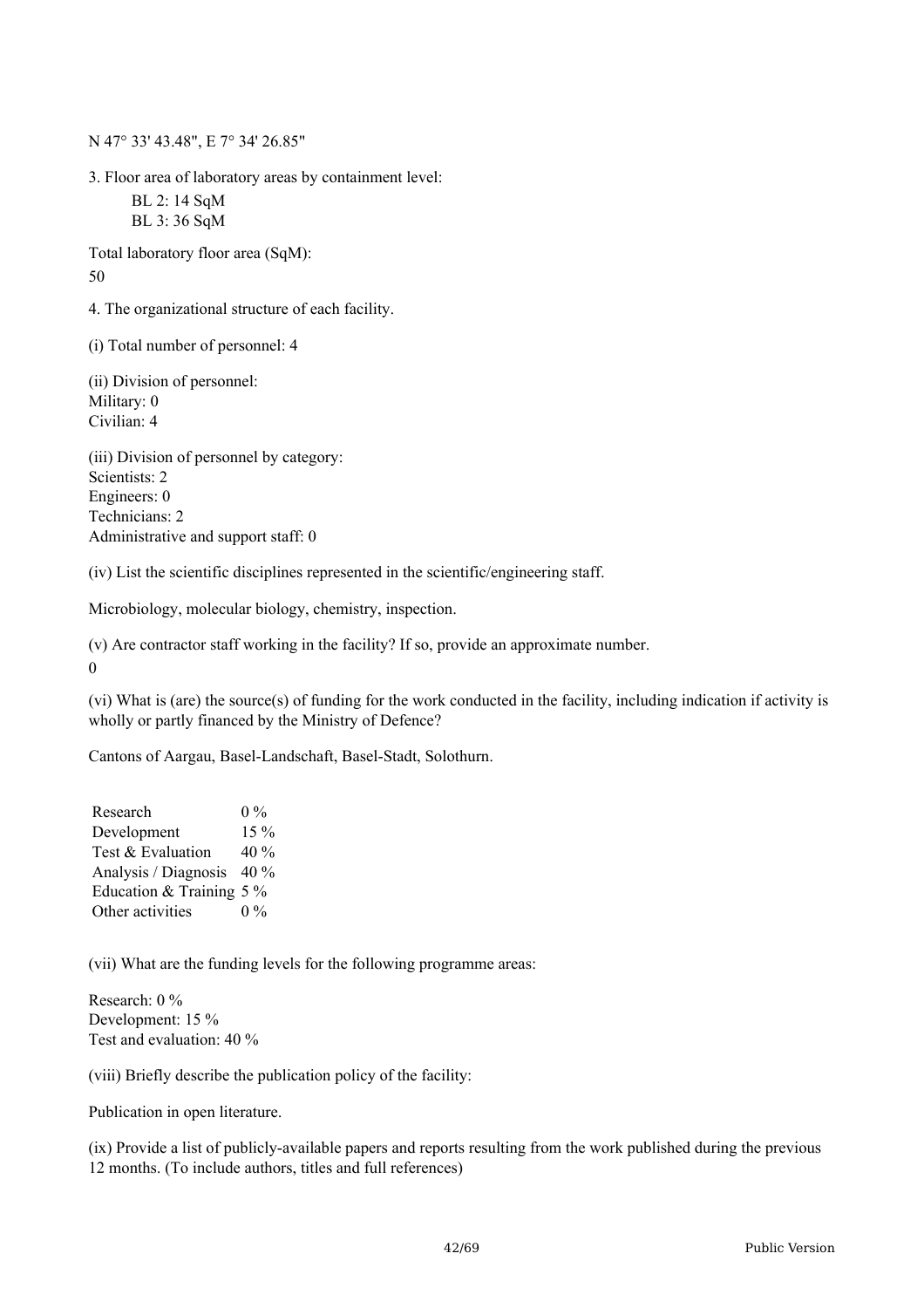N 47° 33' 43.48", E 7° 34' 26.85"

3. Floor area of laboratory areas by containment level: BL 2: 14 SqM BL 3: 36 SqM

Total laboratory floor area (SqM): 50

4. The organizational structure of each facility.

(i) Total number of personnel: 4

(ii) Division of personnel: Military: 0 Civilian: 4

(iii) Division of personnel by category: Scientists: 2 Engineers: 0 Technicians: 2 Administrative and support staff: 0

(iv) List the scientific disciplines represented in the scientific/engineering staff.

Microbiology, molecular biology, chemistry, inspection.

(v) Are contractor staff working in the facility? If so, provide an approximate number.

0

(vi) What is (are) the source(s) of funding for the work conducted in the facility, including indication if activity is wholly or partly financed by the Ministry of Defence?

Cantons of Aargau, Basel-Landschaft, Basel-Stadt, Solothurn.

| Research                   | $0\%$   |
|----------------------------|---------|
| Development                | 15 %    |
| Test & Evaluation          | 40 $\%$ |
| Analysis / Diagnosis       | $40\%$  |
| Education & Training $5\%$ |         |
| Other activities           | $0\%$   |

(vii) What are the funding levels for the following programme areas:

Research: 0 % Development: 15 % Test and evaluation: 40 %

(viii) Briefly describe the publication policy of the facility:

Publication in open literature.

(ix) Provide a list of publicly-available papers and reports resulting from the work published during the previous 12 months. (To include authors, titles and full references)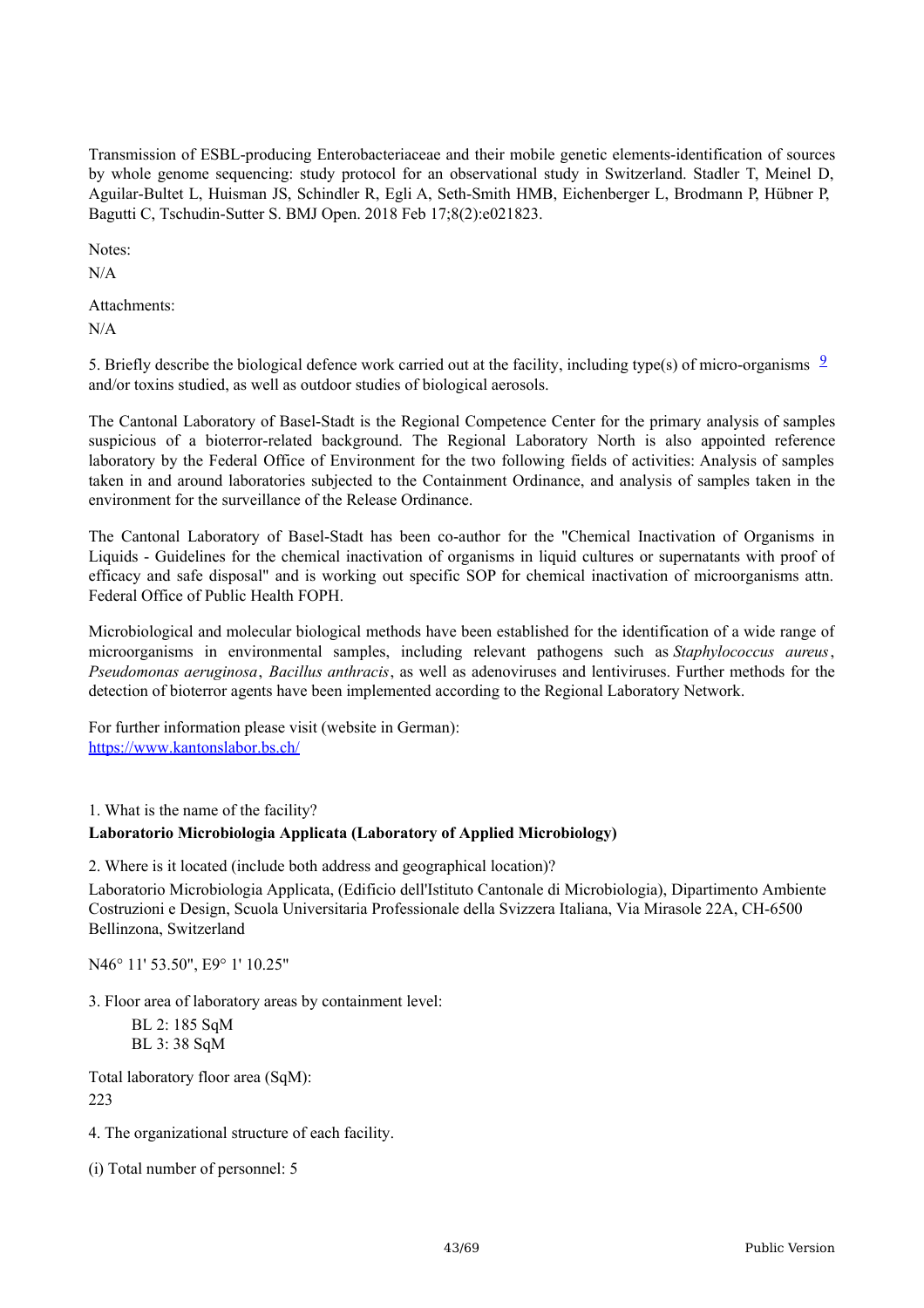Transmission of ESBL-producing Enterobacteriaceae and their mobile genetic elements-identification of sources by whole genome sequencing: study protocol for an observational study in Switzerland. Stadler T, Meinel D, Aguilar-Bultet L, Huisman JS, Schindler R, Egli A, Seth-Smith HMB, Eichenberger L, Brodmann P, Hübner P, Bagutti C, Tschudin-Sutter S. BMJ Open. 2018 Feb 17;8(2):e021823.

Notes:

N/A

Attachments: N/A

5. Briefly describe the biological defence work carried out at the facility, including type(s) of micro-organisms  $\frac{9}{2}$  $\frac{9}{2}$  $\frac{9}{2}$ and/or toxins studied, as well as outdoor studies of biological aerosols.

The Cantonal Laboratory of Basel-Stadt is the Regional Competence Center for the primary analysis of samples suspicious of a bioterror-related background. The Regional Laboratory North is also appointed reference laboratory by the Federal Office of Environment for the two following fields of activities: Analysis of samples taken in and around laboratories subjected to the Containment Ordinance, and analysis of samples taken in the environment for the surveillance of the Release Ordinance.

The Cantonal Laboratory of Basel-Stadt has been co-author for the "Chemical Inactivation of Organisms in Liquids - Guidelines for the chemical inactivation of organisms in liquid cultures or supernatants with proof of efficacy and safe disposal" and is working out specific SOP for chemical inactivation of microorganisms attn. Federal Office of Public Health FOPH.

Microbiological and molecular biological methods have been established for the identification of a wide range of microorganisms in environmental samples, including relevant pathogens such as *Staphylococcus aureus*, *Pseudomonas aeruginosa*, *Bacillus anthracis*, as well as adenoviruses and lentiviruses. Further methods for the detection of bioterror agents have been implemented according to the Regional Laboratory Network.

For further information please visit (website in German): <https://www.kantonslabor.bs.ch/>

1. What is the name of the facility?

## **Laboratorio Microbiologia Applicata (Laboratory of Applied Microbiology)**

2. Where is it located (include both address and geographical location)?

Laboratorio Microbiologia Applicata, (Edificio dell'Istituto Cantonale di Microbiologia), Dipartimento Ambiente Costruzioni e Design, Scuola Universitaria Professionale della Svizzera Italiana, Via Mirasole 22A, CH-6500 Bellinzona, Switzerland

N46° 11' 53.50", E9° 1' 10.25"

3. Floor area of laboratory areas by containment level:

BL 2: 185 SqM BL 3: 38 SqM

Total laboratory floor area (SqM):  $223$ 

4. The organizational structure of each facility.

(i) Total number of personnel: 5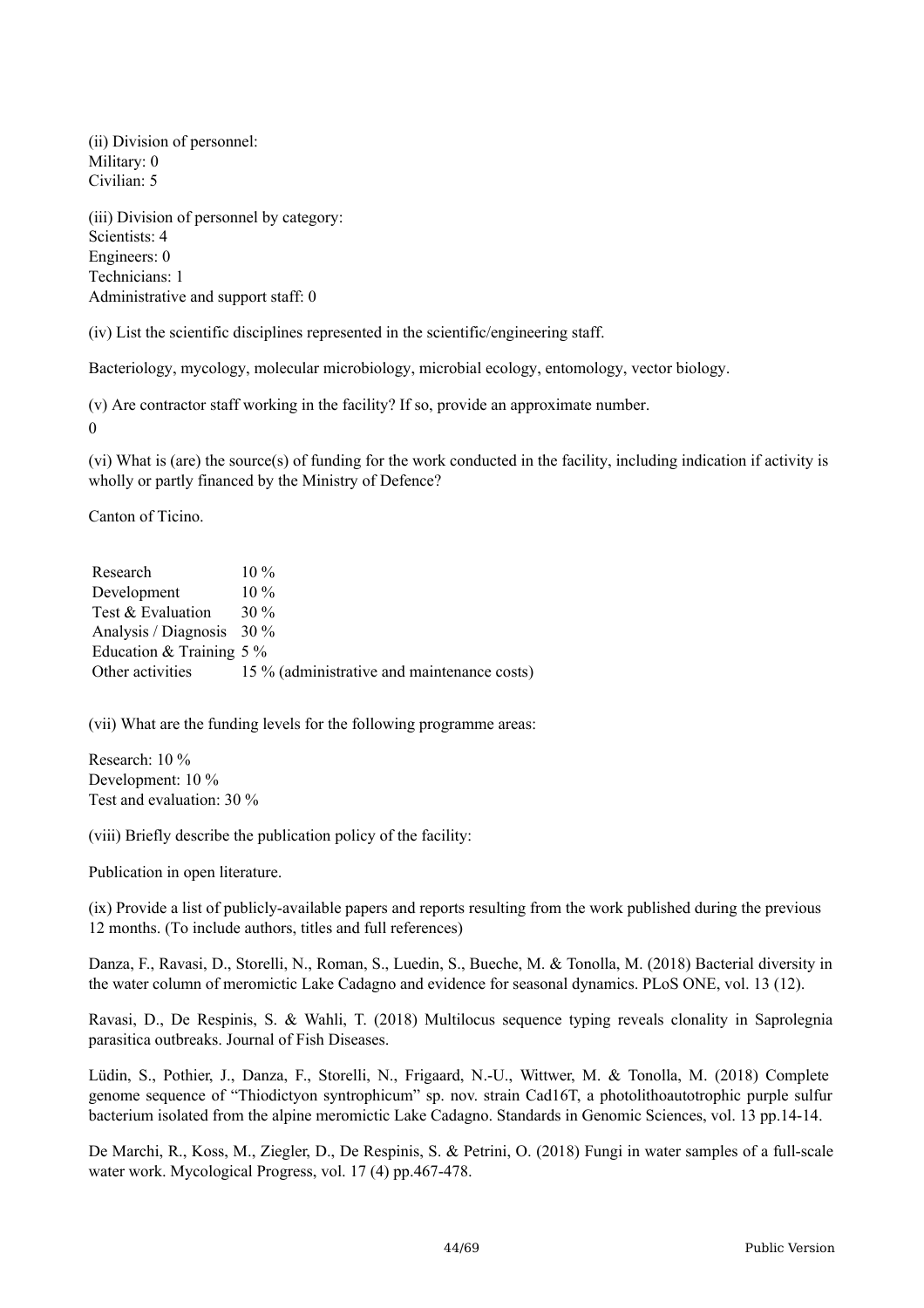(ii) Division of personnel: Military: 0 Civilian: 5

(iii) Division of personnel by category: Scientists: 4 Engineers: 0 Technicians: 1 Administrative and support staff: 0

(iv) List the scientific disciplines represented in the scientific/engineering staff.

Bacteriology, mycology, molecular microbiology, microbial ecology, entomology, vector biology.

(v) Are contractor staff working in the facility? If so, provide an approximate number. 0

(vi) What is (are) the source(s) of funding for the work conducted in the facility, including indication if activity is wholly or partly financed by the Ministry of Defence?

Canton of Ticino.

| Research                    | $10\%$                                      |
|-----------------------------|---------------------------------------------|
| Development                 | $10\%$                                      |
| Test & Evaluation           | $30\%$                                      |
| Analysis / Diagnosis $30\%$ |                                             |
| Education & Training $5\%$  |                                             |
| Other activities            | 15 % (administrative and maintenance costs) |

(vii) What are the funding levels for the following programme areas:

Research: 10 % Development: 10 % Test and evaluation: 30 %

(viii) Briefly describe the publication policy of the facility:

Publication in open literature.

(ix) Provide a list of publicly-available papers and reports resulting from the work published during the previous 12 months. (To include authors, titles and full references)

Danza, F., Ravasi, D., Storelli, N., Roman, S., Luedin, S., Bueche, M. & Tonolla, M. (2018) Bacterial diversity in the water column of meromictic Lake Cadagno and evidence for seasonal dynamics. PLoS ONE, vol. 13 (12).

Ravasi, D., De Respinis, S. & Wahli, T. (2018) Multilocus sequence typing reveals clonality in Saprolegnia parasitica outbreaks. Journal of Fish Diseases.

Lüdin, S., Pothier, J., Danza, F., Storelli, N., Frigaard, N.-U., Wittwer, M. & Tonolla, M. (2018) Complete genome sequence of "Thiodictyon syntrophicum" sp. nov. strain Cad16T, a photolithoautotrophic purple sulfur bacterium isolated from the alpine meromictic Lake Cadagno. Standards in Genomic Sciences, vol. 13 pp.14-14.

De Marchi, R., Koss, M., Ziegler, D., De Respinis, S. & Petrini, O. (2018) Fungi in water samples of a full-scale water work. Mycological Progress, vol. 17 (4) pp.467-478.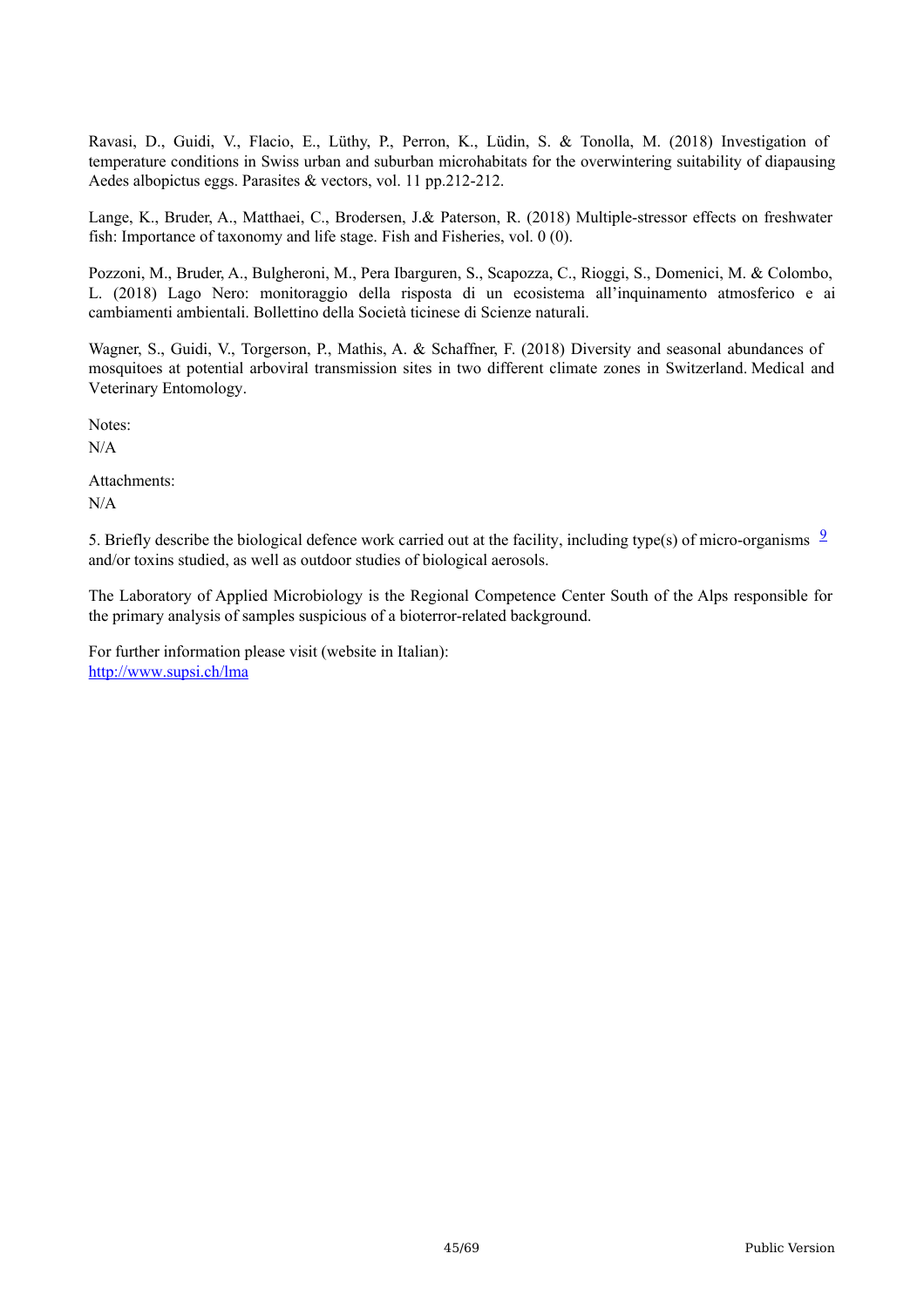Ravasi, D., Guidi, V., Flacio, E., Lüthy, P., Perron, K., Lüdin, S. & Tonolla, M. (2018) Investigation of temperature conditions in Swiss urban and suburban microhabitats for the overwintering suitability of diapausing Aedes albopictus eggs. Parasites & vectors, vol. 11 pp.212-212.

Lange, K., Bruder, A., Matthaei, C., Brodersen, J.& Paterson, R. (2018) Multiple-stressor effects on freshwater fish: Importance of taxonomy and life stage. Fish and Fisheries, vol. 0 (0).

Pozzoni, M., Bruder, A., Bulgheroni, M., Pera Ibarguren, S., Scapozza, C., Rioggi, S., Domenici, M. & Colombo, L. (2018) Lago Nero: monitoraggio della risposta di un ecosistema all'inquinamento atmosferico e ai cambiamenti ambientali. Bollettino della Società ticinese di Scienze naturali.

Wagner, S., Guidi, V., Torgerson, P., Mathis, A. & Schaffner, F. (2018) Diversity and seasonal abundances of mosquitoes at potential arboviral transmission sites in two different climate zones in Switzerland. Medical and Veterinary Entomology.

Notes:

N/A

Attachments:

N/A

5. Briefly describe the biological defence work carried out at the facility, including type(s) of micro-organisms  $\frac{9}{2}$  $\frac{9}{2}$  $\frac{9}{2}$ and/or toxins studied, as well as outdoor studies of biological aerosols.

The Laboratory of Applied Microbiology is the Regional Competence Center South of the Alps responsible for the primary analysis of samples suspicious of a bioterror-related background.

For further information please visit (website in Italian): <http://www.supsi.ch/lma>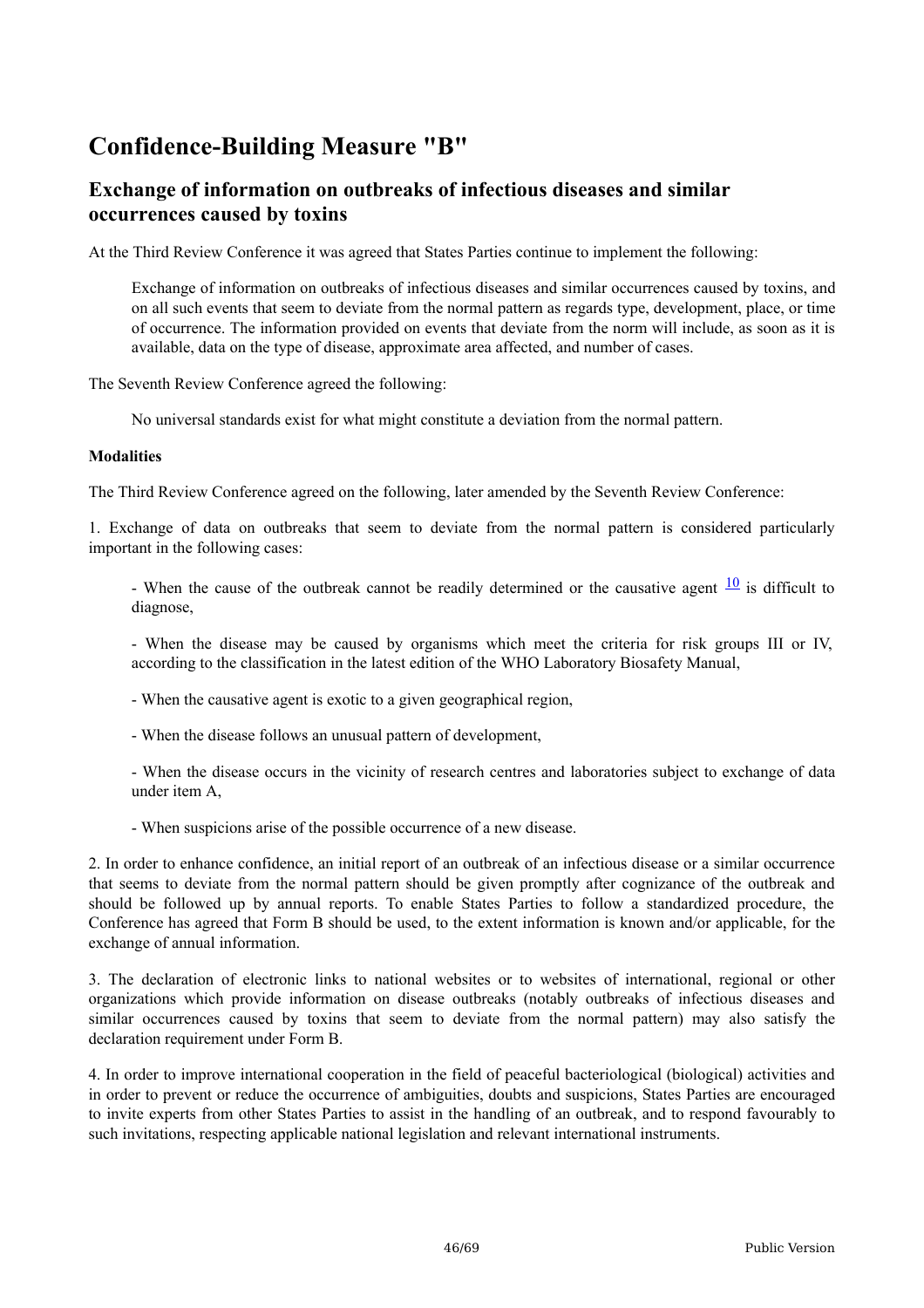# **Confidence-Building Measure "B"**

# **Exchange of information on outbreaks of infectious diseases and similar occurrences caused by toxins**

At the Third Review Conference it was agreed that States Parties continue to implement the following:

Exchange of information on outbreaks of infectious diseases and similar occurrences caused by toxins, and on all such events that seem to deviate from the normal pattern as regards type, development, place, or time of occurrence. The information provided on events that deviate from the norm will include, as soon as it is available, data on the type of disease, approximate area affected, and number of cases.

The Seventh Review Conference agreed the following:

No universal standards exist for what might constitute a deviation from the normal pattern.

#### **Modalities**

The Third Review Conference agreed on the following, later amended by the Seventh Review Conference:

1. Exchange of data on outbreaks that seem to deviate from the normal pattern is considered particularly important in the following cases:

- When the cause of the outbreak cannot be readily determined or the causative agent  $\frac{10}{10}$  $\frac{10}{10}$  $\frac{10}{10}$  is difficult to diagnose,

- When the disease may be caused by organisms which meet the criteria for risk groups III or IV, according to the classification in the latest edition of the WHO Laboratory Biosafety Manual,

- When the causative agent is exotic to a given geographical region,

- When the disease follows an unusual pattern of development,

- When the disease occurs in the vicinity of research centres and laboratories subject to exchange of data under item A,

- When suspicions arise of the possible occurrence of a new disease.

2. In order to enhance confidence, an initial report of an outbreak of an infectious disease or a similar occurrence that seems to deviate from the normal pattern should be given promptly after cognizance of the outbreak and should be followed up by annual reports. To enable States Parties to follow a standardized procedure, the Conference has agreed that Form B should be used, to the extent information is known and/or applicable, for the exchange of annual information.

3. The declaration of electronic links to national websites or to websites of international, regional or other organizations which provide information on disease outbreaks (notably outbreaks of infectious diseases and similar occurrences caused by toxins that seem to deviate from the normal pattern) may also satisfy the declaration requirement under Form B.

4. In order to improve international cooperation in the field of peaceful bacteriological (biological) activities and in order to prevent or reduce the occurrence of ambiguities, doubts and suspicions, States Parties are encouraged to invite experts from other States Parties to assist in the handling of an outbreak, and to respond favourably to such invitations, respecting applicable national legislation and relevant international instruments.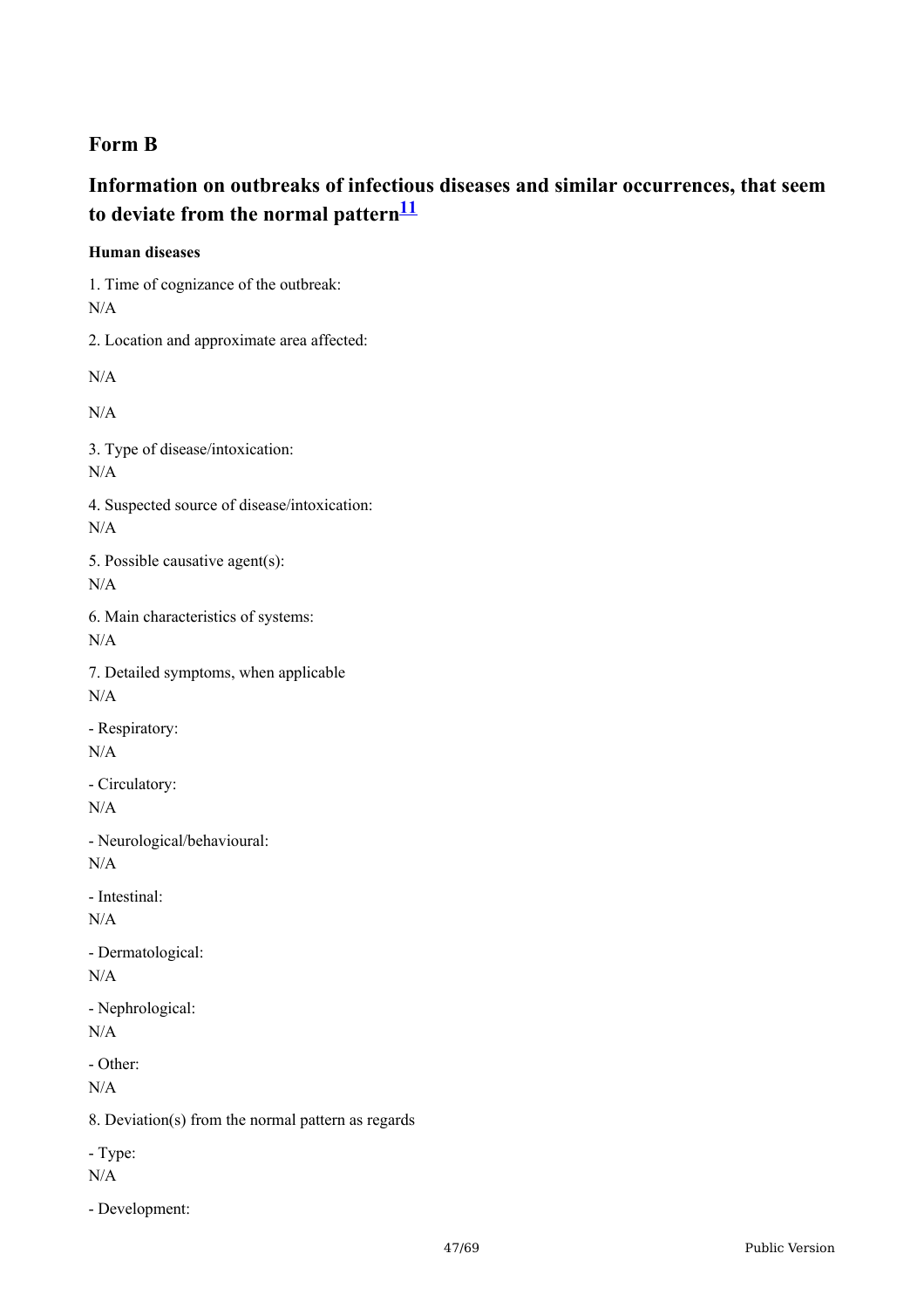# **Form B**

# **Information on outbreaks of infectious diseases and similar occurrences, that seem to deviate from the normal pattern [11](#page-68-10)**

**Human diseases**

1. Time of cognizance of the outbreak: N/A 2. Location and approximate area affected: N/A N/A 3. Type of disease/intoxication: N/A 4. Suspected source of disease/intoxication: N/A

5. Possible causative agent(s): N/A

6. Main characteristics of systems: N/A

7. Detailed symptoms, when applicable N/A

- Respiratory: N/A

- Circulatory: N/A

- Neurological/behavioural: N/A

- Intestinal: N/A

- Dermatological: N/A

- Nephrological:  $N/A$ 

- Other:

N/A

8. Deviation(s) from the normal pattern as regards

- Type:

N/A

- Development: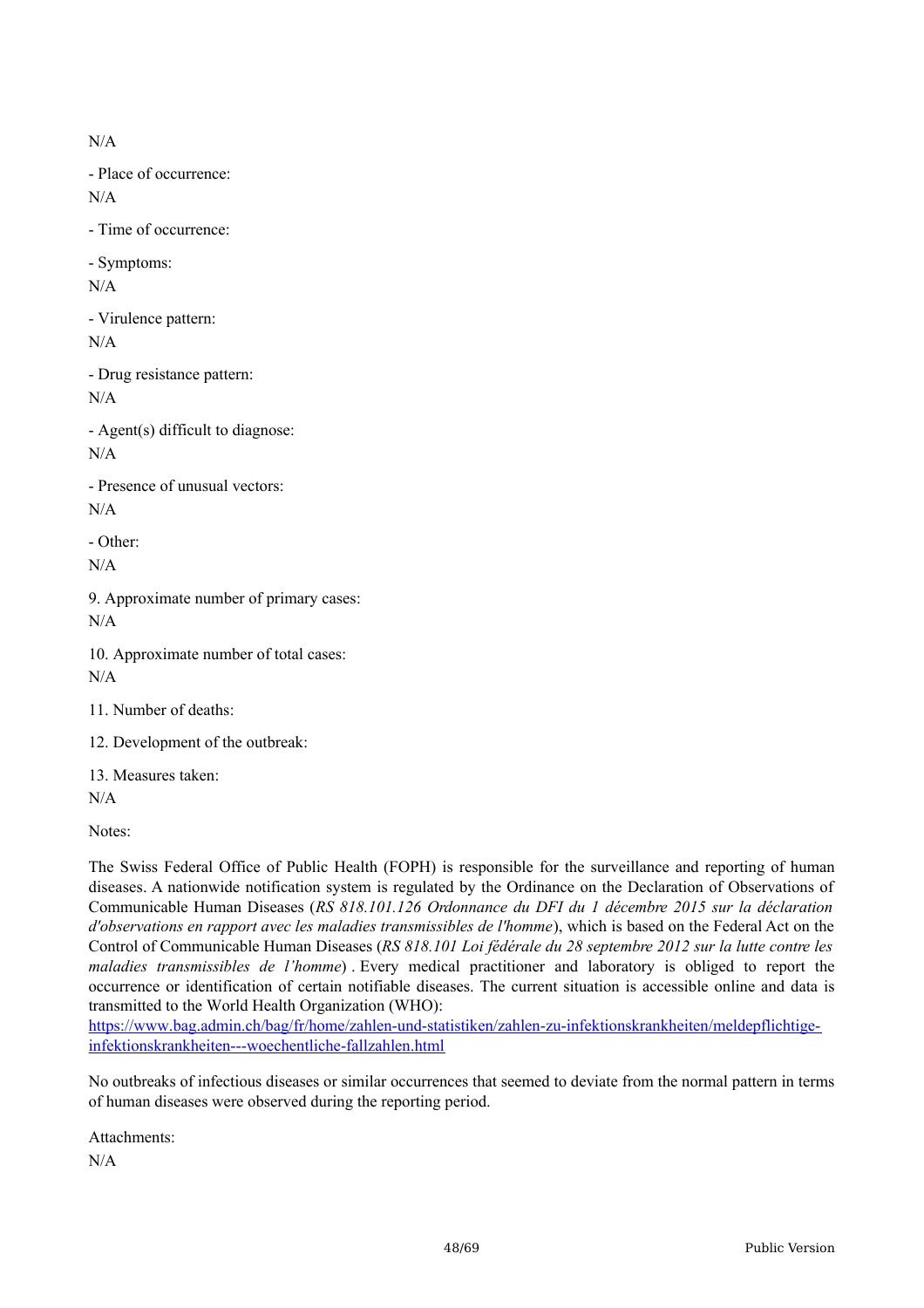N/A

- Place of occurrence: N/A

- Time of occurrence:

- Symptoms: N/A

- Virulence pattern: N/A

- Drug resistance pattern: N/A

- Agent(s) difficult to diagnose: N/A

- Presence of unusual vectors: N/A

- Other: N/A

9. Approximate number of primary cases: N/A

10. Approximate number of total cases:  $N/A$ 

11. Number of deaths:

12. Development of the outbreak:

13. Measures taken: N/A

Notes:

The Swiss Federal Office of Public Health (FOPH) is responsible for the surveillance and reporting of human diseases. A nationwide notification system is regulated by the Ordinance on the Declaration of Observations of Communicable Human Diseases (*RS 818.101.126 Ordonnance du DFI du 1 décembre 2015 sur la déclaration d'observations en rapport avec les maladies transmissibles de l'homme*), which is based on the Federal Act on the Control of Communicable Human Diseases (*RS 818.101 Loi fédérale du 28 septembre 2012 sur la lutte contre les maladies transmissibles de l'homme*) . Every medical practitioner and laboratory is obliged to report the occurrence or identification of certain notifiable diseases. The current situation is accessible online and data is transmitted to the World Health Organization (WHO):

[https://www.bag.admin.ch/bag/fr/home/zahlen-und-statistiken/zahlen-zu-infektionskrankheiten/meldepflichtige](https://www.bag.admin.ch/bag/fr/home/zahlen-und-statistiken/zahlen-zu-infektionskrankheiten/meldepflichtige-infektionskrankheiten---woechentliche-fallzahlen.html)infektionskrankheiten---woechentliche-fallzahlen.html

No outbreaks of infectious diseases or similar occurrences that seemed to deviate from the normal pattern in terms of human diseases were observed during the reporting period.

Attachments:

N/A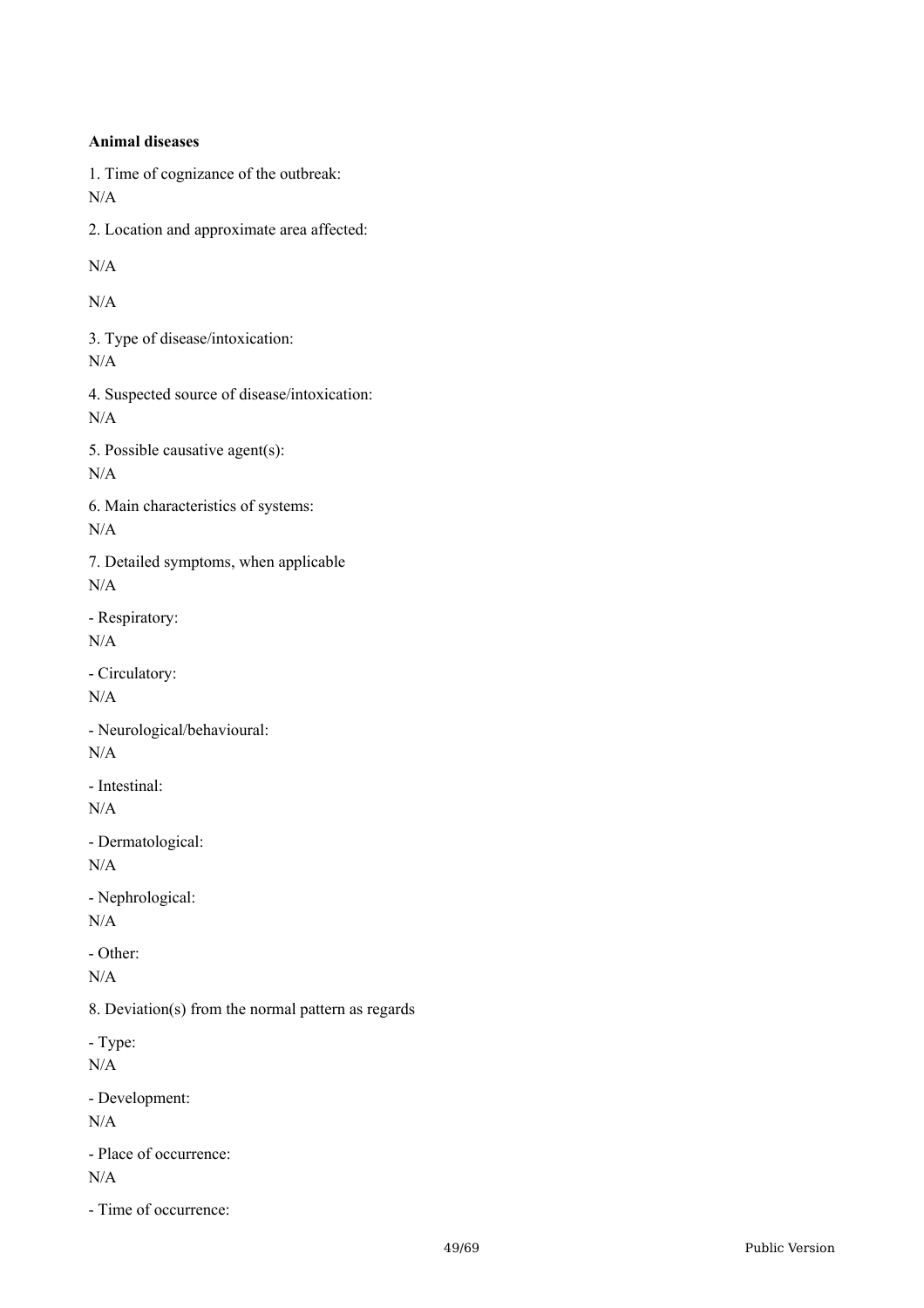**Animal diseases** 1. Time of cognizance of the outbreak: N/A 2. Location and approximate area affected: N/A N/A 3. Type of disease/intoxication: N/A 4. Suspected source of disease/intoxication: N/A 5. Possible causative agent(s): N/A 6. Main characteristics of systems: N/A 7. Detailed symptoms, when applicable N/A - Respiratory: N/A - Circulatory: N/A - Neurological/behavioural: N/A - Intestinal: N/A - Dermatological: N/A - Nephrological: N/A - Other: N/A 8. Deviation(s) from the normal pattern as regards - Type: N/A - Development: N/A - Place of occurrence: N/A - Time of occurrence: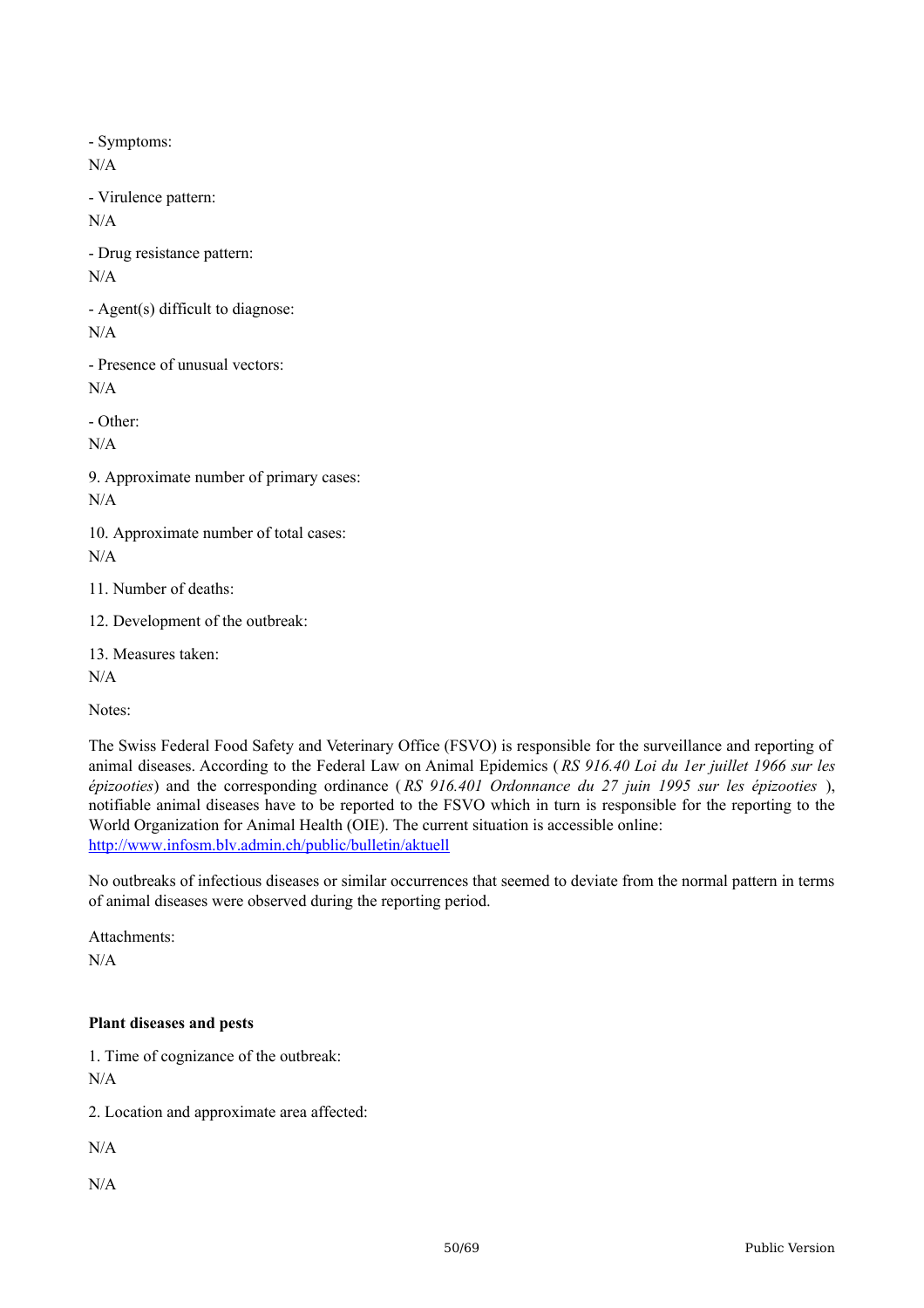- Symptoms:

N/A

- Virulence pattern:

N/A

- Drug resistance pattern: N/A

- Agent(s) difficult to diagnose: N/A

- Presence of unusual vectors: N/A

- Other:

N/A

9. Approximate number of primary cases: N/A

10. Approximate number of total cases:  $N/A$ 

11. Number of deaths:

12. Development of the outbreak:

13. Measures taken:

 $N/A$ 

Notes:

The Swiss Federal Food Safety and Veterinary Office (FSVO) is responsible for the surveillance and reporting of animal diseases. According to the Federal Law on Animal Epidemics ( *RS 916.40 Loi du 1er juillet 1966 sur les épizooties*) and the corresponding ordinance ( *RS 916.401 Ordonnance du 27 juin 1995 sur les épizooties* ), notifiable animal diseases have to be reported to the FSVO which in turn is responsible for the reporting to the World Organization for Animal Health (OIE). The current situation is accessible online: <http://www.infosm.blv.admin.ch/public/bulletin/aktuell>

No outbreaks of infectious diseases or similar occurrences that seemed to deviate from the normal pattern in terms of animal diseases were observed during the reporting period.

Attachments:

N/A

#### **Plant diseases and pests**

1. Time of cognizance of the outbreak: N/A

2. Location and approximate area affected:

 $N/A$ 

N/A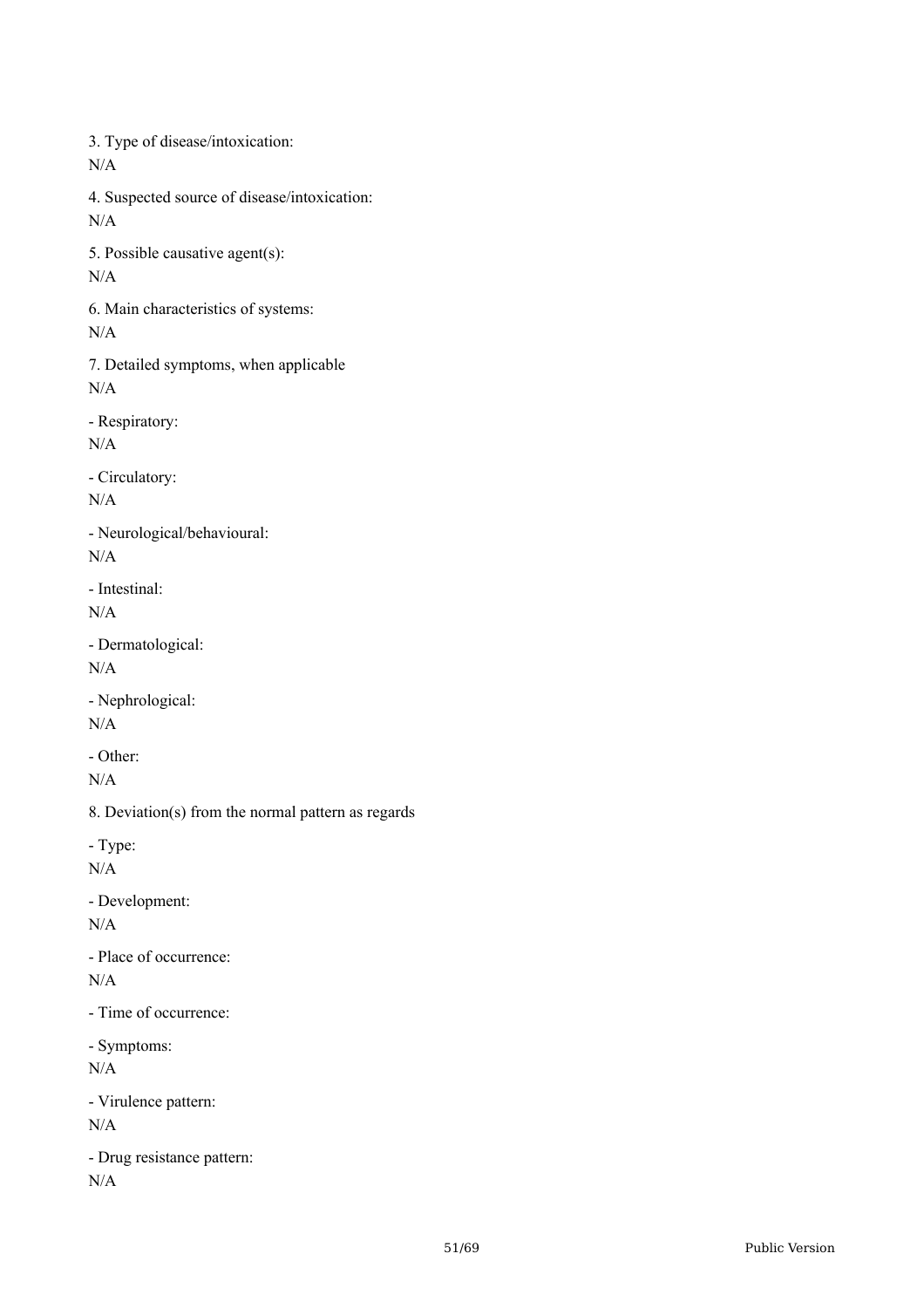3. Type of disease/intoxication: N/A 4. Suspected source of disease/intoxication: N/A 5. Possible causative agent(s): N/A 6. Main characteristics of systems: N/A 7. Detailed symptoms, when applicable  $N/A$ - Respiratory: N/A - Circulatory: N/A - Neurological/behavioural: N/A - Intestinal: N/A - Dermatological: N/A - Nephrological: N/A - Other: N/A 8. Deviation(s) from the normal pattern as regards - Type: N/A - Development: N/A - Place of occurrence:  $N/A$ - Time of occurrence: - Symptoms: N/A - Virulence pattern: N/A - Drug resistance pattern: N/A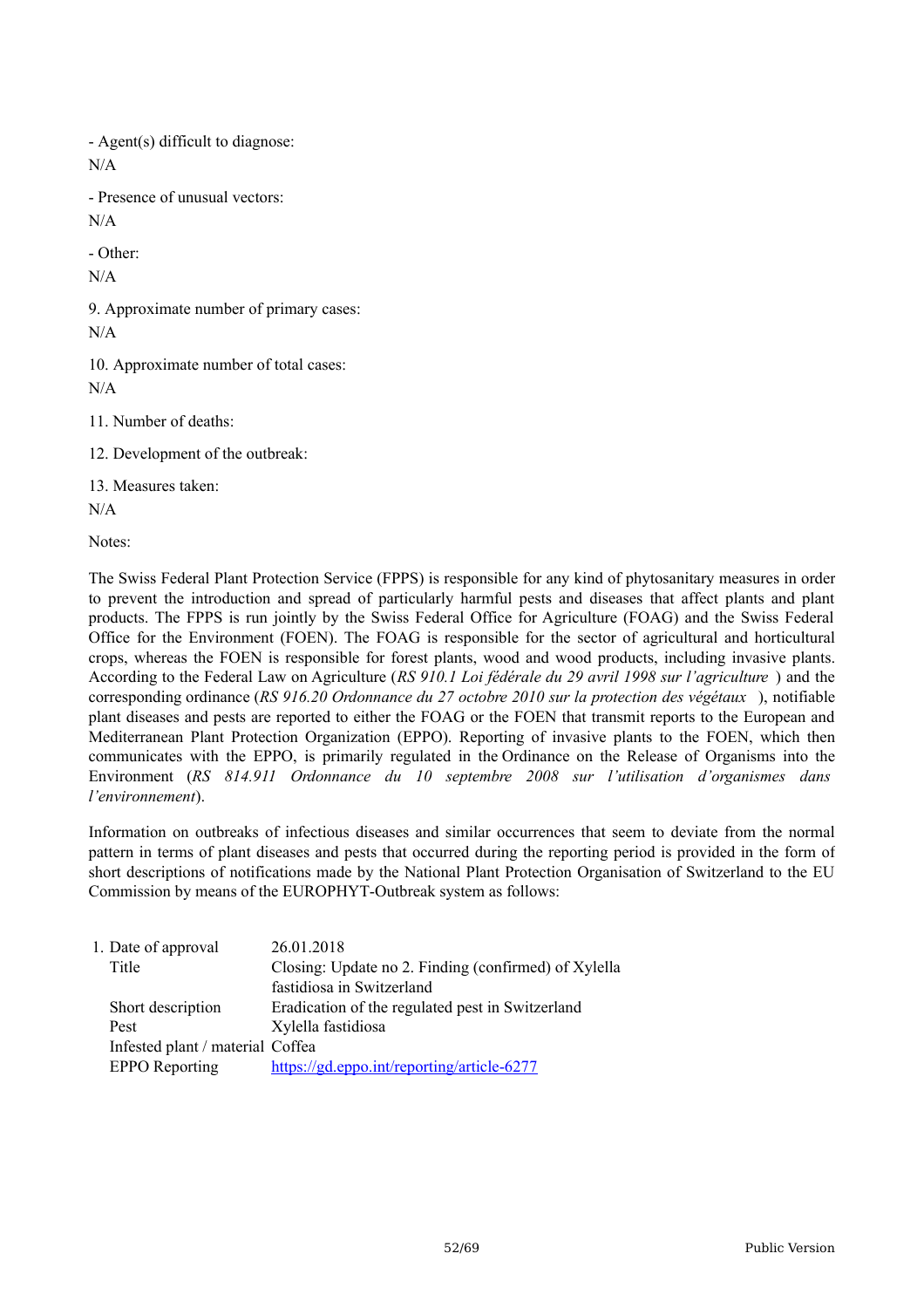- Agent(s) difficult to diagnose: N/A - Presence of unusual vectors: N/A

- Other:

N/A

9. Approximate number of primary cases: N/A

10. Approximate number of total cases:  $N/A$ 

11. Number of deaths:

12. Development of the outbreak:

13. Measures taken:

N/A

Notes:

The Swiss Federal Plant Protection Service (FPPS) is responsible for any kind of phytosanitary measures in order to prevent the introduction and spread of particularly harmful pests and diseases that affect plants and plant products. The FPPS is run jointly by the Swiss Federal Office for Agriculture (FOAG) and the Swiss Federal Office for the Environment (FOEN). The FOAG is responsible for the sector of agricultural and horticultural crops, whereas the FOEN is responsible for forest plants, wood and wood products, including invasive plants. According to the Federal Law on Agriculture (*RS 910.1 Loi fédérale du 29 avril 1998 sur l'agriculture* ) and the corresponding ordinance (*RS 916.20 Ordonnance du 27 octobre 2010 sur la protection des végétaux* ), notifiable plant diseases and pests are reported to either the FOAG or the FOEN that transmit reports to the European and Mediterranean Plant Protection Organization (EPPO). Reporting of invasive plants to the FOEN, which then communicates with the EPPO, is primarily regulated in the Ordinance on the Release of Organisms into the Environment (*RS 814.911 Ordonnance du 10 septembre 2008 sur l'utilisation d'organismes dans l'environnement*).

Information on outbreaks of infectious diseases and similar occurrences that seem to deviate from the normal pattern in terms of plant diseases and pests that occurred during the reporting period is provided in the form of short descriptions of notifications made by the National Plant Protection Organisation of Switzerland to the EU Commission by means of the EUROPHYT-Outbreak system as follows:

| 26.01.2018                                           |
|------------------------------------------------------|
| Closing: Update no 2. Finding (confirmed) of Xylella |
| fastidiosa in Switzerland                            |
| Eradication of the regulated pest in Switzerland     |
| Xylella fastidiosa                                   |
| Infested plant / material Coffea                     |
| https://gd.eppo.int/reporting/article-6277           |
|                                                      |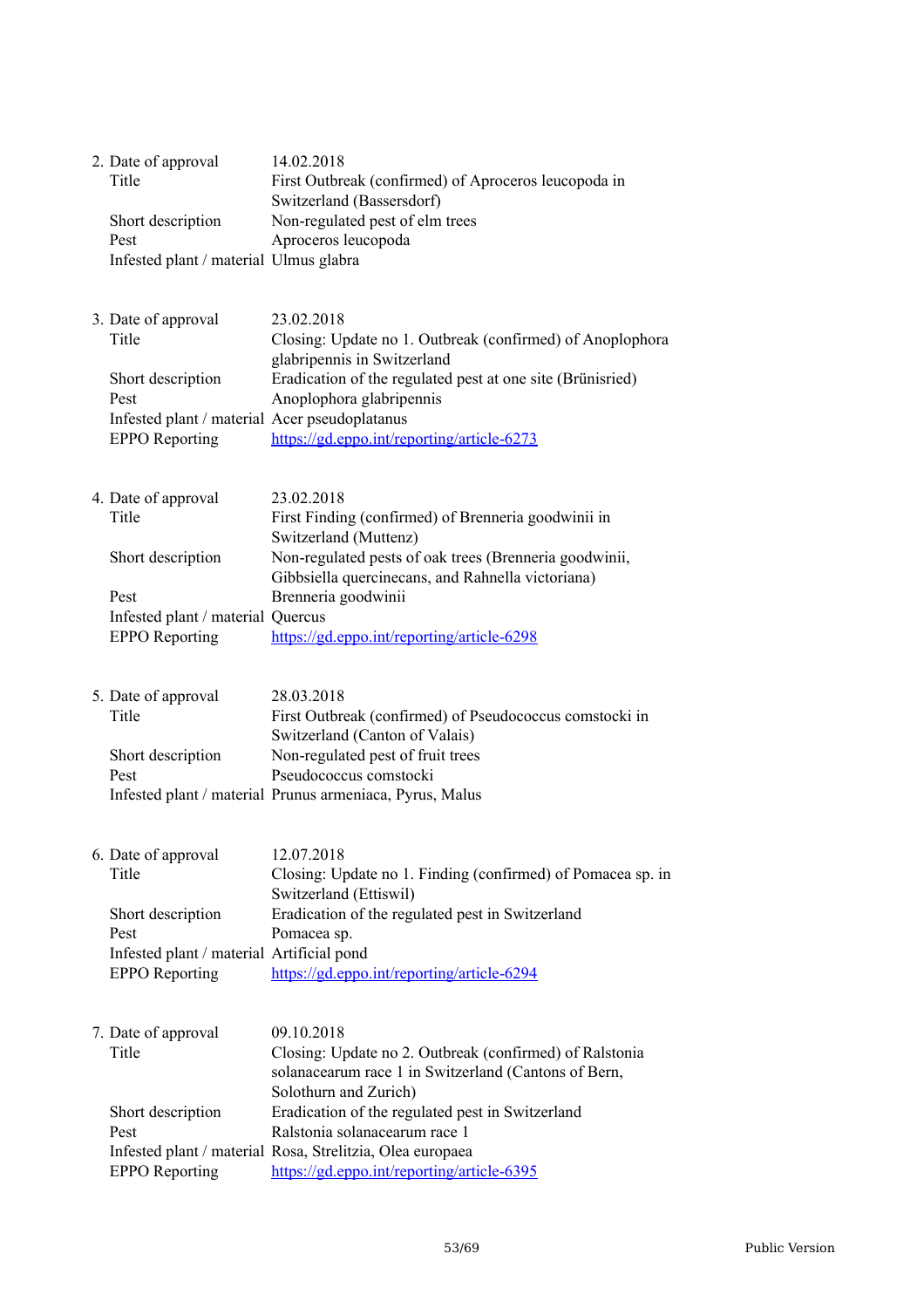| 2. Date of approval<br>Title<br>Short description<br>Pest<br>Infested plant / material Ulmus glabra                                 | 14.02.2018<br>First Outbreak (confirmed) of Aproceros leucopoda in<br>Switzerland (Bassersdorf)<br>Non-regulated pest of elm trees<br>Aproceros leucopoda                                                                                                                                                                                              |
|-------------------------------------------------------------------------------------------------------------------------------------|--------------------------------------------------------------------------------------------------------------------------------------------------------------------------------------------------------------------------------------------------------------------------------------------------------------------------------------------------------|
| 3. Date of approval<br>Title<br>Short description<br>Pest<br>Infested plant / material Acer pseudoplatanus<br><b>EPPO</b> Reporting | 23.02.2018<br>Closing: Update no 1. Outbreak (confirmed) of Anoplophora<br>glabripennis in Switzerland<br>Eradication of the regulated pest at one site (Brünisried)<br>Anoplophora glabripennis<br>https://gd.eppo.int/reporting/article-6273                                                                                                         |
| 4. Date of approval<br>Title<br>Short description<br>Pest<br>Infested plant / material Quercus<br><b>EPPO</b> Reporting             | 23.02.2018<br>First Finding (confirmed) of Brenneria goodwinii in<br>Switzerland (Muttenz)<br>Non-regulated pests of oak trees (Brenneria goodwinii,<br>Gibbsiella quercinecans, and Rahnella victoriana)<br>Brenneria goodwinii<br>https://gd.eppo.int/reporting/article-6298                                                                         |
| 5. Date of approval<br>Title<br>Short description<br>Pest                                                                           | 28.03.2018<br>First Outbreak (confirmed) of Pseudococcus comstocki in<br>Switzerland (Canton of Valais)<br>Non-regulated pest of fruit trees<br>Pseudococcus comstocki<br>Infested plant / material Prunus armeniaca, Pyrus, Malus                                                                                                                     |
| 6. Date of approval<br>Title<br>Short description<br>Pest<br>Infested plant / material Artificial pond<br><b>EPPO</b> Reporting     | 12.07.2018<br>Closing: Update no 1. Finding (confirmed) of Pomacea sp. in<br>Switzerland (Ettiswil)<br>Eradication of the regulated pest in Switzerland<br>Pomacea sp.<br>https://gd.eppo.int/reporting/article-6294                                                                                                                                   |
| 7. Date of approval<br>Title<br>Short description<br>Pest<br><b>EPPO</b> Reporting                                                  | 09.10.2018<br>Closing: Update no 2. Outbreak (confirmed) of Ralstonia<br>solanacearum race 1 in Switzerland (Cantons of Bern,<br>Solothurn and Zurich)<br>Eradication of the regulated pest in Switzerland<br>Ralstonia solanacearum race 1<br>Infested plant / material Rosa, Strelitzia, Olea europaea<br>https://gd.eppo.int/reporting/article-6395 |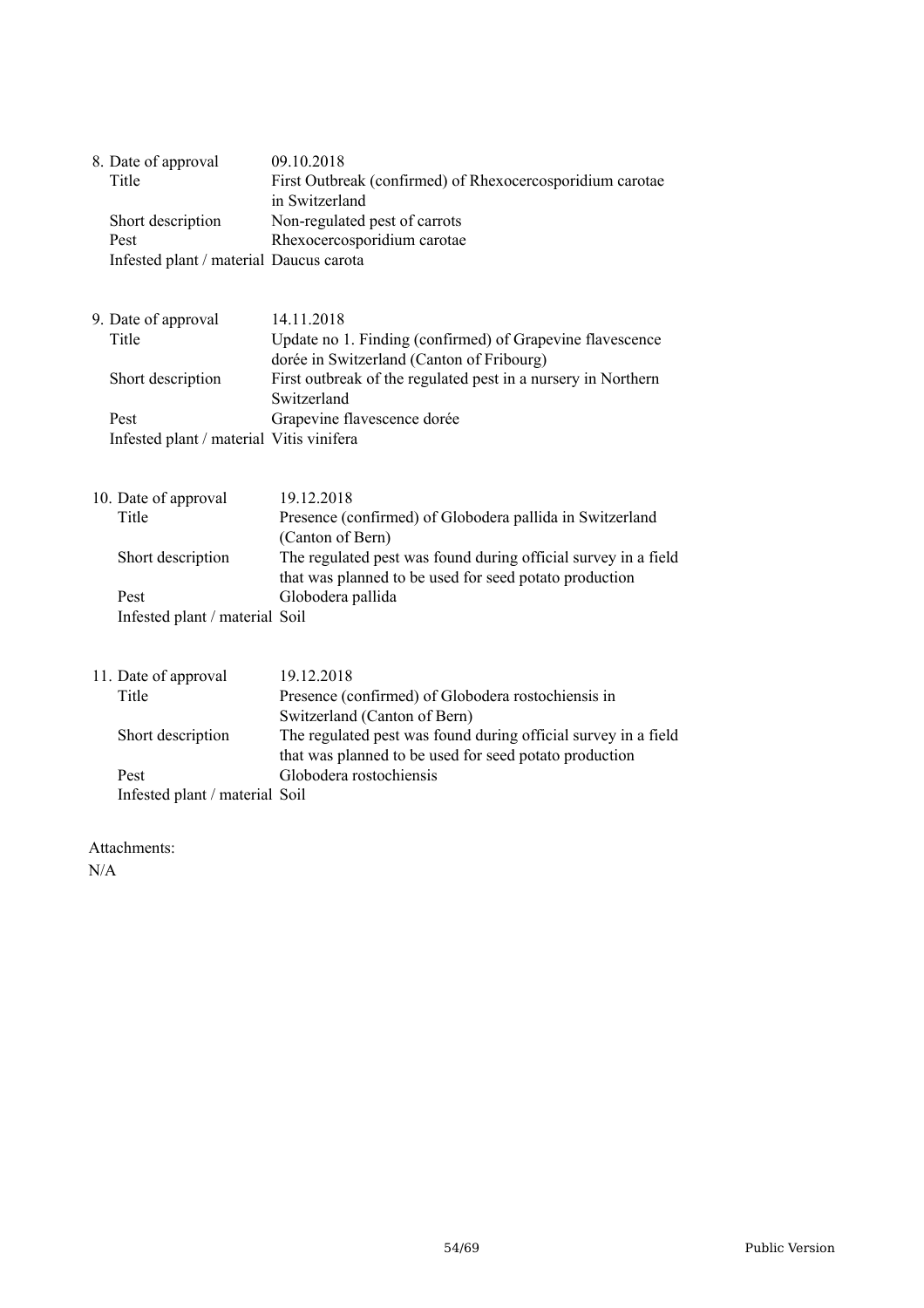|  | 8. Date of approval                      | 09.10.2018                                                                                                               |
|--|------------------------------------------|--------------------------------------------------------------------------------------------------------------------------|
|  | Title                                    | First Outbreak (confirmed) of Rhexocercosporidium carotae<br>in Switzerland                                              |
|  | Short description                        | Non-regulated pest of carrots                                                                                            |
|  | Pest                                     | Rhexocercosporidium carotae                                                                                              |
|  | Infested plant / material Daucus carota  |                                                                                                                          |
|  | 9. Date of approval                      | 14.11.2018                                                                                                               |
|  | Title                                    | Update no 1. Finding (confirmed) of Grapevine flavescence<br>dorée in Switzerland (Canton of Fribourg)                   |
|  | Short description                        | First outbreak of the regulated pest in a nursery in Northern<br>Switzerland                                             |
|  | Pest                                     | Grapevine flavescence dorée                                                                                              |
|  | Infested plant / material Vitis vinifera |                                                                                                                          |
|  |                                          |                                                                                                                          |
|  |                                          |                                                                                                                          |
|  | 10. Date of approval                     | 19.12.2018                                                                                                               |
|  | Title                                    | Presence (confirmed) of Globodera pallida in Switzerland<br>(Canton of Bern)                                             |
|  | Short description                        | The regulated pest was found during official survey in a field<br>that was planned to be used for seed potato production |
|  | Pest                                     | Globodera pallida                                                                                                        |
|  | Infested plant / material Soil           |                                                                                                                          |
|  |                                          |                                                                                                                          |
|  | 11. Date of approval                     | 19.12.2018                                                                                                               |
|  | Title                                    | Presence (confirmed) of Globodera rostochiensis in                                                                       |
|  |                                          | Switzerland (Canton of Bern)                                                                                             |
|  | Short description                        | The regulated pest was found during official survey in a field<br>that was planned to be used for seed potato production |
|  | Pest                                     | Globodera rostochiensis                                                                                                  |
|  | Infested plant / material Soil           |                                                                                                                          |
|  |                                          |                                                                                                                          |

Attachments:

N/A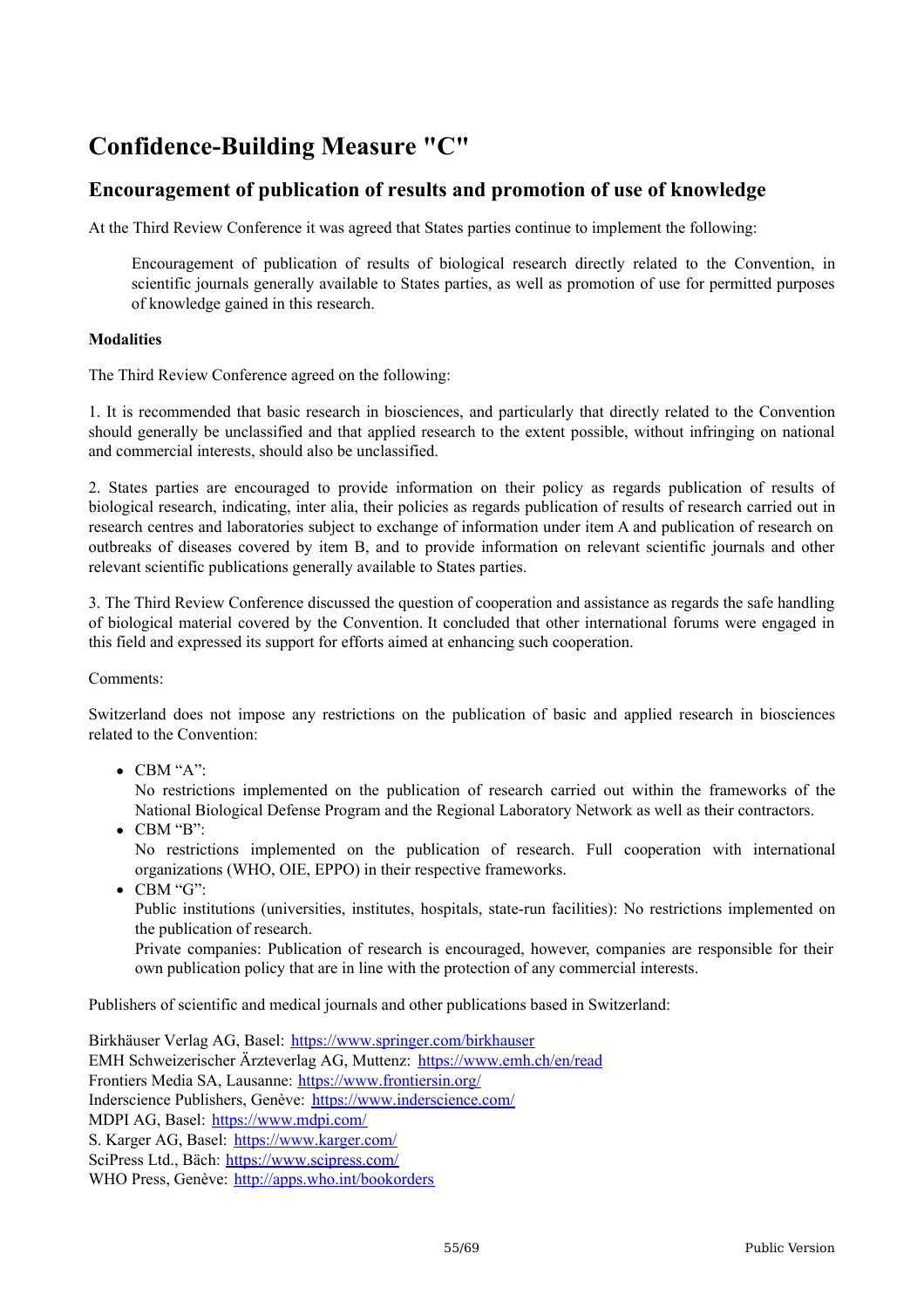# **Confidence-Building Measure "C"**

# **Encouragement of publication of results and promotion of use of knowledge**

At the Third Review Conference it was agreed that States parties continue to implement the following:

Encouragement of publication of results of biological research directly related to the Convention, in scientific journals generally available to States parties, as well as promotion of use for permitted purposes of knowledge gained in this research.

#### **Modalities**

The Third Review Conference agreed on the following:

1. It is recommended that basic research in biosciences, and particularly that directly related to the Convention should generally be unclassified and that applied research to the extent possible, without infringing on national and commercial interests, should also be unclassified.

2. States parties are encouraged to provide information on their policy as regards publication of results of biological research, indicating, inter alia, their policies as regards publication of results of research carried out in research centres and laboratories subject to exchange of information under item A and publication of research on outbreaks of diseases covered by item B, and to provide information on relevant scientific journals and other relevant scientific publications generally available to States parties.

3. The Third Review Conference discussed the question of cooperation and assistance as regards the safe handling of biological material covered by the Convention. It concluded that other international forums were engaged in this field and expressed its support for efforts aimed at enhancing such cooperation.

Comments:

Switzerland does not impose any restrictions on the publication of basic and applied research in biosciences related to the Convention:

CBM "A":

No restrictions implemented on the publication of research carried out within the frameworks of the National Biological Defense Program and the Regional Laboratory Network as well as their contractors.

CBM "B":

No restrictions implemented on the publication of research. Full cooperation with international organizations (WHO, OIE, EPPO) in their respective frameworks.

CBM "G":

Public institutions (universities, institutes, hospitals, state-run facilities): No restrictions implemented on the publication of research.

Private companies: Publication of research is encouraged, however, companies are responsible for their own publication policy that are in line with the protection of any commercial interests.

Publishers of scientific and medical journals and other publications based in Switzerland:

Birkhäuser Verlag AG, Basel: <https://www.springer.com/birkhauser> EMH Schweizerischer Ärzteverlag AG, Muttenz: <https://www.emh.ch/en/read> Frontiers Media SA, Lausanne: <https://www.frontiersin.org/> Inderscience Publishers, Genève: <https://www.inderscience.com/> MDPI AG, Basel: <https://www.mdpi.com/> S. Karger AG, Basel: <https://www.karger.com/> SciPress Ltd., Bäch: <https://www.scipress.com/> WHO Press, Genève: <http://apps.who.int/bookorders>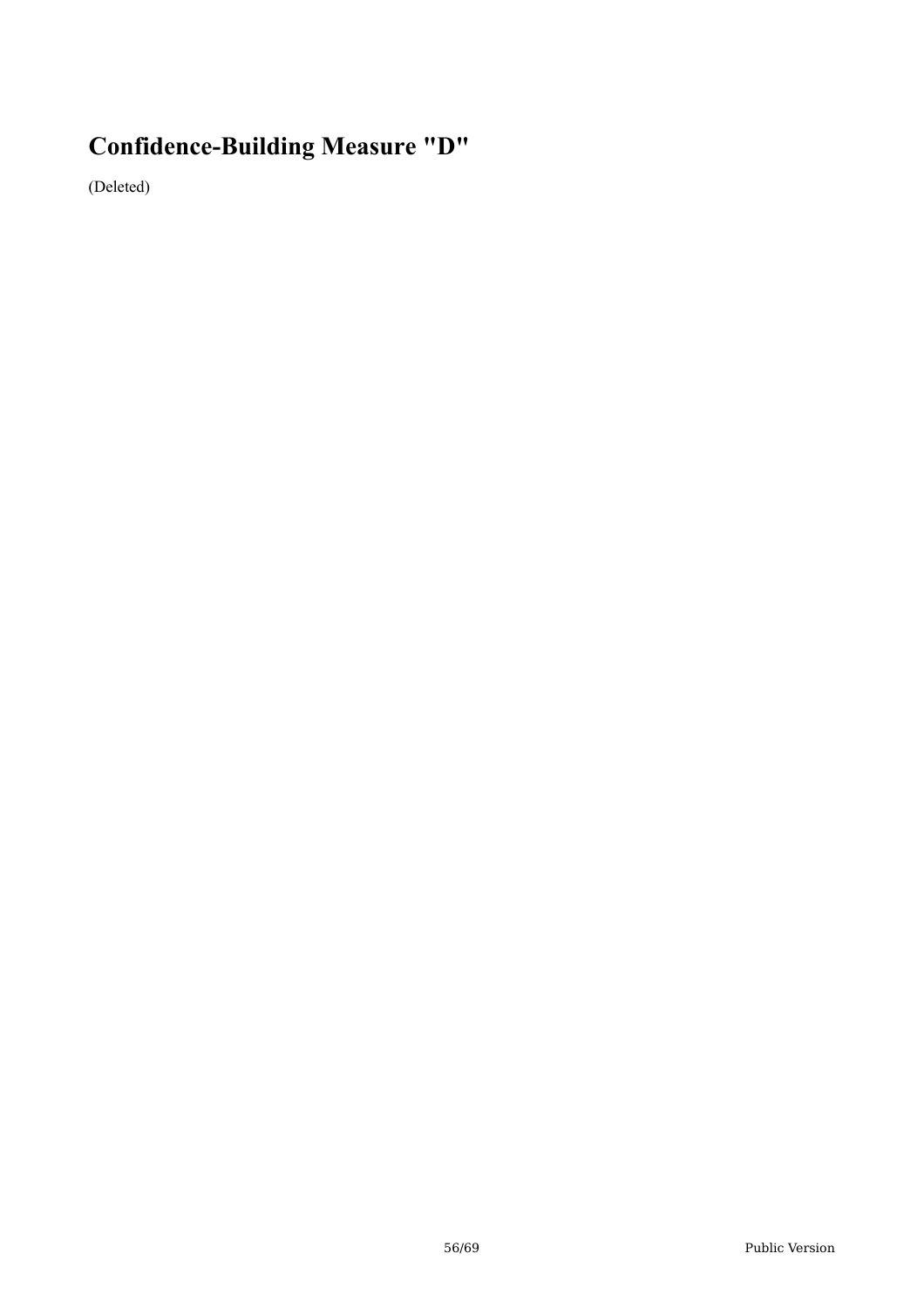# **Confidence-Building Measure "D"**

(Deleted)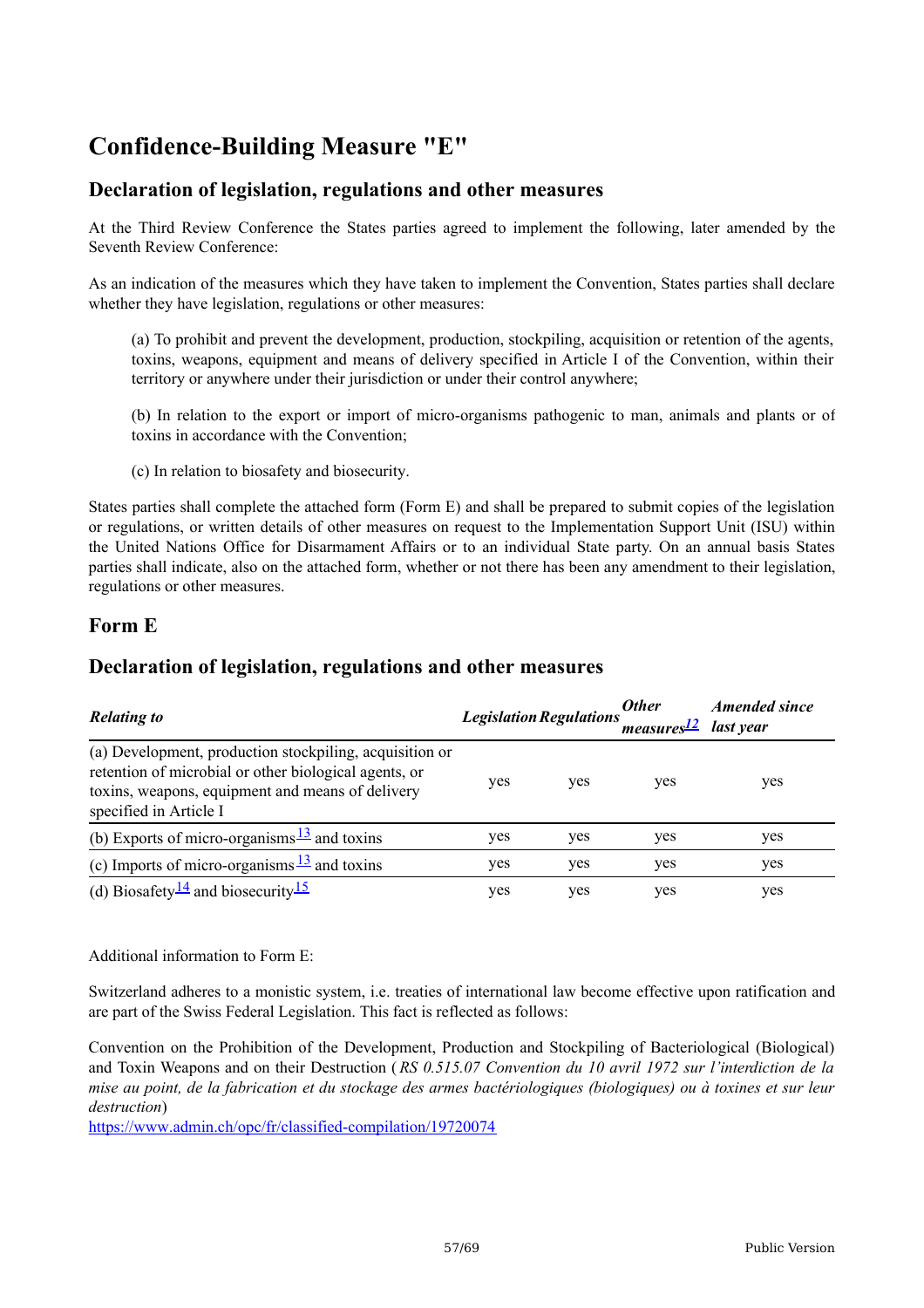# **Confidence-Building Measure "E"**

# **Declaration of legislation, regulations and other measures**

At the Third Review Conference the States parties agreed to implement the following, later amended by the Seventh Review Conference:

As an indication of the measures which they have taken to implement the Convention, States parties shall declare whether they have legislation, regulations or other measures:

(a) To prohibit and prevent the development, production, stockpiling, acquisition or retention of the agents, toxins, weapons, equipment and means of delivery specified in Article I of the Convention, within their territory or anywhere under their jurisdiction or under their control anywhere;

(b) In relation to the export or import of micro-organisms pathogenic to man, animals and plants or of toxins in accordance with the Convention;

(c) In relation to biosafety and biosecurity.

States parties shall complete the attached form (Form E) and shall be prepared to submit copies of the legislation or regulations, or written details of other measures on request to the Implementation Support Unit (ISU) within the United Nations Office for Disarmament Affairs or to an individual State party. On an annual basis States parties shall indicate, also on the attached form, whether or not there has been any amendment to their legislation, regulations or other measures.

## **Form E**

## **Declaration of legislation, regulations and other measures**

| <b>Relating to</b>                                                                                                                                                                             |     |     | <b>Other</b><br>Legislation Regulations<br>measures <sup>12</sup> last year | <i><b>Amended since</b></i> |
|------------------------------------------------------------------------------------------------------------------------------------------------------------------------------------------------|-----|-----|-----------------------------------------------------------------------------|-----------------------------|
| (a) Development, production stockpiling, acquisition or<br>retention of microbial or other biological agents, or<br>toxins, weapons, equipment and means of delivery<br>specified in Article I | yes | yes | yes                                                                         | yes                         |
| (b) Exports of micro-organisms $\frac{13}{2}$ and toxins                                                                                                                                       | yes | yes | yes                                                                         | yes                         |
| (c) Imports of micro-organisms $\frac{13}{2}$ and toxins                                                                                                                                       | yes | yes | yes                                                                         | yes                         |
| (d) Biosafety <sup>14</sup> and biosecurity <sup>15</sup>                                                                                                                                      | yes | yes | yes                                                                         | yes                         |

Additional information to Form E:

Switzerland adheres to a monistic system, i.e. treaties of international law become effective upon ratification and are part of the Swiss Federal Legislation. This fact is reflected as follows:

Convention on the Prohibition of the Development, Production and Stockpiling of Bacteriological (Biological) and Toxin Weapons and on their Destruction ( *RS 0.515.07 Convention du 10 avril 1972 sur l'interdiction de la* mise au point, de la fabrication et du stockage des armes bactériologiques (biologiques) ou à toxines et sur leur *destruction*)

<https://www.admin.ch/opc/fr/classified-compilation/19720074>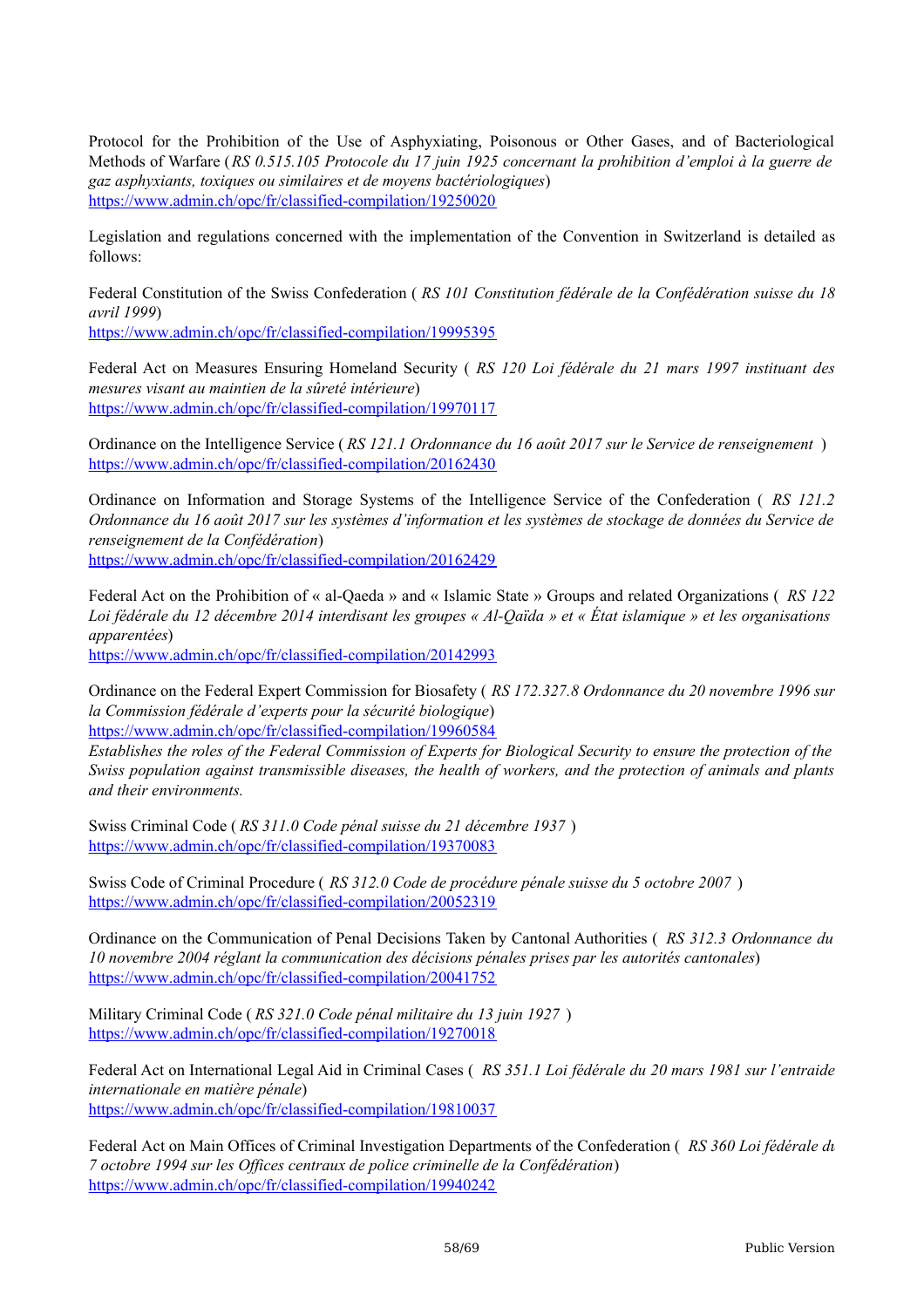Protocol for the Prohibition of the Use of Asphyxiating, Poisonous or Other Gases, and of Bacteriological Methods of Warfare (*RS 0.515.105 Protocole du 17 juin 1925 concernant la prohibition d'emploi à la guerre de gaz asphyxiants, toxiques ou similaires et de moyens bactériologiques*) <https://www.admin.ch/opc/fr/classified-compilation/19250020>

Legislation and regulations concerned with the implementation of the Convention in Switzerland is detailed as follows:

Federal Constitution of the Swiss Confederation ( *RS 101 Constitution fédérale de la Confédération suisse du 18 avril 1999*)

<https://www.admin.ch/opc/fr/classified-compilation/19995395>

Federal Act on Measures Ensuring Homeland Security ( *RS 120 Loi fédérale du 21 mars 1997 instituant des mesures visant au maintien de la sûreté intérieure*) <https://www.admin.ch/opc/fr/classified-compilation/19970117>

Ordinance on the Intelligence Service ( *RS 121.1 Ordonnance du 16 août 2017 sur le Service de renseignement* ) <https://www.admin.ch/opc/fr/classified-compilation/20162430>

Ordinance on Information and Storage Systems of the Intelligence Service of the Confederation ( *RS 121.2* Ordonnance du 16 août 2017 sur les systèmes d'information et les systèmes de stockage de données du Service de *renseignement de la Confédération*)

<https://www.admin.ch/opc/fr/classified-compilation/20162429>

Federal Act on the Prohibition of « al-Qaeda » and « Islamic State » Groups and related Organizations ( *RS 122* Loi fédérale du 12 décembre 2014 interdisant les groupes « Al-Qaïda » et « État islamique » et les organisations *apparentées*)

<https://www.admin.ch/opc/fr/classified-compilation/20142993>

Ordinance on the Federal Expert Commission for Biosafety ( *RS 172.327.8 Ordonnance du 20 novembre 1996 sur la Commission fédérale d'experts pour la sécurité biologique*) <https://www.admin.ch/opc/fr/classified-compilation/19960584>

Establishes the roles of the Federal Commission of Experts for Biological Security to ensure the protection of the *Swiss population against transmissible diseases, the health of workers, and the protection of animals and plants and their environments.*

Swiss Criminal Code ( *RS 311.0 Code pénal suisse du 21 décembre 1937* ) <https://www.admin.ch/opc/fr/classified-compilation/19370083>

Swiss Code of Criminal Procedure ( *RS 312.0 Code de procédure pénale suisse du 5 octobre 2007* ) <https://www.admin.ch/opc/fr/classified-compilation/20052319>

Ordinance on the Communication of Penal Decisions Taken by Cantonal Authorities ( *RS 312.3 Ordonnance du 10 novembre 2004 réglant la communication des décisions pénales prises par les autorités cantonales*) <https://www.admin.ch/opc/fr/classified-compilation/20041752>

Military Criminal Code ( *RS 321.0 Code pénal militaire du 13 juin 1927* ) <https://www.admin.ch/opc/fr/classified-compilation/19270018>

Federal Act on International Legal Aid in Criminal Cases ( *RS 351.1 Loi fédérale du 20 mars 1981 sur l'entraide internationale en matière pénale*) <https://www.admin.ch/opc/fr/classified-compilation/19810037>

Federal Act on Main Offices of Criminal Investigation Departments of the Confederation ( *RS 360 Loi fédérale du 7 octobre 1994 sur les Of ices centraux de police criminelle de la Confédération*) <https://www.admin.ch/opc/fr/classified-compilation/19940242>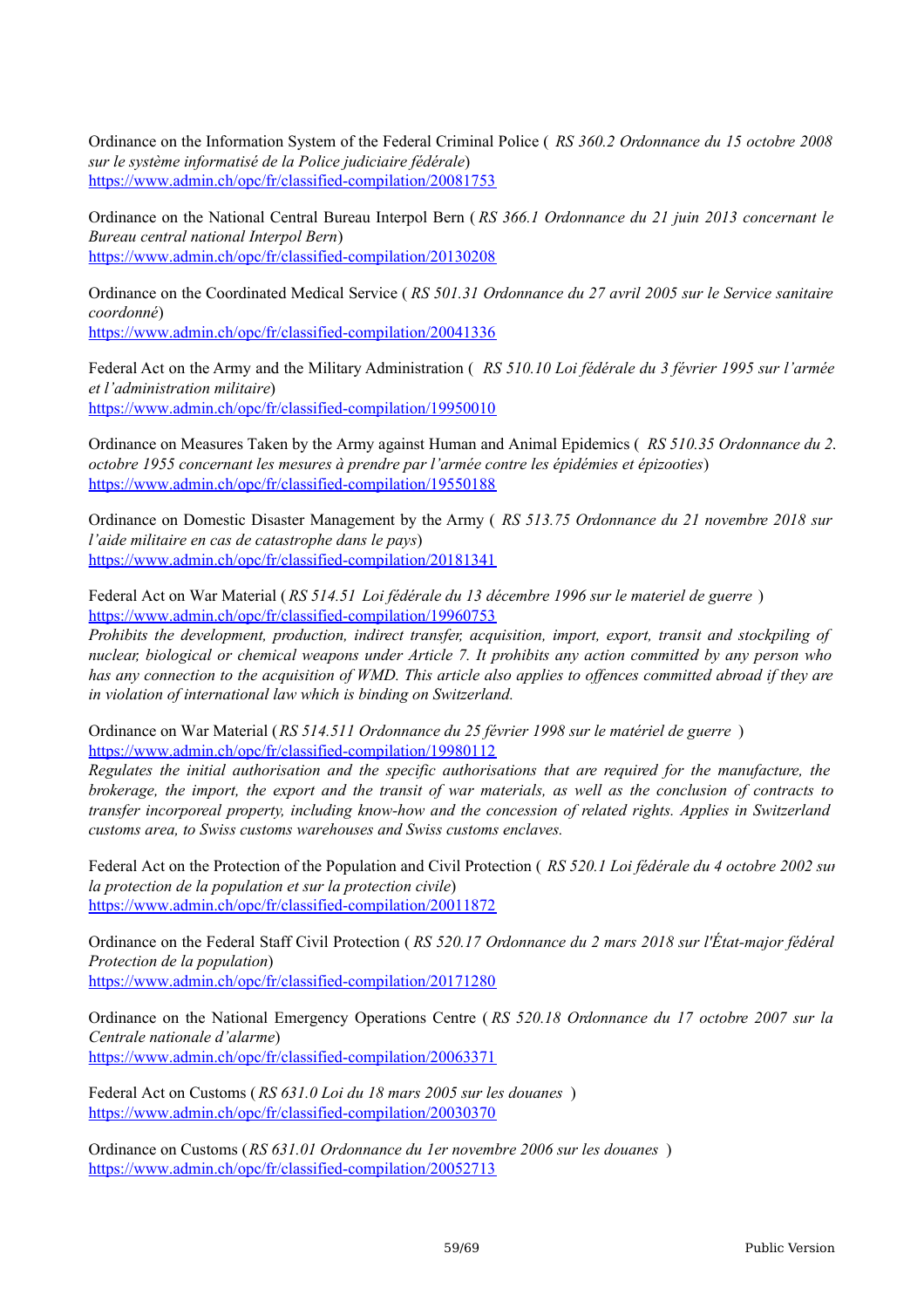Ordinance on the Information System of the Federal Criminal Police ( *RS 360.2 Ordonnance du 15 octobre 2008 sur le système informatisé de la Police judiciaire fédérale*) <https://www.admin.ch/opc/fr/classified-compilation/20081753>

Ordinance on the National Central Bureau Interpol Bern ( *RS 366.1 Ordonnance du 21 juin 2013 concernant le Bureau central national Interpol Bern*) <https://www.admin.ch/opc/fr/classified-compilation/20130208>

Ordinance on the Coordinated Medical Service ( *RS 501.31 Ordonnance du 27 avril 2005 sur le Service sanitaire coordonné*) <https://www.admin.ch/opc/fr/classified-compilation/20041336>

Federal Act on the Army and the Military Administration ( *RS 510.10 Loi fédérale du 3 février 1995 sur l'armée et l'administration militaire*) <https://www.admin.ch/opc/fr/classified-compilation/19950010>

Ordinance on Measures Taken by the Army against Human and Animal Epidemics ( *RS 510.35 Ordonnance du 25 octobre 1955 concernant les mesures à prendre par l'armée contre les épidémies et épizooties*) <https://www.admin.ch/opc/fr/classified-compilation/19550188>

Ordinance on Domestic Disaster Management by the Army ( *RS 513.75 Ordonnance du 21 novembre 2018 sur l'aide militaire en cas de catastrophe dans le pays*) <https://www.admin.ch/opc/fr/classified-compilation/20181341>

Federal Act on War Material ( *RS 514.51 Loi fédérale du 13 décembre 1996 sur le materiel de guerre* ) <https://www.admin.ch/opc/fr/classified-compilation/19960753>

*Prohibits the development, production, indirect transfer, acquisition, import, export, transit and stockpiling of* nuclear, biological or chemical weapons under Article 7. It prohibits any action committed by any person who has any connection to the acquisition of WMD. This article also applies to offences committed abroad if they are *in violation of international law which is binding on Switzerland.*

Ordinance on War Material (*RS 514.511 Ordonnance du 25 février 1998 sur le matériel de guerre* ) <https://www.admin.ch/opc/fr/classified-compilation/19980112>

*Regulates the initial authorisation and the specific authorisations that are required for the manufacture, the* brokerage, the import, the export and the transit of war materials, as well as the conclusion of contracts to *transfer incorporeal property, including know-how and the concession of related rights. Applies in Switzerland customs area, to Swiss customs warehouses and Swiss customs enclaves.*

Federal Act on the Protection of the Population and Civil Protection ( *RS 520.1 Loi fédérale du 4 octobre 2002 sur la protection de la population et sur la protection civile*) <https://www.admin.ch/opc/fr/classified-compilation/20011872>

Ordinance on the Federal Staff Civil Protection ( *RS 520.17 Ordonnance du 2 mars 2018 sur l'État-major fédéral Protection de la population*) <https://www.admin.ch/opc/fr/classified-compilation/20171280>

Ordinance on the National Emergency Operations Centre ( *RS 520.18 Ordonnance du 17 octobre 2007 sur la Centrale nationale d'alarme*) <https://www.admin.ch/opc/fr/classified-compilation/20063371>

Federal Act on Customs ( *RS 631.0 Loi du 18 mars 2005 sur les douanes* ) <https://www.admin.ch/opc/fr/classified-compilation/20030370>

Ordinance on Customs (*RS 631.01 Ordonnance du 1er novembre 2006 sur les douanes* ) <https://www.admin.ch/opc/fr/classified-compilation/20052713>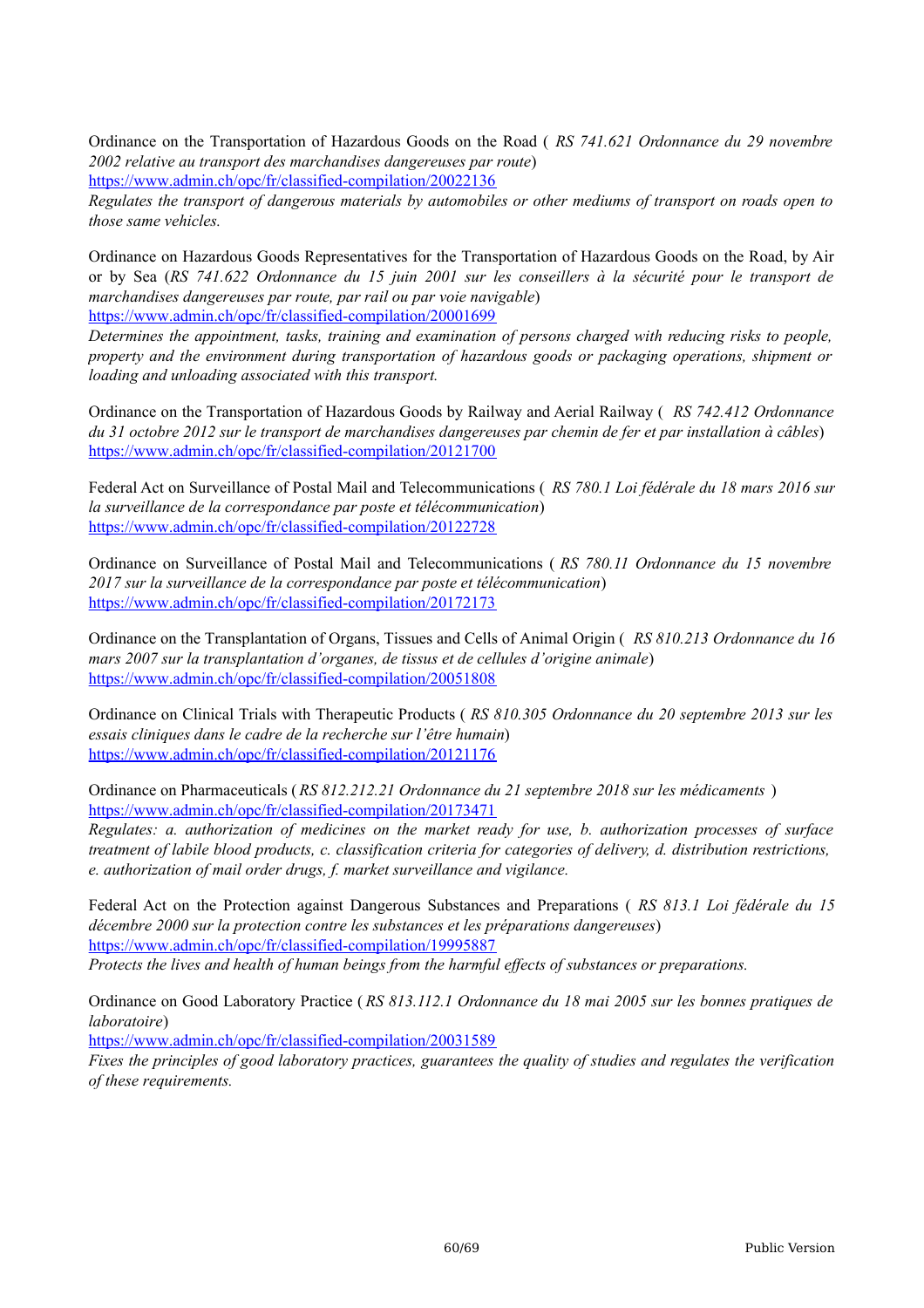Ordinance on the Transportation of Hazardous Goods on the Road ( *RS 741.621 Ordonnance du 29 novembre 2002 relative au transport des marchandises dangereuses par route*)

<https://www.admin.ch/opc/fr/classified-compilation/20022136>

Regulates the transport of dangerous materials by automobiles or other mediums of transport on roads open to *those same vehicles.*

Ordinance on Hazardous Goods Representatives for the Transportation of Hazardous Goods on the Road, by Air or by Sea (*RS 741.622 Ordonnance du 15 juin 2001 sur les conseillers à la sécurité pour le transport de marchandises dangereuses par route, par rail ou par voie navigable*)

<https://www.admin.ch/opc/fr/classified-compilation/20001699>

*Determines the appointment, tasks, training and examination of persons charged with reducing risks to people, property and the environment during transportation of hazardous goods or packaging operations, shipment or loading and unloading associated with this transport.*

Ordinance on the Transportation of Hazardous Goods by Railway and Aerial Railway ( *RS 742.412 Ordonnance* du 31 octobre 2012 sur le transport de marchandises dangereuses par chemin de fer et par installation à câbles) <https://www.admin.ch/opc/fr/classified-compilation/20121700>

Federal Act on Surveillance of Postal Mail and Telecommunications ( *RS 780.1 Loi fédérale du 18 mars 2016 sur la surveillance de la correspondance par poste et télécommunication*) <https://www.admin.ch/opc/fr/classified-compilation/20122728>

Ordinance on Surveillance of Postal Mail and Telecommunications ( *RS 780.11 Ordonnance du 15 novembre 2017 sur la surveillance de la correspondance par poste et télécommunication*) <https://www.admin.ch/opc/fr/classified-compilation/20172173>

Ordinance on the Transplantation of Organs, Tissues and Cells of Animal Origin ( *RS 810.213 Ordonnance du 16 mars 2007 sur la transplantation d'organes, de tissus et de cellules d'origine animale*) <https://www.admin.ch/opc/fr/classified-compilation/20051808>

Ordinance on Clinical Trials with Therapeutic Products ( *RS 810.305 Ordonnance du 20 septembre 2013 sur les essais cliniques dans le cadre de la recherche sur l'être humain*) <https://www.admin.ch/opc/fr/classified-compilation/20121176>

Ordinance on Pharmaceuticals (*RS 812.212.21 Ordonnance du 21 septembre 2018 sur les médicaments* ) <https://www.admin.ch/opc/fr/classified-compilation/20173471>

*Regulates: a. authorization of medicines on the market ready for use, b. authorization processes of surface* treatment of labile blood products, c. classification criteria for categories of delivery, d. distribution restrictions, *e. authorization of mail order drugs, f. market surveillance and vigilance.*

Federal Act on the Protection against Dangerous Substances and Preparations ( *RS 813.1 Loi fédérale du 15 décembre 2000 sur la protection contre les substances et les préparations dangereuses*) <https://www.admin.ch/opc/fr/classified-compilation/19995887> *Protects the lives and health of human beings from the harmful ef ects of substances or preparations.*

Ordinance on Good Laboratory Practice ( *RS 813.112.1 Ordonnance du 18 mai 2005 sur les bonnes pratiques de laboratoire*)

<https://www.admin.ch/opc/fr/classified-compilation/20031589>

Fixes the principles of good laboratory practices, guarantees the quality of studies and regulates the verification *of these requirements.*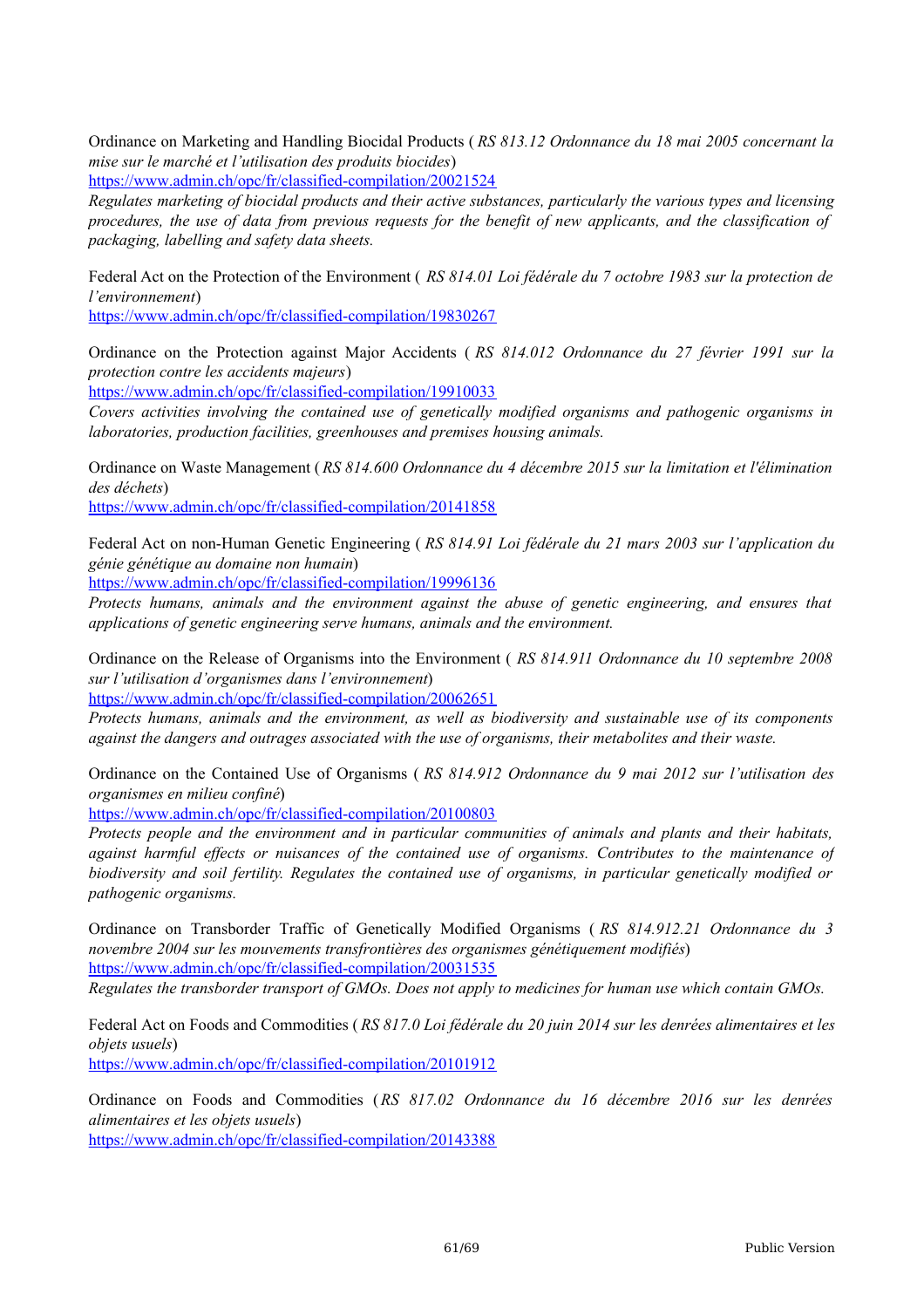Ordinance on Marketing and Handling Biocidal Products ( *RS 813.12 Ordonnance du 18 mai 2005 concernant la mise sur le marché et l'utilisation des produits biocides*)

<https://www.admin.ch/opc/fr/classified-compilation/20021524>

*Regulates marketing of biocidal products and their active substances, particularly the various types and licensing* procedures, the use of data from previous requests for the benefit of new applicants, and the classification of *packaging, labelling and safety data sheets.*

Federal Act on the Protection of the Environment ( *RS 814.01 Loi fédérale du 7 octobre 1983 sur la protection de l'environnement*)

<https://www.admin.ch/opc/fr/classified-compilation/19830267>

Ordinance on the Protection against Major Accidents ( *RS 814.012 Ordonnance du 27 février 1991 sur la protection contre les accidents majeurs*)

<https://www.admin.ch/opc/fr/classified-compilation/19910033>

*Covers activities involving the contained use of genetically modified organisms and pathogenic organisms in laboratories, production facilities, greenhouses and premises housing animals.*

Ordinance on Waste Management ( *RS 814.600 Ordonnance du 4 décembre 2015 sur la limitation et l'élimination des déchets*)

<https://www.admin.ch/opc/fr/classified-compilation/20141858>

Federal Act on non-Human Genetic Engineering ( *RS 814.91 Loi fédérale du 21 mars 2003 sur l'application du génie génétique au domaine non humain*)

<https://www.admin.ch/opc/fr/classified-compilation/19996136>

*Protects humans, animals and the environment against the abuse of genetic engineering, and ensures that applications of genetic engineering serve humans, animals and the environment.*

Ordinance on the Release of Organisms into the Environment ( *RS 814.911 Ordonnance du 10 septembre 2008 sur l'utilisation d'organismes dans l'environnement*)

<https://www.admin.ch/opc/fr/classified-compilation/20062651>

*Protects humans, animals and the environment, as well as biodiversity and sustainable use of its components against the dangers and outrages associated with the use of organisms, their metabolites and their waste.*

Ordinance on the Contained Use of Organisms ( *RS 814.912 Ordonnance du 9 mai 2012 sur l'utilisation des organismes en milieu confiné*)

<https://www.admin.ch/opc/fr/classified-compilation/20100803>

*Protects people and the environment and in particular communities of animals and plants and their habitats, against harmful ef ects or nuisances of the contained use of organisms. Contributes to the maintenance of biodiversity and soil fertility. Regulates the contained use of organisms, in particular genetically modified or pathogenic organisms.*

Ordinance on Transborder Traffic of Genetically Modified Organisms ( *RS 814.912.21 Ordonnance du 3 novembre 2004 sur les mouvements transfrontières des organismes génétiquement modifiés*) <https://www.admin.ch/opc/fr/classified-compilation/20031535>

Regulates the transborder transport of GMOs. Does not apply to medicines for human use which contain GMOs.

Federal Act on Foods and Commodities ( *RS 817.0 Loi fédérale du 20 juin 2014 sur les denrées alimentaires et les objets usuels*) <https://www.admin.ch/opc/fr/classified-compilation/20101912>

Ordinance on Foods and Commodities (*RS 817.02 Ordonnance du 16 décembre 2016 sur les denrées alimentaires et les objets usuels*)

<https://www.admin.ch/opc/fr/classified-compilation/20143388>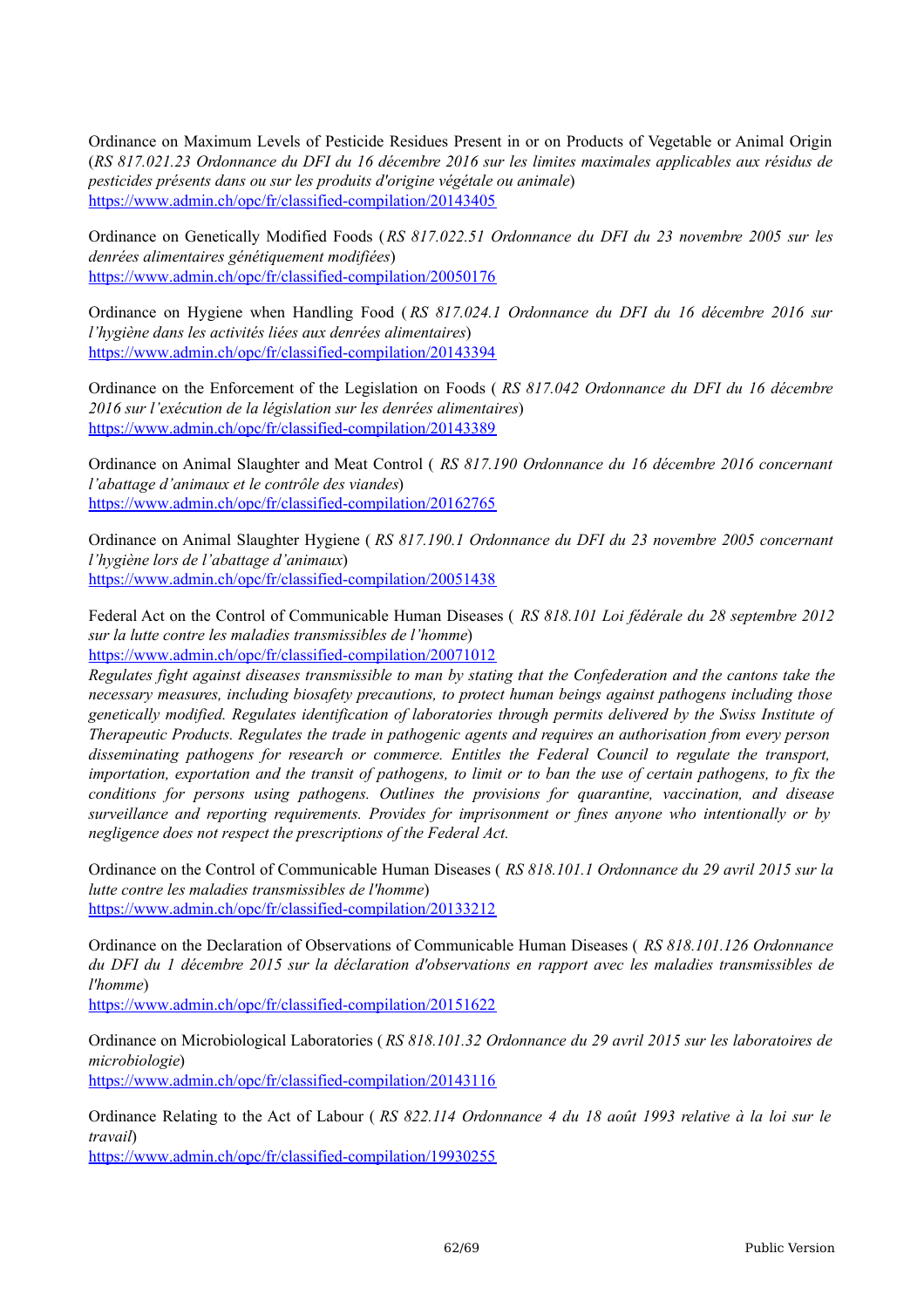Ordinance on Maximum Levels of Pesticide Residues Present in or on Products of Vegetable or Animal Origin (*RS 817.021.23 Ordonnance du DFI du 16 décembre 2016 sur les limites maximales applicables aux résidus de pesticides présents dans ou sur les produits d'origine végétale ou animale*) <https://www.admin.ch/opc/fr/classified-compilation/20143405>

Ordinance on Genetically Modified Foods (*RS 817.022.51 Ordonnance du DFI du 23 novembre 2005 sur les denrées alimentaires génétiquement modifiées*) <https://www.admin.ch/opc/fr/classified-compilation/20050176>

Ordinance on Hygiene when Handling Food ( *RS 817.024.1 Ordonnance du DFI du 16 décembre 2016 sur l'hygiène dans les activités liées aux denrées alimentaires*) <https://www.admin.ch/opc/fr/classified-compilation/20143394>

Ordinance on the Enforcement of the Legislation on Foods ( *RS 817.042 Ordonnance du DFI du 16 décembre 2016 sur l'exécution de la législation sur les denrées alimentaires*) <https://www.admin.ch/opc/fr/classified-compilation/20143389>

Ordinance on Animal Slaughter and Meat Control ( *RS 817.190 Ordonnance du 16 décembre 2016 concernant l'abattage d'animaux et le contrôle des viandes*) <https://www.admin.ch/opc/fr/classified-compilation/20162765>

Ordinance on Animal Slaughter Hygiene ( *RS 817.190.1 Ordonnance du DFI du 23 novembre 2005 concernant l'hygiène lors de l'abattage d'animaux*) <https://www.admin.ch/opc/fr/classified-compilation/20051438>

Federal Act on the Control of Communicable Human Diseases ( *RS 818.101 Loi fédérale du 28 septembre 2012 sur la lutte contre les maladies transmissibles de l'homme*) <https://www.admin.ch/opc/fr/classified-compilation/20071012>

Regulates fight against diseases transmissible to man by stating that the Confederation and the cantons take the *necessary measures, including biosafety precautions, to protect human beings against pathogens including those genetically modified. Regulates identification of laboratories through permits delivered by the Swiss Institute of Therapeutic Products. Regulates the trade in pathogenic agents and requires an authorisation from every person disseminating pathogens for research or commerce. Entitles the Federal Council to regulate the transport,* importation, exportation and the transit of pathogens, to limit or to ban the use of certain pathogens, to fix the *conditions for persons using pathogens. Outlines the provisions for quarantine, vaccination, and disease surveillance and reporting requirements. Provides for imprisonment or fines anyone who intentionally or by negligence does not respect the prescriptions of the Federal Act.*

Ordinance on the Control of Communicable Human Diseases ( *RS 818.101.1 Ordonnance du 29 avril 2015 sur la lutte contre les maladies transmissibles de l'homme*) <https://www.admin.ch/opc/fr/classified-compilation/20133212>

Ordinance on the Declaration of Observations of Communicable Human Diseases ( *RS 818.101.126 Ordonnance* du DFI du 1 décembre 2015 sur la déclaration d'observations en rapport avec les maladies transmissibles de *l'homme*)

<https://www.admin.ch/opc/fr/classified-compilation/20151622>

Ordinance on Microbiological Laboratories ( *RS 818.101.32 Ordonnance du 29 avril 2015 sur les laboratoires de microbiologie*) <https://www.admin.ch/opc/fr/classified-compilation/20143116>

Ordinance Relating to the Act of Labour ( *RS 822.114 Ordonnance 4 du 18 août 1993 relative à la loi sur le travail*)

<https://www.admin.ch/opc/fr/classified-compilation/19930255>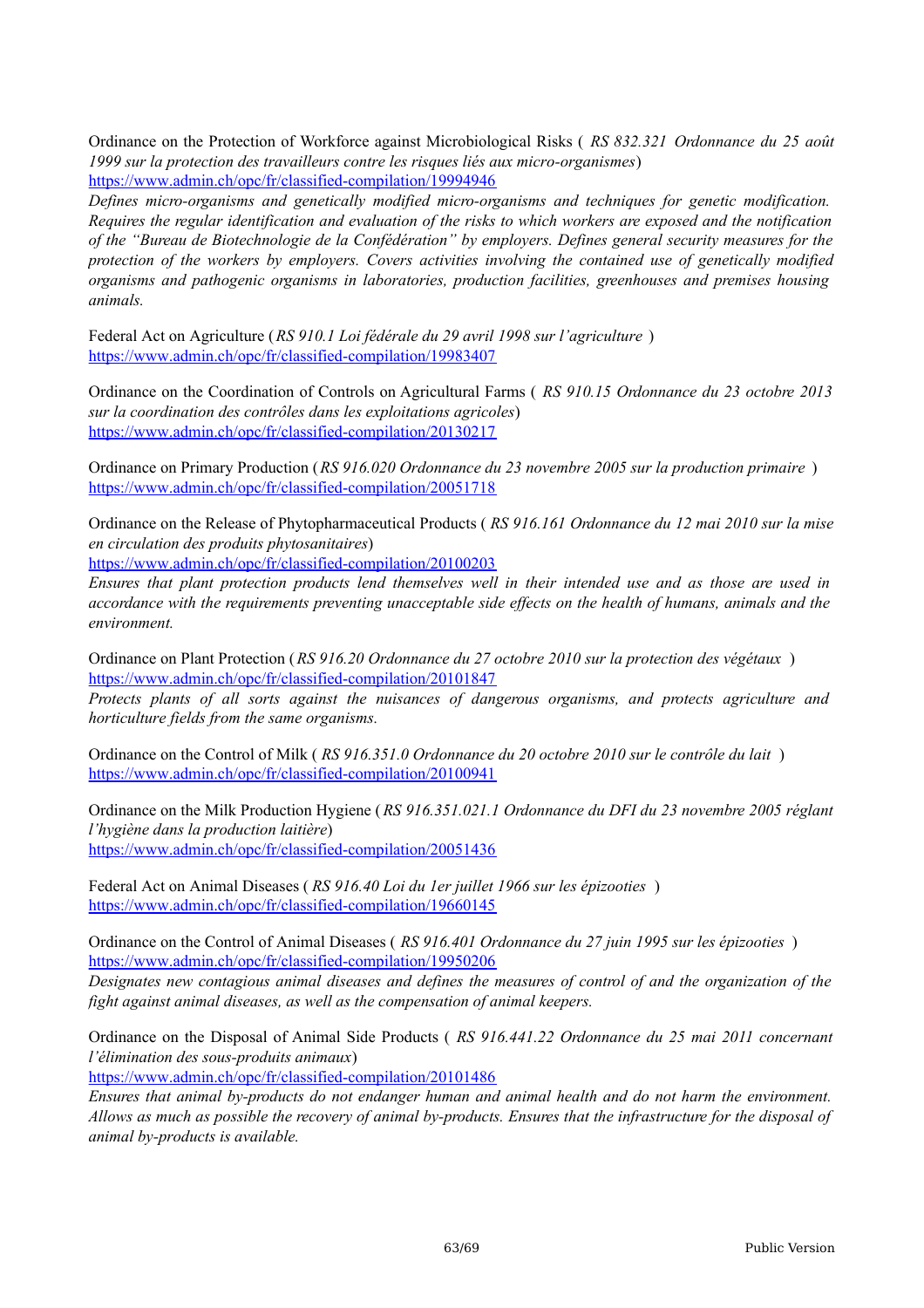Ordinance on the Protection of Workforce against Microbiological Risks ( *RS 832.321 Ordonnance du 25 août 1999 sur la protection des travailleurs contre les risques liés aux micro-organismes*) <https://www.admin.ch/opc/fr/classified-compilation/19994946>

*Defines micro-organisms and genetically modified micro-organisms and techniques for genetic modification.* Requires the regular identification and evaluation of the risks to which workers are exposed and the notification *of the "Bureau de Biotechnologie de la Confédération" by employers. Defines general security measures for the protection of the workers by employers. Covers activities involving the contained use of genetically modified organisms and pathogenic organisms in laboratories, production facilities, greenhouses and premises housing animals.*

Federal Act on Agriculture (*RS 910.1 Loi fédérale du 29 avril 1998 sur l'agriculture* ) <https://www.admin.ch/opc/fr/classified-compilation/19983407>

Ordinance on the Coordination of Controls on Agricultural Farms ( *RS 910.15 Ordonnance du 23 octobre 2013 sur la coordination des contrôles dans les exploitations agricoles*) <https://www.admin.ch/opc/fr/classified-compilation/20130217>

Ordinance on Primary Production (*RS 916.020 Ordonnance du 23 novembre 2005 sur la production primaire* ) <https://www.admin.ch/opc/fr/classified-compilation/20051718>

Ordinance on the Release of Phytopharmaceutical Products ( *RS 916.161 Ordonnance du 12 mai 2010 sur la mise en circulation des produits phytosanitaires*)

<https://www.admin.ch/opc/fr/classified-compilation/20100203>

Ensures that plant protection products lend themselves well in their intended use and as those are used in accordance with the requirements preventing unacceptable side effects on the health of humans, animals and the *environment.*

Ordinance on Plant Protection (*RS 916.20 Ordonnance du 27 octobre 2010 sur la protection des végétaux* ) <https://www.admin.ch/opc/fr/classified-compilation/20101847>

*Protects plants of all sorts against the nuisances of dangerous organisms, and protects agriculture and horticulture fields from the same organisms.*

Ordinance on the Control of Milk ( *RS 916.351.0 Ordonnance du 20 octobre 2010 sur le contrôle du lait* ) <https://www.admin.ch/opc/fr/classified-compilation/20100941>

Ordinance on the Milk Production Hygiene (*RS 916.351.021.1 Ordonnance du DFI du 23 novembre 2005 réglant l'hygiène dans la production laitière*) <https://www.admin.ch/opc/fr/classified-compilation/20051436>

Federal Act on Animal Diseases ( *RS 916.40 Loi du 1er juillet 1966 sur les épizooties* ) <https://www.admin.ch/opc/fr/classified-compilation/19660145>

Ordinance on the Control of Animal Diseases ( *RS 916.401 Ordonnance du 27 juin 1995 sur les épizooties* ) <https://www.admin.ch/opc/fr/classified-compilation/19950206>

Designates new contagious animal diseases and defines the measures of control of and the organization of the *fight against animal diseases, as well as the compensation of animal keepers.*

Ordinance on the Disposal of Animal Side Products ( *RS 916.441.22 Ordonnance du 25 mai 2011 concernant l'élimination des sous-produits animaux*)

<https://www.admin.ch/opc/fr/classified-compilation/20101486>

*Ensures that animal by-products do not endanger human and animal health and do not harm the environment.* Allows as much as possible the recovery of animal by-products. Ensures that the infrastructure for the disposal of *animal by-products is available.*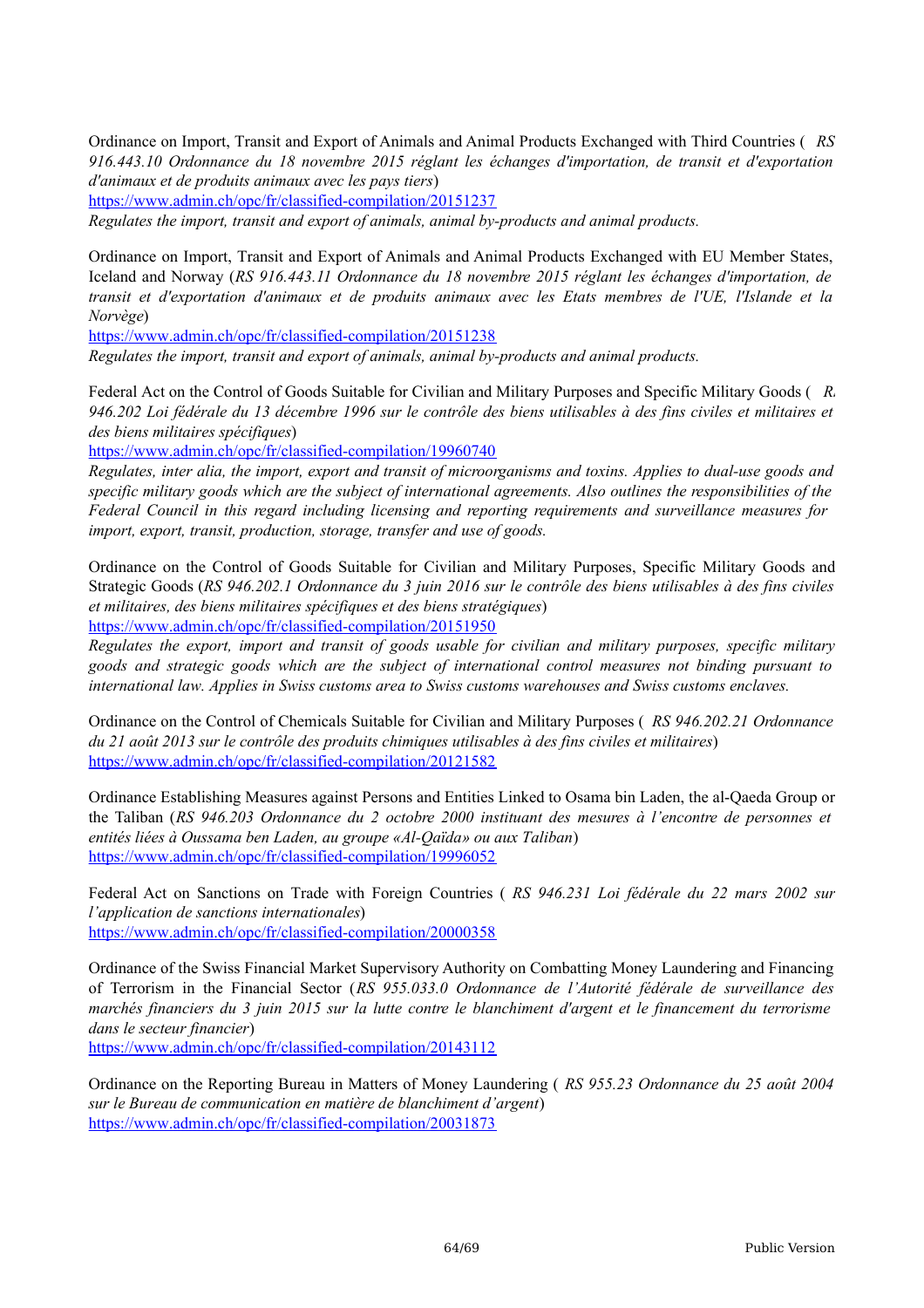Ordinance on Import, Transit and Export of Animals and Animal Products Exchanged with Third Countries ( *RS 916.443.10 Ordonnance du 18 novembre 2015 réglant les échanges d'importation, de transit et d'exportation d'animaux et de produits animaux avec les pays tiers*)

<https://www.admin.ch/opc/fr/classified-compilation/20151237>

*Regulates the import, transit and export of animals, animal by-products and animal products.*

Ordinance on Import, Transit and Export of Animals and Animal Products Exchanged with EU Member States, Iceland and Norway (*RS 916.443.11 Ordonnance du 18 novembre 2015 réglant les échanges d'importation, de transit et d'exportation d'animaux et de produits animaux avec les Etats membres de l'UE, l'Islande et la Norvège*)

<https://www.admin.ch/opc/fr/classified-compilation/20151238>

*Regulates the import, transit and export of animals, animal by-products and animal products.*

Federal Act on the Control of Goods Suitable for Civilian and Military Purposes and Specific Military Goods (*R*, 946.202 Loi fédérale du 13 décembre 1996 sur le contrôle des biens utilisables à des fins civiles et militaires et *des biens militaires spécifiques*)

<https://www.admin.ch/opc/fr/classified-compilation/19960740>

Regulates, inter alia, the import, export and transit of microorganisms and toxins. Applies to dual-use goods and specific military goods which are the subject of international agreements. Also outlines the responsibilities of the *Federal Council in this regard including licensing and reporting requirements and surveillance measures for import, export, transit, production, storage, transfer and use of goods.*

Ordinance on the Control of Goods Suitable for Civilian and Military Purposes, Specific Military Goods and Strategic Goods (RS 946.202.1 Ordonnance du 3 juin 2016 sur le contrôle des biens utilisables à des fins civiles *et militaires, des biens militaires spécifiques et des biens stratégiques*) <https://www.admin.ch/opc/fr/classified-compilation/20151950>

*Regulates the export, import and transit of goods usable for civilian and military purposes, specific military goods and strategic goods which are the subject of international control measures not binding pursuant to international law. Applies in Swiss customs area to Swiss customs warehouses and Swiss customs enclaves.*

Ordinance on the Control of Chemicals Suitable for Civilian and Military Purposes ( *RS 946.202.21 Ordonnance du 21 août 2013 sur le contrôle des produits chimiques utilisables à des fins civiles et militaires*) <https://www.admin.ch/opc/fr/classified-compilation/20121582>

Ordinance Establishing Measures against Persons and Entities Linked to Osama bin Laden, the al-Qaeda Group or the Taliban (*RS 946.203 Ordonnance du 2 octobre 2000 instituant des mesures à l'encontre de personnes et entités liées à Oussama ben Laden, au groupe «Al-Qaïda» ou aux Taliban*) <https://www.admin.ch/opc/fr/classified-compilation/19996052>

Federal Act on Sanctions on Trade with Foreign Countries ( *RS 946.231 Loi fédérale du 22 mars 2002 sur l'application de sanctions internationales*) <https://www.admin.ch/opc/fr/classified-compilation/20000358>

Ordinance of the Swiss Financial Market Supervisory Authority on Combatting Money Laundering and Financing of Terrorism in the Financial Sector (*RS 955.033.0 Ordonnance de l'Autorité fédérale de surveillance des* marchés financiers du 3 juin 2015 sur la lutte contre le blanchiment d'argent et le financement du terrorisme *dans le secteur financier*)

<https://www.admin.ch/opc/fr/classified-compilation/20143112>

Ordinance on the Reporting Bureau in Matters of Money Laundering ( *RS 955.23 Ordonnance du 25 août 2004 sur le Bureau de communication en matière de blanchiment d'argent*) <https://www.admin.ch/opc/fr/classified-compilation/20031873>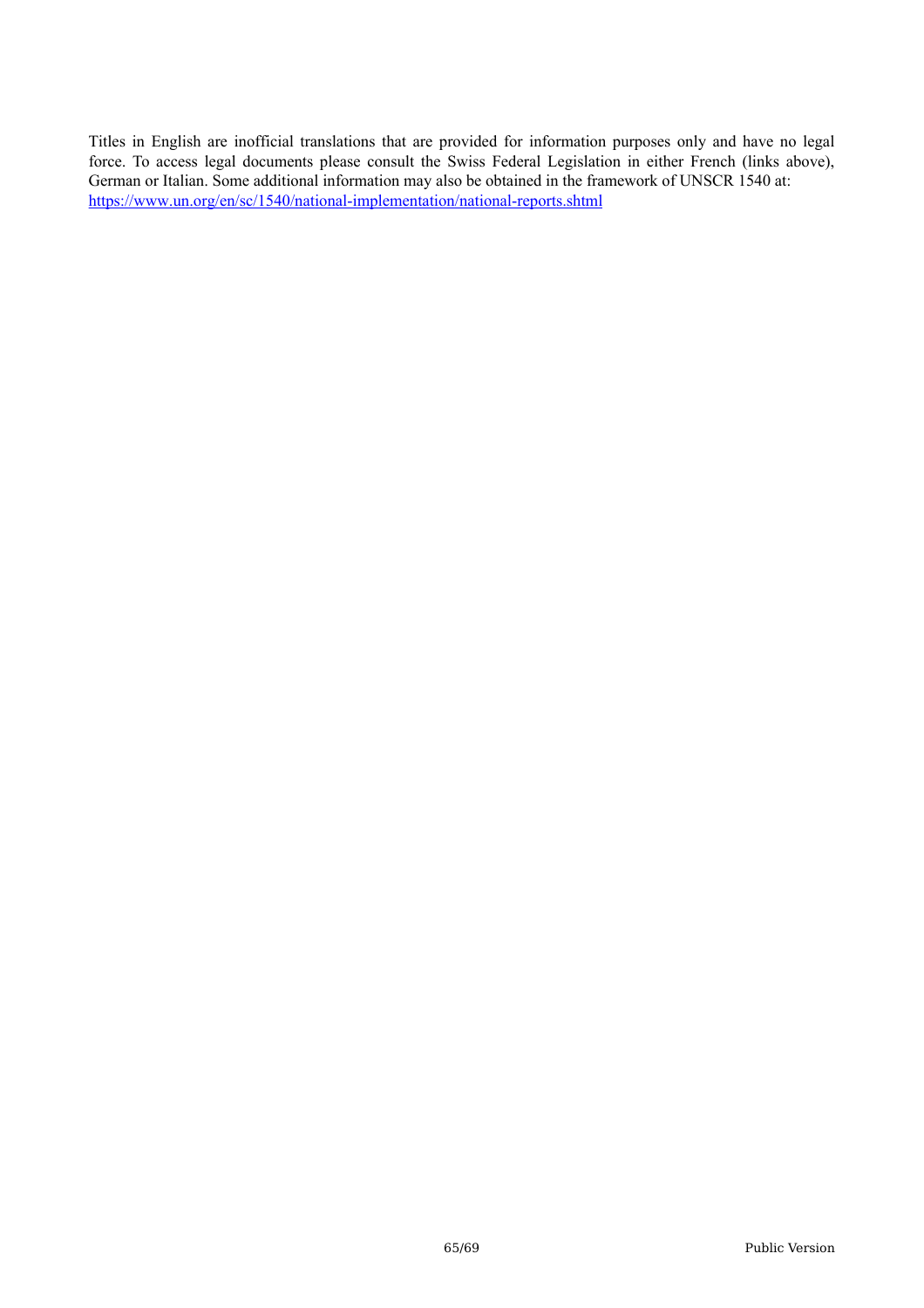Titles in English are inofficial translations that are provided for information purposes only and have no legal force. To access legal documents please consult the Swiss Federal Legislation in either French (links above), German or Italian. Some additional information may also be obtained in the framework of UNSCR 1540 at: <https://www.un.org/en/sc/1540/national-implementation/national-reports.shtml>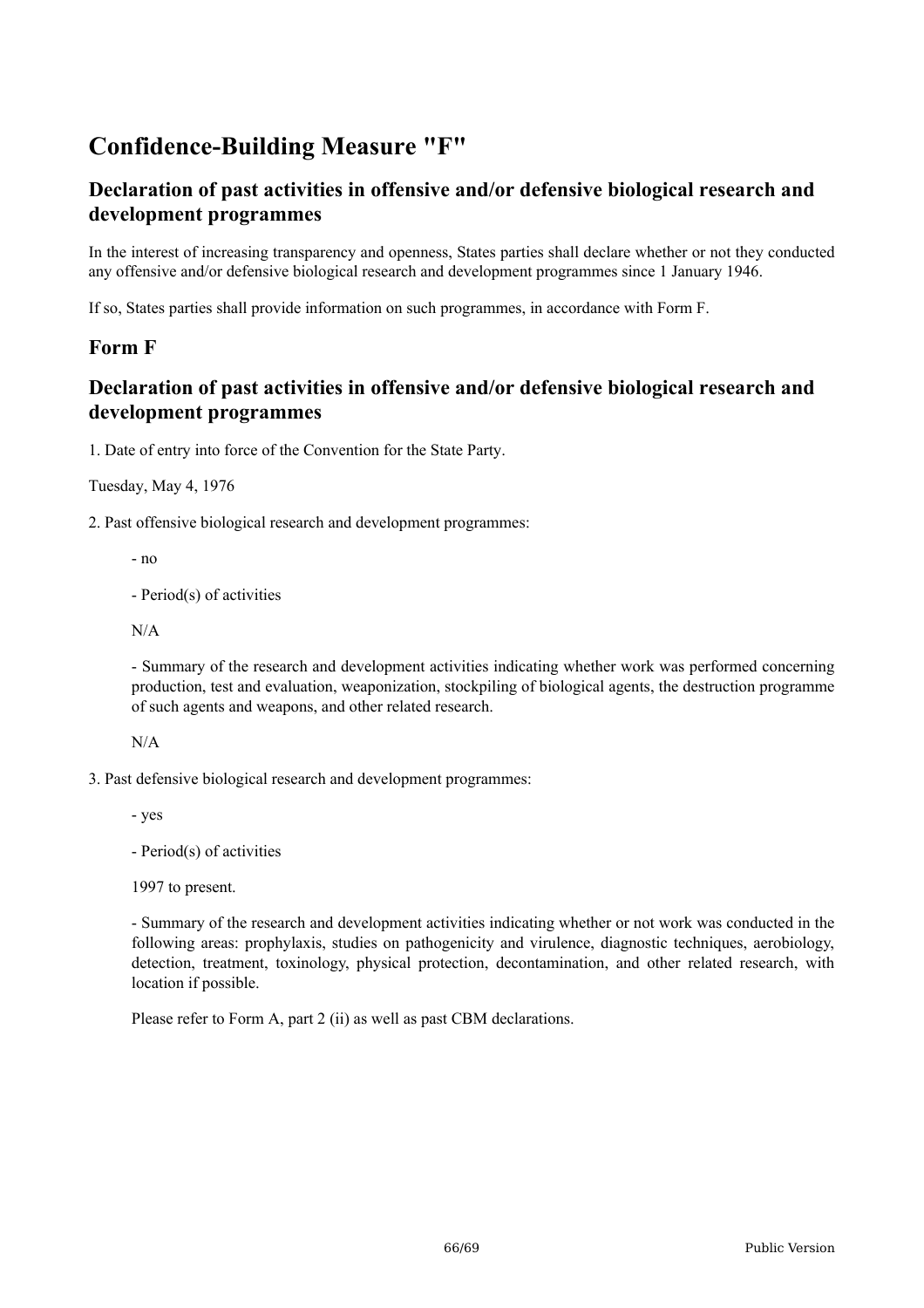# **Confidence-Building Measure "F"**

# **Declaration of past activities in offensive and/or defensive biological research and development programmes**

In the interest of increasing transparency and openness, States parties shall declare whether or not they conducted any offensive and/or defensive biological research and development programmes since 1 January 1946.

If so, States parties shall provide information on such programmes, in accordance with Form F.

# **Form F**

# **Declaration of past activities in offensive and/or defensive biological research and development programmes**

1. Date of entry into force of the Convention for the State Party.

Tuesday, May 4, 1976

2. Past offensive biological research and development programmes:

- no

- Period(s) of activities

N/A

- Summary of the research and development activities indicating whether work was performed concerning production, test and evaluation, weaponization, stockpiling of biological agents, the destruction programme of such agents and weapons, and other related research.

N/A

3. Past defensive biological research and development programmes:

- yes

- Period(s) of activities

1997 to present.

- Summary of the research and development activities indicating whether or not work was conducted in the following areas: prophylaxis, studies on pathogenicity and virulence, diagnostic techniques, aerobiology, detection, treatment, toxinology, physical protection, decontamination, and other related research, with location if possible.

Please refer to Form A, part 2 (ii) as well as past CBM declarations.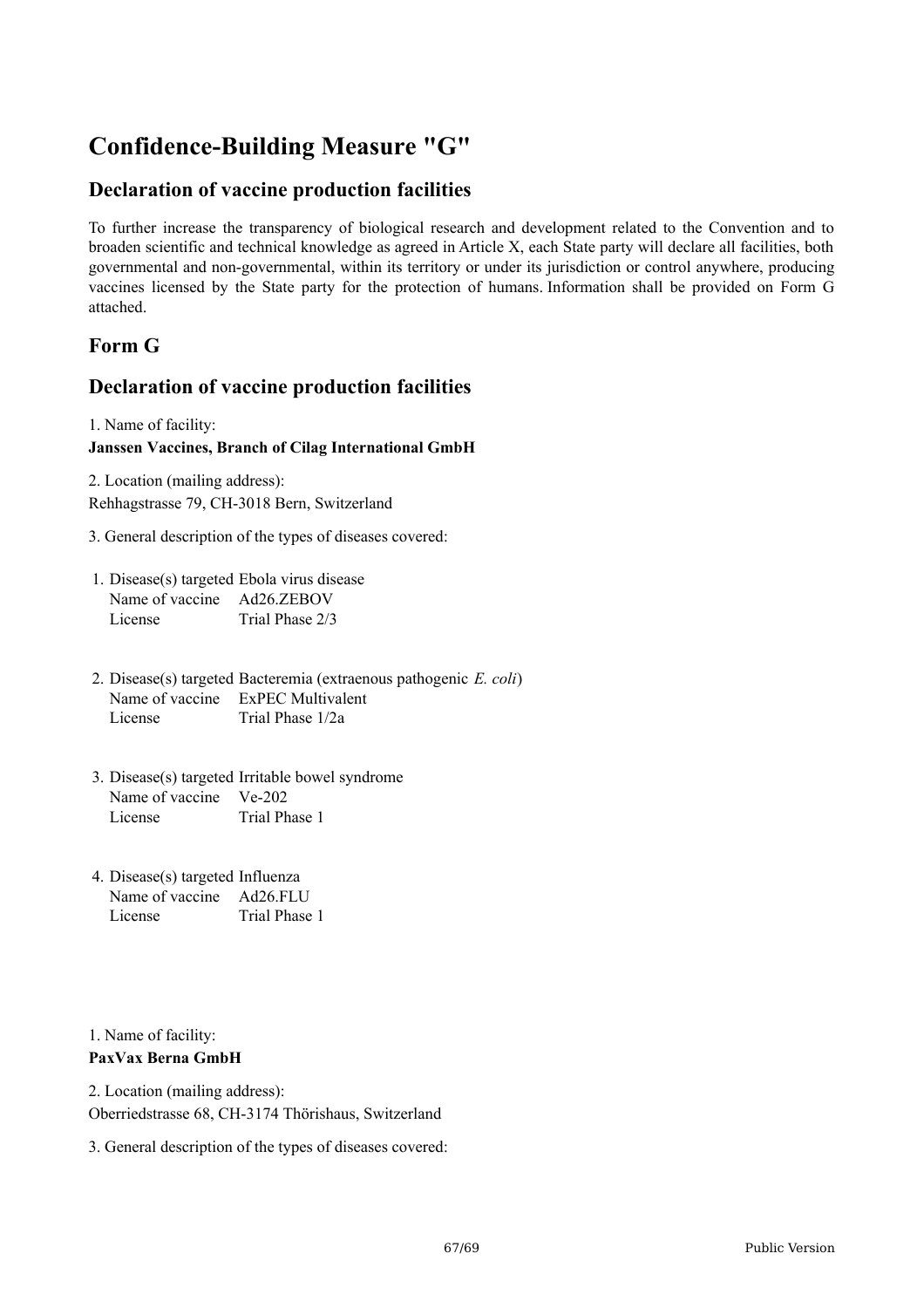# **Confidence-Building Measure "G"**

# **Declaration of vaccine production facilities**

To further increase the transparency of biological research and development related to the Convention and to broaden scientific and technical knowledge as agreed in Article X, each State party will declare all facilities, both governmental and non-governmental, within its territory or under its jurisdiction or control anywhere, producing vaccines licensed by the State party for the protection of humans. Information shall be provided on Form G attached.

# **Form G**

# **Declaration of vaccine production facilities**

1. Name of facility:

#### **Janssen Vaccines, Branch of Cilag International GmbH**

2. Location (mailing address): Rehhagstrasse 79, CH-3018 Bern, Switzerland

- 3. General description of the types of diseases covered:
- 1. Disease(s) targeted Ebola virus disease Name of vaccine Ad26.ZEBOV License Trial Phase 2/3
- 2. Disease(s) targeted Bacteremia (extraenous pathogenic *E. coli*) Name of vaccine ExPEC Multivalent License Trial Phase 1/2a
- 3. Disease(s) targeted Irritable bowel syndrome Name of vaccine Ve-202 License Trial Phase 1
- 4. Disease(s) targeted Influenza Name of vaccine Ad26.FLU License Trial Phase 1

1. Name of facility: **PaxVax Berna GmbH**

2. Location (mailing address): Oberriedstrasse 68, CH-3174 Thörishaus, Switzerland

3. General description of the types of diseases covered: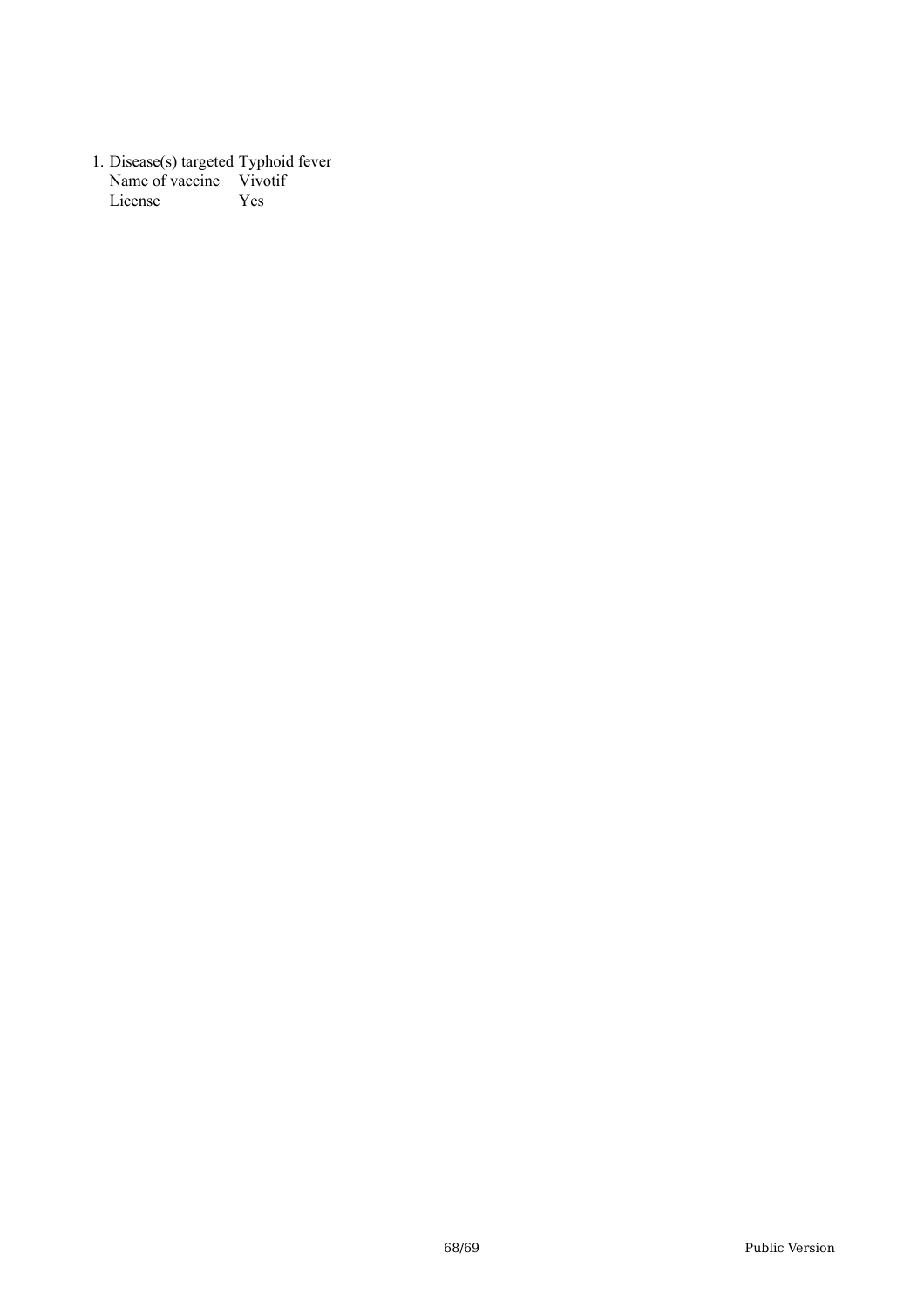1. Disease(s) targeted Typhoid fever Name of vaccine Vivotif License Yes